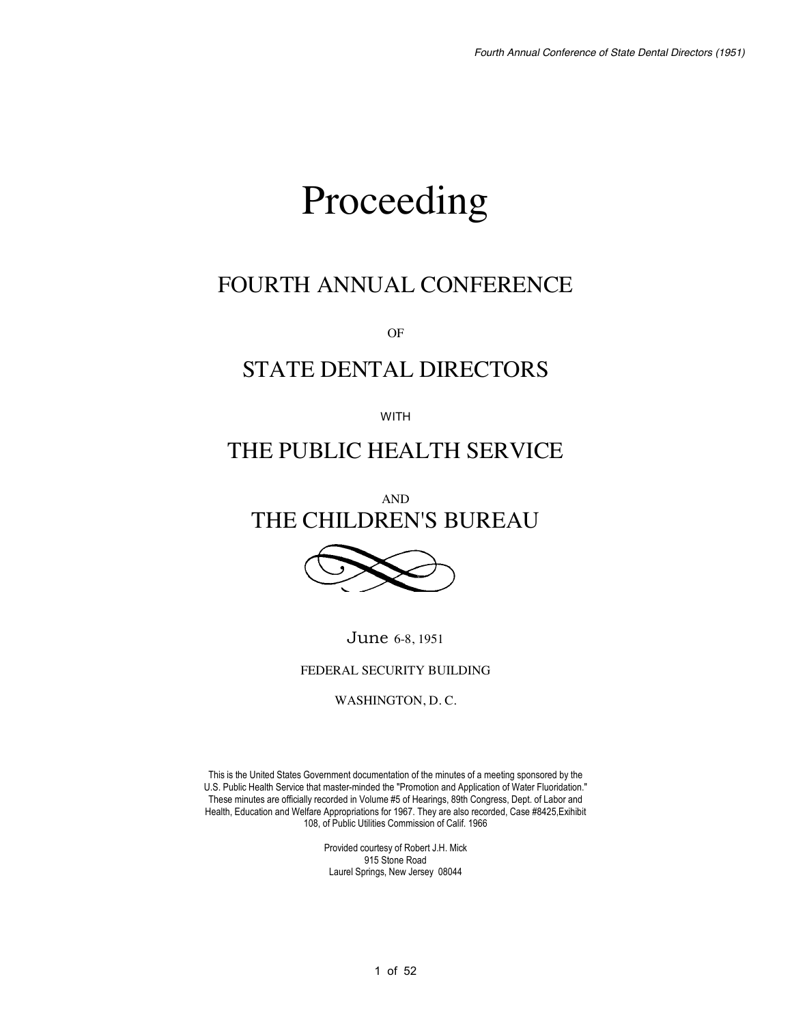# Proceeding

## FOURTH ANNUAL CONFERENCE

OF

## STATE DENTAL DIRECTORS

WITH

## THE PUBLIC HEALTH SERVICE

AND THE CHILDREN'S BUREAU



June 6-8, 1951

FEDERAL SECURITY BUILDING

WASHINGTON, D. C.

This is the United States Government documentation of the minutes of a meeting sponsored by the U.S. Public Health Service that master-minded the "Promotion and Application of Water Fluoridation." These minutes are officially recorded in Volume #5 of Hearings, 89th Congress, Dept. of Labor and Health, Education and Welfare Appropriations for 1967. They are also recorded, Case #8425,Exihibit 108, of Public Utilities Commission of Calif. 1966

> Provided courtesy of Robert J.H. Mick 915 Stone Road Laurel Springs, New Jersey 08044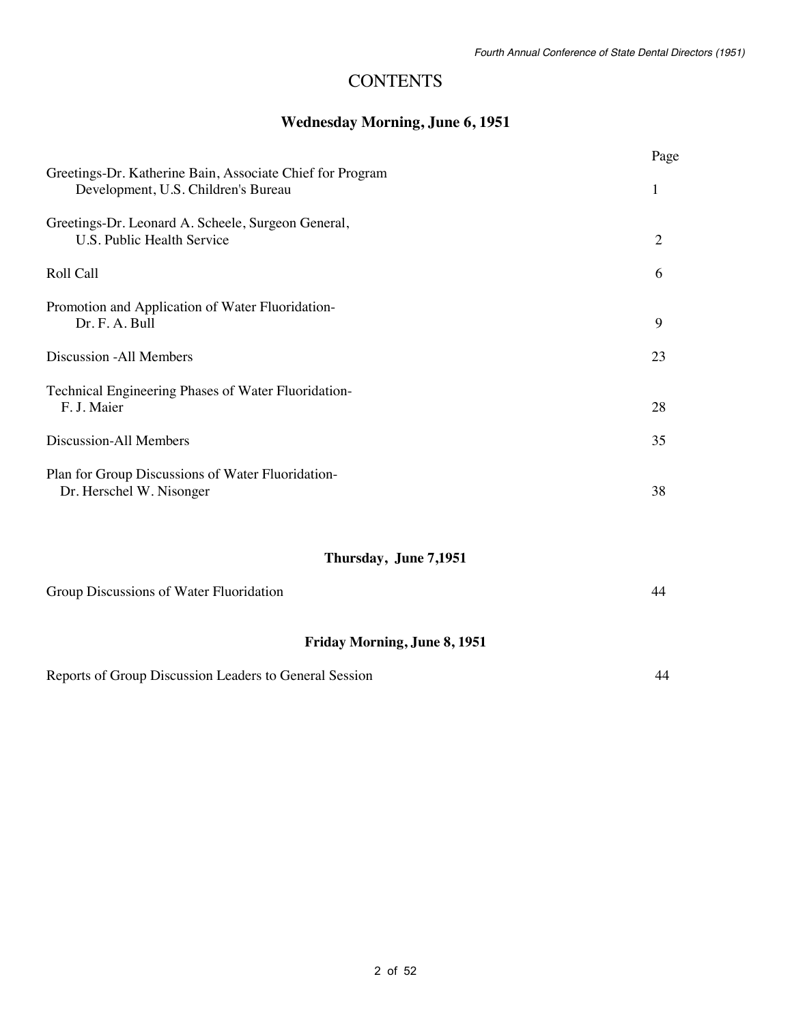### **CONTENTS**

#### **Wednesday Morning, June 6, 1951**

|                                                                                                  | Page           |  |  |  |  |  |
|--------------------------------------------------------------------------------------------------|----------------|--|--|--|--|--|
| Greetings-Dr. Katherine Bain, Associate Chief for Program<br>Development, U.S. Children's Bureau |                |  |  |  |  |  |
| Greetings-Dr. Leonard A. Scheele, Surgeon General,<br>U.S. Public Health Service                 | $\overline{2}$ |  |  |  |  |  |
| Roll Call                                                                                        | 6              |  |  |  |  |  |
| Promotion and Application of Water Fluoridation-<br>Dr. F. A. Bull                               | 9              |  |  |  |  |  |
| Discussion - All Members                                                                         | 23             |  |  |  |  |  |
| Technical Engineering Phases of Water Fluoridation-<br>F. J. Maier                               | 28             |  |  |  |  |  |
| Discussion-All Members                                                                           | 35             |  |  |  |  |  |
| Plan for Group Discussions of Water Fluoridation-<br>Dr. Herschel W. Nisonger                    | 38             |  |  |  |  |  |
| Thursday, June 7,1951                                                                            |                |  |  |  |  |  |
| Group Discussions of Water Fluoridation                                                          | 44             |  |  |  |  |  |
| <b>Friday Morning, June 8, 1951</b>                                                              |                |  |  |  |  |  |

Reports of Group Discussion Leaders to General Session 44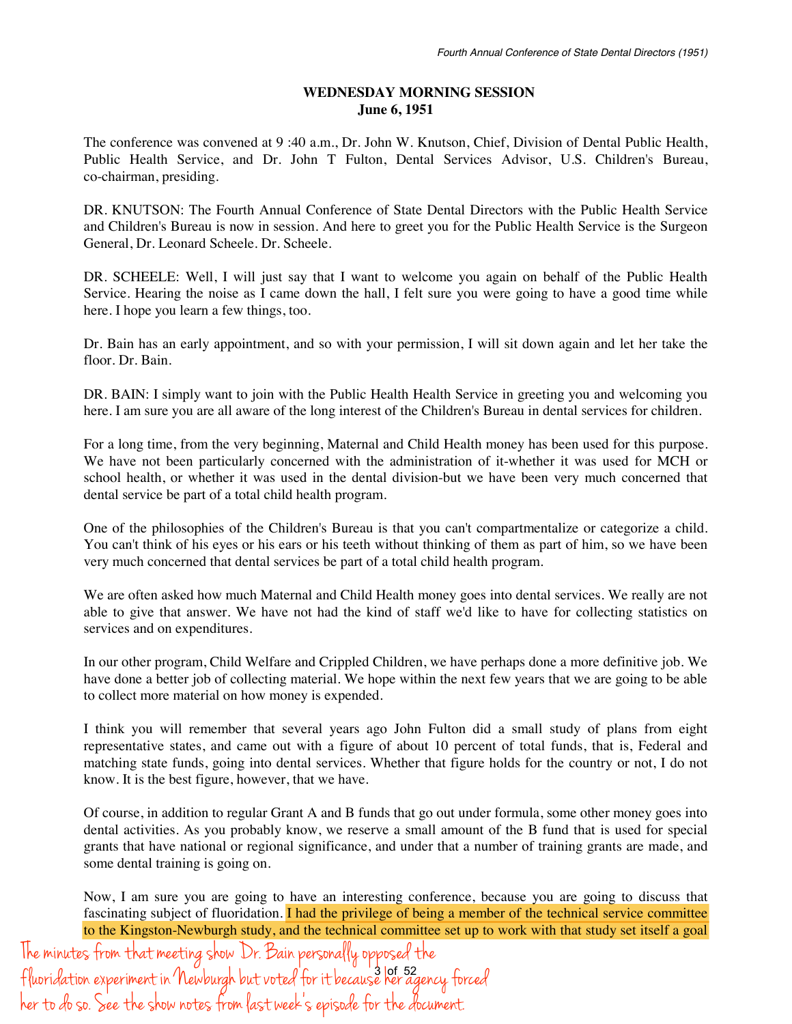#### **WEDNESDAY MORNING SESSION June 6, 1951**

The conference was convened at 9 :40 a.m., Dr. John W. Knutson, Chief, Division of Dental Public Health, Public Health Service, and Dr. John T Fulton, Dental Services Advisor, U.S. Children's Bureau, co-chairman, presiding.

DR. KNUTSON: The Fourth Annual Conference of State Dental Directors with the Public Health Service and Children's Bureau is now in session. And here to greet you for the Public Health Service is the Surgeon General, Dr. Leonard Scheele. Dr. Scheele.

DR. SCHEELE: Well, I will just say that I want to welcome you again on behalf of the Public Health Service. Hearing the noise as I came down the hall, I felt sure you were going to have a good time while here. I hope you learn a few things, too.

Dr. Bain has an early appointment, and so with your permission, I will sit down again and let her take the floor. Dr. Bain.

DR. BAIN: I simply want to join with the Public Health Health Service in greeting you and welcoming you here. I am sure you are all aware of the long interest of the Children's Bureau in dental services for children.

For a long time, from the very beginning, Maternal and Child Health money has been used for this purpose. We have not been particularly concerned with the administration of it-whether it was used for MCH or school health, or whether it was used in the dental division-but we have been very much concerned that dental service be part of a total child health program.

One of the philosophies of the Children's Bureau is that you can't compartmentalize or categorize a child. You can't think of his eyes or his ears or his teeth without thinking of them as part of him, so we have been very much concerned that dental services be part of a total child health program.

We are often asked how much Maternal and Child Health money goes into dental services. We really are not able to give that answer. We have not had the kind of staff we'd like to have for collecting statistics on services and on expenditures.

In our other program, Child Welfare and Crippled Children, we have perhaps done a more definitive job. We have done a better job of collecting material. We hope within the next few years that we are going to be able to collect more material on how money is expended.

I think you will remember that several years ago John Fulton did a small study of plans from eight representative states, and came out with a figure of about 10 percent of total funds, that is, Federal and matching state funds, going into dental services. Whether that figure holds for the country or not, I do not know. It is the best figure, however, that we have.

Of course, in addition to regular Grant A and B funds that go out under formula, some other money goes into dental activities. As you probably know, we reserve a small amount of the B fund that is used for special grants that have national or regional significance, and under that a number of training grants are made, and some dental training is going on.

Now, I am sure you are going to have an interesting conference, because you are going to discuss that fascinating subject of fluoridation. I had the privilege of being a member of the technical service committee to the Kingston-Newburgh study, and the technical committee set up to work with that study set itself a goal

3 of 52 The minutes from that meeting show Dr. Bain personally opposed the f luoridation experiment in Newburgh but voted for it because her agency forced her to do so. See the show notes from last week's episode for the document.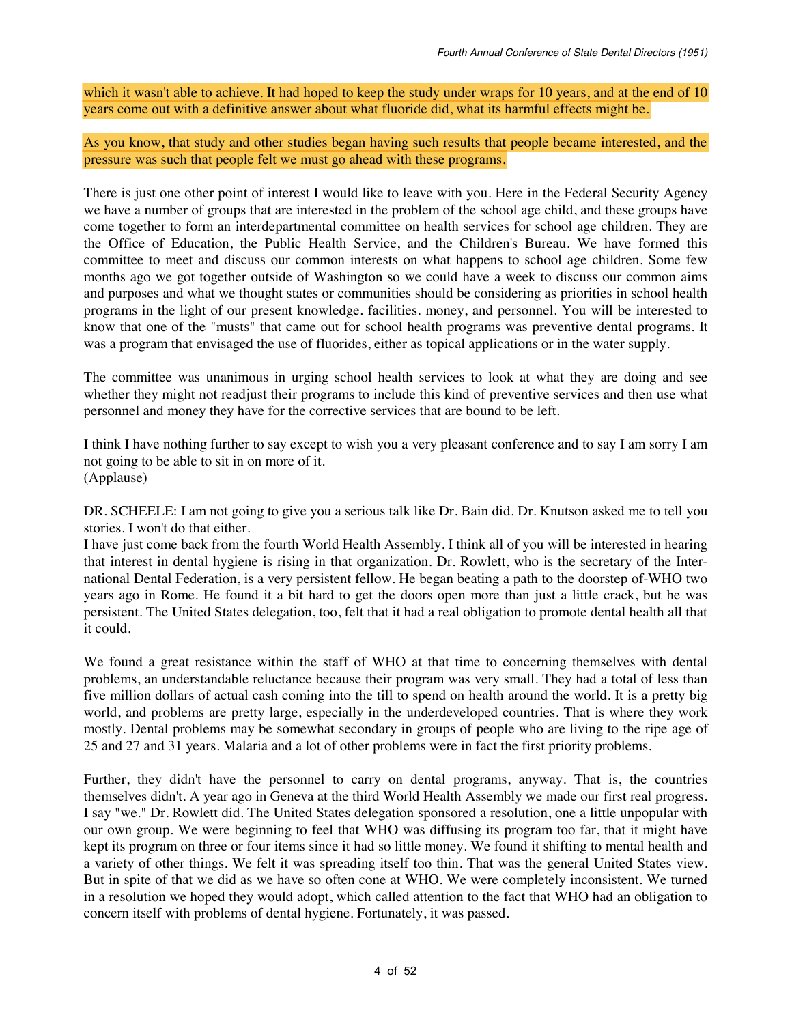which it wasn't able to achieve. It had hoped to keep the study under wraps for 10 years, and at the end of 10 years come out with a definitive answer about what fluoride did, what its harmful effects might be.

As you know, that study and other studies began having such results that people became interested, and the pressure was such that people felt we must go ahead with these programs.

There is just one other point of interest I would like to leave with you. Here in the Federal Security Agency we have a number of groups that are interested in the problem of the school age child, and these groups have come together to form an interdepartmental committee on health services for school age children. They are the Office of Education, the Public Health Service, and the Children's Bureau. We have formed this committee to meet and discuss our common interests on what happens to school age children. Some few months ago we got together outside of Washington so we could have a week to discuss our common aims and purposes and what we thought states or communities should be considering as priorities in school health programs in the light of our present knowledge. facilities. money, and personnel. You will be interested to know that one of the "musts" that came out for school health programs was preventive dental programs. It was a program that envisaged the use of fluorides, either as topical applications or in the water supply.

The committee was unanimous in urging school health services to look at what they are doing and see whether they might not readjust their programs to include this kind of preventive services and then use what personnel and money they have for the corrective services that are bound to be left.

I think I have nothing further to say except to wish you a very pleasant conference and to say I am sorry I am not going to be able to sit in on more of it. (Applause)

DR. SCHEELE: I am not going to give you a serious talk like Dr. Bain did. Dr. Knutson asked me to tell you stories. I won't do that either.

I have just come back from the fourth World Health Assembly. I think all of you will be interested in hearing that interest in dental hygiene is rising in that organization. Dr. Rowlett, who is the secretary of the International Dental Federation, is a very persistent fellow. He began beating a path to the doorstep of-WHO two years ago in Rome. He found it a bit hard to get the doors open more than just a little crack, but he was persistent. The United States delegation, too, felt that it had a real obligation to promote dental health all that it could.

We found a great resistance within the staff of WHO at that time to concerning themselves with dental problems, an understandable reluctance because their program was very small. They had a total of less than five million dollars of actual cash coming into the till to spend on health around the world. It is a pretty big world, and problems are pretty large, especially in the underdeveloped countries. That is where they work mostly. Dental problems may be somewhat secondary in groups of people who are living to the ripe age of 25 and 27 and 31 years. Malaria and a lot of other problems were in fact the first priority problems.

Further, they didn't have the personnel to carry on dental programs, anyway. That is, the countries themselves didn't. A year ago in Geneva at the third World Health Assembly we made our first real progress. I say "we." Dr. Rowlett did. The United States delegation sponsored a resolution, one a little unpopular with our own group. We were beginning to feel that WHO was diffusing its program too far, that it might have kept its program on three or four items since it had so little money. We found it shifting to mental health and a variety of other things. We felt it was spreading itself too thin. That was the general United States view. But in spite of that we did as we have so often cone at WHO. We were completely inconsistent. We turned in a resolution we hoped they would adopt, which called attention to the fact that WHO had an obligation to concern itself with problems of dental hygiene. Fortunately, it was passed.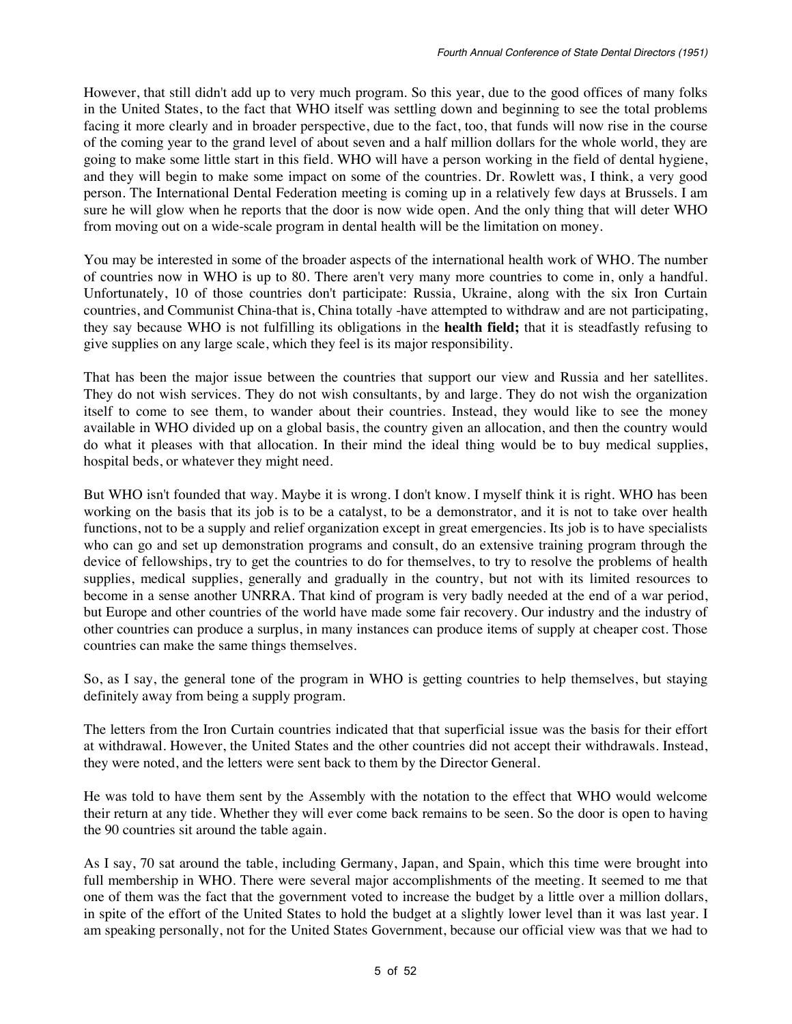However, that still didn't add up to very much program. So this year, due to the good offices of many folks in the United States, to the fact that WHO itself was settling down and beginning to see the total problems facing it more clearly and in broader perspective, due to the fact, too, that funds will now rise in the course of the coming year to the grand level of about seven and a half million dollars for the whole world, they are going to make some little start in this field. WHO will have a person working in the field of dental hygiene, and they will begin to make some impact on some of the countries. Dr. Rowlett was, I think, a very good person. The International Dental Federation meeting is coming up in a relatively few days at Brussels. I am sure he will glow when he reports that the door is now wide open. And the only thing that will deter WHO from moving out on a wide-scale program in dental health will be the limitation on money.

You may be interested in some of the broader aspects of the international health work of WHO. The number of countries now in WHO is up to 80. There aren't very many more countries to come in, only a handful. Unfortunately, 10 of those countries don't participate: Russia, Ukraine, along with the six Iron Curtain countries, and Communist China-that is, China totally -have attempted to withdraw and are not participating, they say because WHO is not fulfilling its obligations in the **health field;** that it is steadfastly refusing to give supplies on any large scale, which they feel is its major responsibility.

That has been the major issue between the countries that support our view and Russia and her satellites. They do not wish services. They do not wish consultants, by and large. They do not wish the organization itself to come to see them, to wander about their countries. Instead, they would like to see the money available in WHO divided up on a global basis, the country given an allocation, and then the country would do what it pleases with that allocation. In their mind the ideal thing would be to buy medical supplies, hospital beds, or whatever they might need.

But WHO isn't founded that way. Maybe it is wrong. I don't know. I myself think it is right. WHO has been working on the basis that its job is to be a catalyst, to be a demonstrator, and it is not to take over health functions, not to be a supply and relief organization except in great emergencies. Its job is to have specialists who can go and set up demonstration programs and consult, do an extensive training program through the device of fellowships, try to get the countries to do for themselves, to try to resolve the problems of health supplies, medical supplies, generally and gradually in the country, but not with its limited resources to become in a sense another UNRRA. That kind of program is very badly needed at the end of a war period, but Europe and other countries of the world have made some fair recovery. Our industry and the industry of other countries can produce a surplus, in many instances can produce items of supply at cheaper cost. Those countries can make the same things themselves.

So, as I say, the general tone of the program in WHO is getting countries to help themselves, but staying definitely away from being a supply program.

The letters from the Iron Curtain countries indicated that that superficial issue was the basis for their effort at withdrawal. However, the United States and the other countries did not accept their withdrawals. Instead, they were noted, and the letters were sent back to them by the Director General.

He was told to have them sent by the Assembly with the notation to the effect that WHO would welcome their return at any tide. Whether they will ever come back remains to be seen. So the door is open to having the 90 countries sit around the table again.

As I say, 70 sat around the table, including Germany, Japan, and Spain, which this time were brought into full membership in WHO. There were several major accomplishments of the meeting. It seemed to me that one of them was the fact that the government voted to increase the budget by a little over a million dollars, in spite of the effort of the United States to hold the budget at a slightly lower level than it was last year. I am speaking personally, not for the United States Government, because our official view was that we had to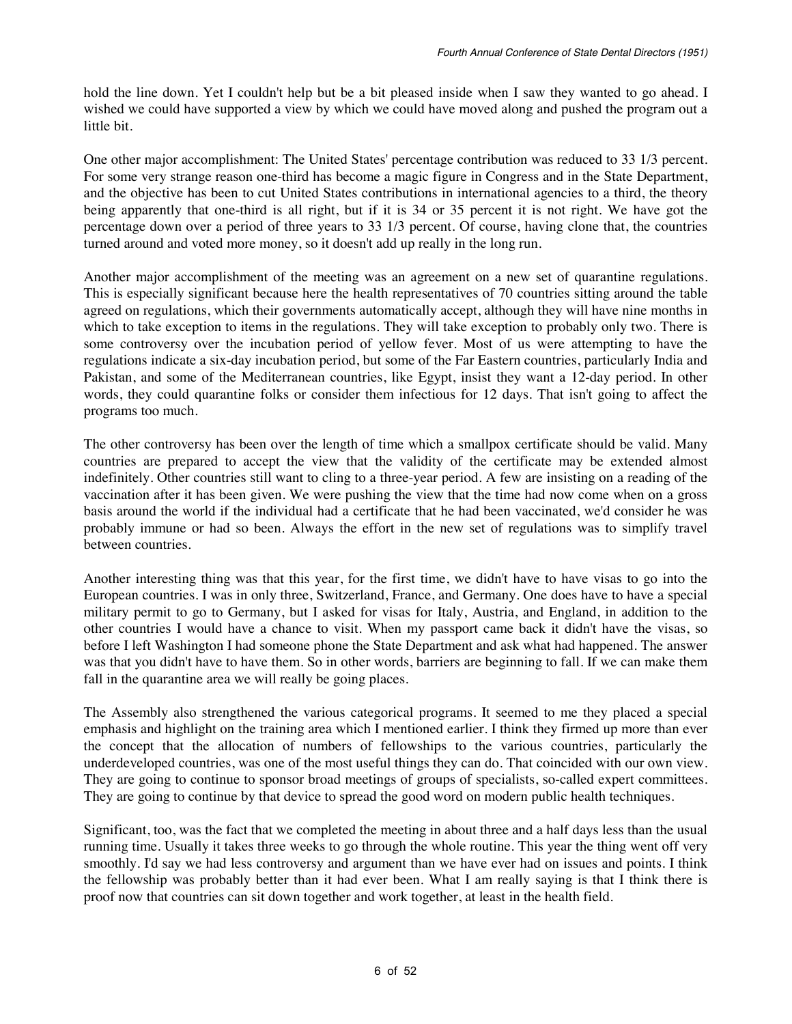hold the line down. Yet I couldn't help but be a bit pleased inside when I saw they wanted to go ahead. I wished we could have supported a view by which we could have moved along and pushed the program out a little bit.

One other major accomplishment: The United States' percentage contribution was reduced to 33 1/3 percent. For some very strange reason one-third has become a magic figure in Congress and in the State Department, and the objective has been to cut United States contributions in international agencies to a third, the theory being apparently that one-third is all right, but if it is 34 or 35 percent it is not right. We have got the percentage down over a period of three years to 33 1/3 percent. Of course, having clone that, the countries turned around and voted more money, so it doesn't add up really in the long run.

Another major accomplishment of the meeting was an agreement on a new set of quarantine regulations. This is especially significant because here the health representatives of 70 countries sitting around the table agreed on regulations, which their governments automatically accept, although they will have nine months in which to take exception to items in the regulations. They will take exception to probably only two. There is some controversy over the incubation period of yellow fever. Most of us were attempting to have the regulations indicate a six-day incubation period, but some of the Far Eastern countries, particularly India and Pakistan, and some of the Mediterranean countries, like Egypt, insist they want a 12-day period. In other words, they could quarantine folks or consider them infectious for 12 days. That isn't going to affect the programs too much.

The other controversy has been over the length of time which a smallpox certificate should be valid. Many countries are prepared to accept the view that the validity of the certificate may be extended almost indefinitely. Other countries still want to cling to a three-year period. A few are insisting on a reading of the vaccination after it has been given. We were pushing the view that the time had now come when on a gross basis around the world if the individual had a certificate that he had been vaccinated, we'd consider he was probably immune or had so been. Always the effort in the new set of regulations was to simplify travel between countries.

Another interesting thing was that this year, for the first time, we didn't have to have visas to go into the European countries. I was in only three, Switzerland, France, and Germany. One does have to have a special military permit to go to Germany, but I asked for visas for Italy, Austria, and England, in addition to the other countries I would have a chance to visit. When my passport came back it didn't have the visas, so before I left Washington I had someone phone the State Department and ask what had happened. The answer was that you didn't have to have them. So in other words, barriers are beginning to fall. If we can make them fall in the quarantine area we will really be going places.

The Assembly also strengthened the various categorical programs. It seemed to me they placed a special emphasis and highlight on the training area which I mentioned earlier. I think they firmed up more than ever the concept that the allocation of numbers of fellowships to the various countries, particularly the underdeveloped countries, was one of the most useful things they can do. That coincided with our own view. They are going to continue to sponsor broad meetings of groups of specialists, so-called expert committees. They are going to continue by that device to spread the good word on modern public health techniques.

Significant, too, was the fact that we completed the meeting in about three and a half days less than the usual running time. Usually it takes three weeks to go through the whole routine. This year the thing went off very smoothly. I'd say we had less controversy and argument than we have ever had on issues and points. I think the fellowship was probably better than it had ever been. What I am really saying is that I think there is proof now that countries can sit down together and work together, at least in the health field.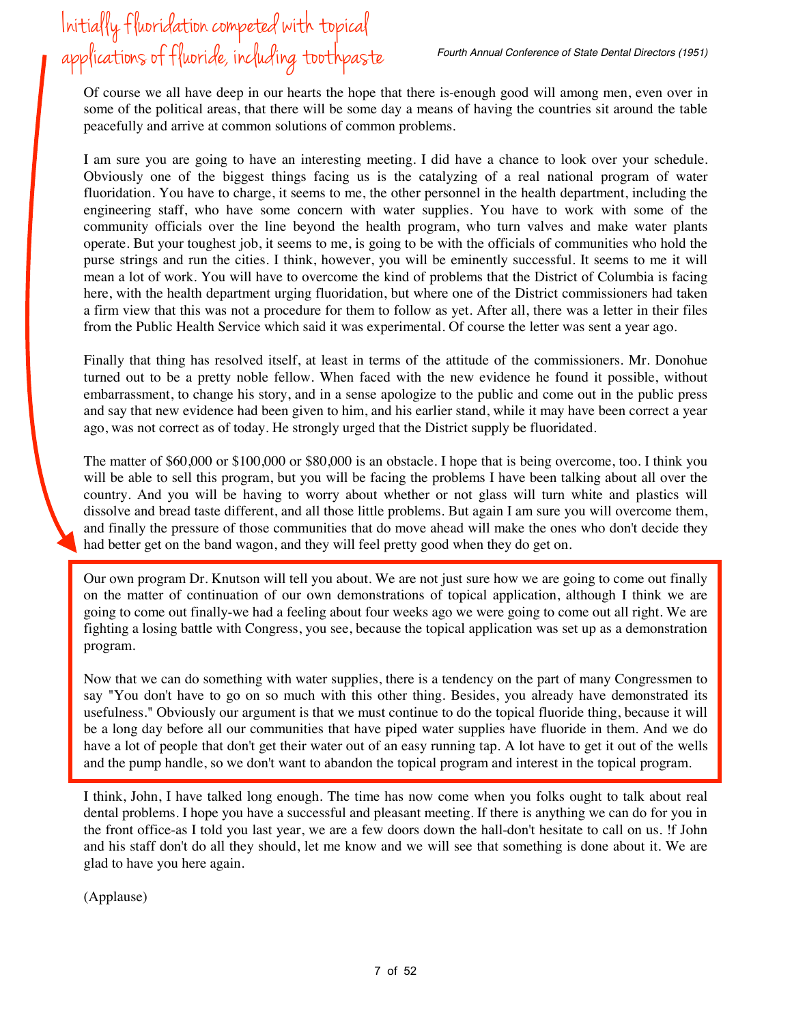## Initially fluori*d*ation competed with topical applications of fluori*de,* including toothpaste

Of course we all have deep in our hearts the hope that there is-enough good will among men, even over in some of the political areas, that there will be some day a means of having the countries sit around the table peacefully and arrive at common solutions of common problems.

I am sure you are going to have an interesting meeting. I did have a chance to look over your schedule. Obviously one of the biggest things facing us is the catalyzing of a real national program of water fluoridation. You have to charge, it seems to me, the other personnel in the health department, including the engineering staff, who have some concern with water supplies. You have to work with some of the community officials over the line beyond the health program, who turn valves and make water plants operate. But your toughest job, it seems to me, is going to be with the officials of communities who hold the purse strings and run the cities. I think, however, you will be eminently successful. It seems to me it will mean a lot of work. You will have to overcome the kind of problems that the District of Columbia is facing here, with the health department urging fluoridation, but where one of the District commissioners had taken a firm view that this was not a procedure for them to follow as yet. After all, there was a letter in their files from the Public Health Service which said it was experimental. Of course the letter was sent a year ago.

Finally that thing has resolved itself, at least in terms of the attitude of the commissioners. Mr. Donohue turned out to be a pretty noble fellow. When faced with the new evidence he found it possible, without embarrassment, to change his story, and in a sense apologize to the public and come out in the public press and say that new evidence had been given to him, and his earlier stand, while it may have been correct a year ago, was not correct as of today. He strongly urged that the District supply be fluoridated.

The matter of \$60,000 or \$100,000 or \$80,000 is an obstacle. I hope that is being overcome, too. I think you will be able to sell this program, but you will be facing the problems I have been talking about all over the country. And you will be having to worry about whether or not glass will turn white and plastics will dissolve and bread taste different, and all those little problems. But again I am sure you will overcome them, and finally the pressure of those communities that do move ahead will make the ones who don't decide they had better get on the band wagon, and they will feel pretty good when they do get on.

Our own program Dr. Knutson will tell you about. We are not just sure how we are going to come out finally on the matter of continuation of our own demonstrations of topical application, although I think we are going to come out finally-we had a feeling about four weeks ago we were going to come out all right. We are fighting a losing battle with Congress, you see, because the topical application was set up as a demonstration program.

Now that we can do something with water supplies, there is a tendency on the part of many Congressmen to say "You don't have to go on so much with this other thing. Besides, you already have demonstrated its usefulness." Obviously our argument is that we must continue to do the topical fluoride thing, because it will be a long day before all our communities that have piped water supplies have fluoride in them. And we do have a lot of people that don't get their water out of an easy running tap. A lot have to get it out of the wells and the pump handle, so we don't want to abandon the topical program and interest in the topical program.

I think, John, I have talked long enough. The time has now come when you folks ought to talk about real dental problems. I hope you have a successful and pleasant meeting. If there is anything we can do for you in the front office-as I told you last year, we are a few doors down the hall-don't hesitate to call on us. !f John and his staff don't do all they should, let me know and we will see that something is done about it. We are glad to have you here again.

(Applause)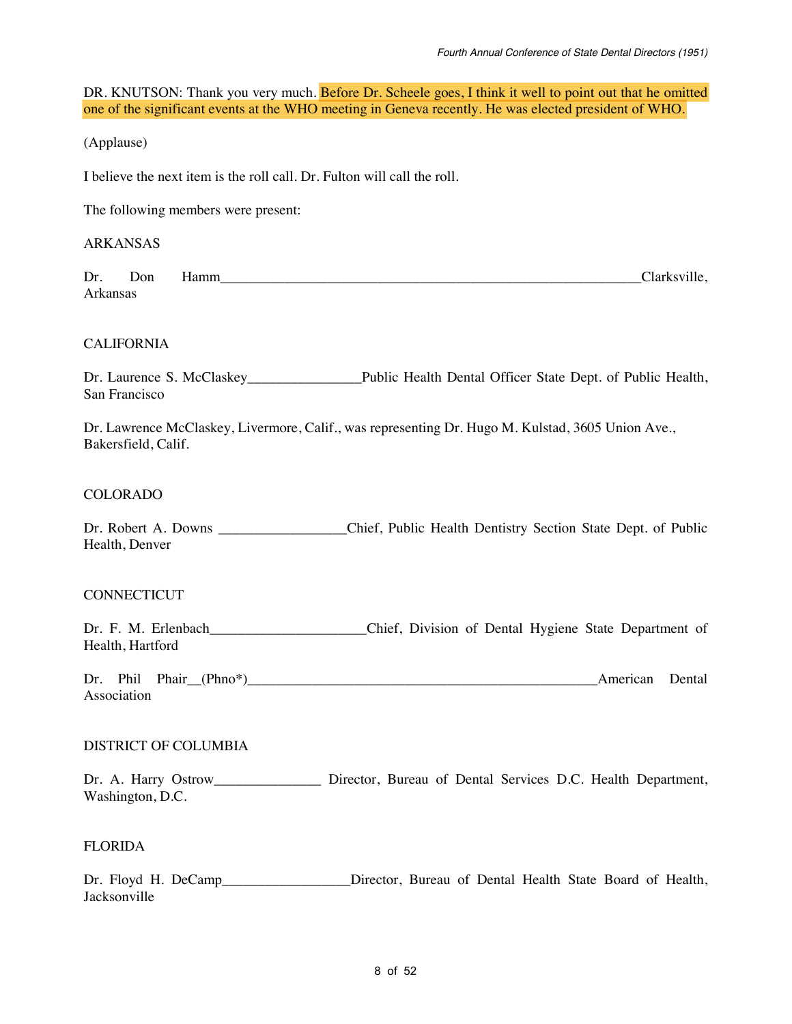DR. KNUTSON: Thank you very much. Before Dr. Scheele goes, I think it well to point out that he omitted one of the significant events at the WHO meeting in Geneva recently. He was elected president of WHO.

(Applause)

I believe the next item is the roll call. Dr. Fulton will call the roll.

The following members were present:

#### ARKANSAS

Dr. Don Hamm\_\_\_\_\_\_\_\_\_\_\_\_\_\_\_\_\_\_\_\_\_\_\_\_\_\_\_\_\_\_\_\_\_\_\_\_\_\_\_\_\_\_\_\_\_\_\_\_\_\_\_\_\_\_\_\_\_\_\_Clarksville, Arkansas

#### CALIFORNIA

Dr. Laurence S. McClaskey\_\_\_\_\_\_\_\_\_\_\_\_\_\_\_\_Public Health Dental Officer State Dept. of Public Health, San Francisco

Dr. Lawrence McClaskey, Livermore, Calif., was representing Dr. Hugo M. Kulstad, 3605 Union Ave., Bakersfield, Calif.

#### COLORADO

Dr. Robert A. Downs Chief, Public Health Dentistry Section State Dept. of Public Health, Denver

#### **CONNECTICUT**

Dr. F. M. Erlenbach\_\_\_\_\_\_\_\_\_\_\_\_\_\_\_\_\_\_\_\_\_\_Chief, Division of Dental Hygiene State Department of Health, Hartford

Dr. Phil Phair\_\_(Phno\*)\_\_\_\_\_\_\_\_\_\_\_\_\_\_\_\_\_\_\_\_\_\_\_\_\_\_\_\_\_\_\_\_\_\_\_\_\_\_\_\_\_\_\_\_\_\_\_\_\_American Dental Association

#### DISTRICT OF COLUMBIA

Dr. A. Harry Ostrow\_\_\_\_\_\_\_\_\_\_\_\_\_\_\_\_\_\_\_ Director, Bureau of Dental Services D.C. Health Department, Washington, D.C.

#### FLORIDA

Dr. Floyd H. DeCamp Director, Bureau of Dental Health State Board of Health, Jacksonville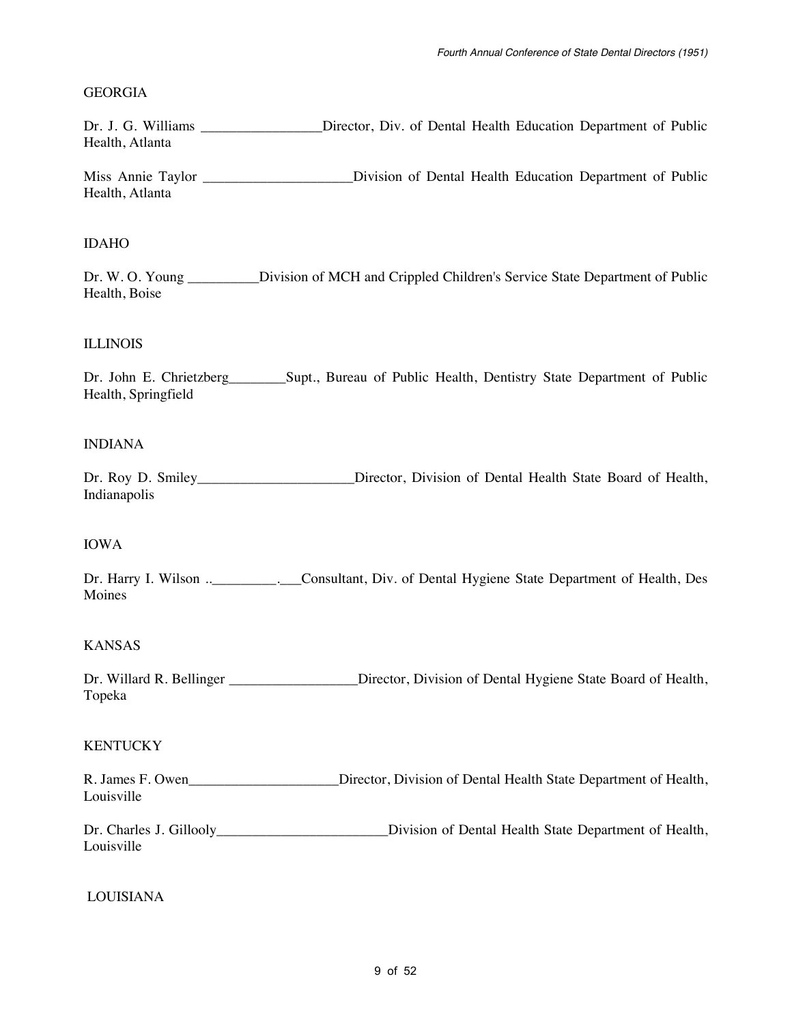#### GEORGIA

Dr. J. G. Williams \_\_\_\_\_\_\_\_\_\_\_\_\_\_\_\_\_Director, Div. of Dental Health Education Department of Public Health, Atlanta

Miss Annie Taylor \_\_\_\_\_\_\_\_\_\_\_\_\_\_\_\_\_\_\_\_\_Division of Dental Health Education Department of Public Health, Atlanta

#### IDAHO

Dr. W. O. Young \_\_\_\_\_\_\_\_\_ Division of MCH and Crippled Children's Service State Department of Public Health, Boise

#### ILLINOIS

Dr. John E. Chrietzberg\_\_\_\_\_\_\_\_Supt., Bureau of Public Health, Dentistry State Department of Public Health, Springfield

#### INDIANA

Dr. Roy D. Smiley\_\_\_\_\_\_\_\_\_\_\_\_\_\_\_\_\_\_\_\_\_Director, Division of Dental Health State Board of Health, Indianapolis

#### IOWA

Dr. Harry I. Wilson ..\_\_\_\_\_\_\_\_. Consultant, Div. of Dental Hygiene State Department of Health, Des Moines

#### KANSAS

Dr. Willard R. Bellinger \_\_\_\_\_\_\_\_\_\_\_\_\_\_\_\_Director, Division of Dental Hygiene State Board of Health, Topeka

#### **KENTUCKY**

R. James F. Owen\_\_\_\_\_\_\_\_\_\_\_\_\_\_\_\_\_\_\_\_\_\_\_\_\_Director, Division of Dental Health State Department of Health, Louisville

Dr. Charles J. Gillooly\_\_\_\_\_\_\_\_\_\_\_\_\_\_\_\_\_\_\_\_\_\_\_\_\_\_\_\_Division of Dental Health State Department of Health, Louisville

LOUISIANA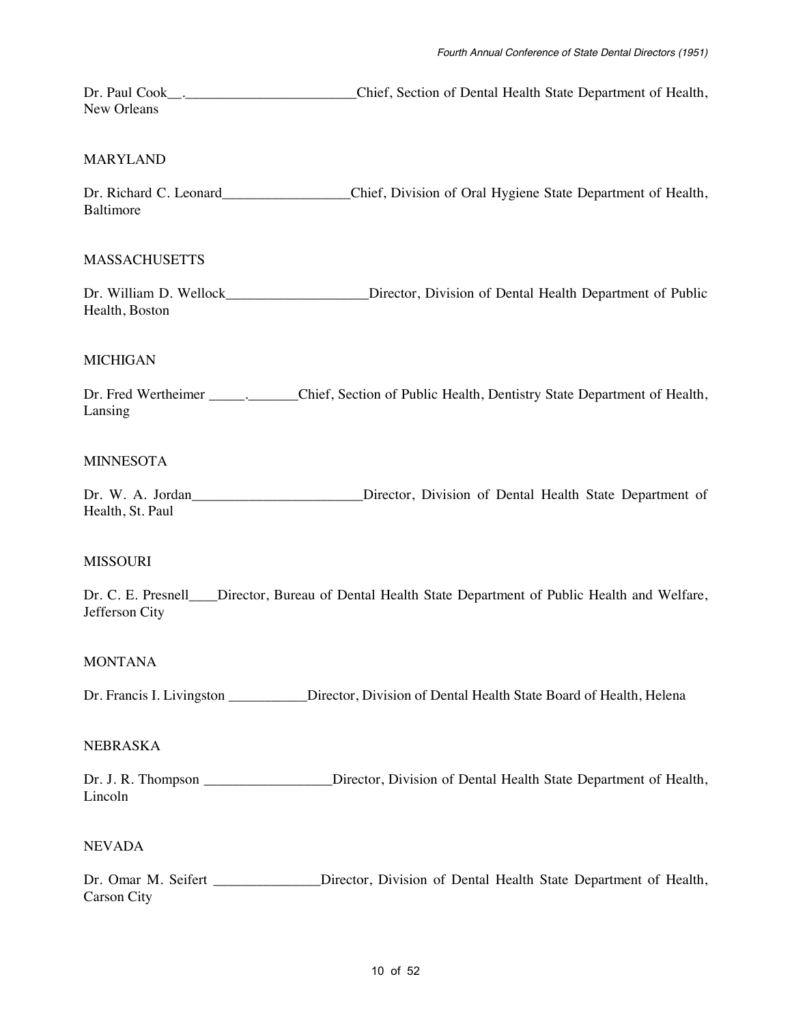Dr. Paul Cook\_\_\_\_\_\_\_\_\_\_\_\_\_\_\_\_\_\_\_\_\_\_\_\_\_\_\_\_\_\_Chief, Section of Dental Health State Department of Health, New Orleans

#### MARYLAND

Dr. Richard C. Leonard C. Chief, Division of Oral Hygiene State Department of Health, Baltimore

#### MASSACHUSETTS

Dr. William D. Wellock\_\_\_\_\_\_\_\_\_\_\_\_\_\_\_\_\_\_\_\_Director, Division of Dental Health Department of Public Health, Boston

#### MICHIGAN

Dr. Fred Wertheimer \_\_\_\_\_\_\_\_\_\_\_\_\_\_Chief, Section of Public Health, Dentistry State Department of Health, Lansing

#### MINNESOTA

Dr. W. A. Jordan\_\_\_\_\_\_\_\_\_\_\_\_\_\_\_\_\_\_\_\_\_\_\_\_\_Director, Division of Dental Health State Department of Health, St. Paul

#### MISSOURI

Dr. C. E. Presnell\_\_\_\_Director, Bureau of Dental Health State Department of Public Health and Welfare, Jefferson City

#### MONTANA

Dr. Francis I. Livingston Director, Division of Dental Health State Board of Health, Helena

#### NEBRASKA

Dr. J. R. Thompson \_\_\_\_\_\_\_\_\_\_\_\_\_\_\_\_\_Director, Division of Dental Health State Department of Health, Lincoln

#### NEVADA

Dr. Omar M. Seifert \_\_\_\_\_\_\_\_\_\_\_\_\_ Director, Division of Dental Health State Department of Health, Carson City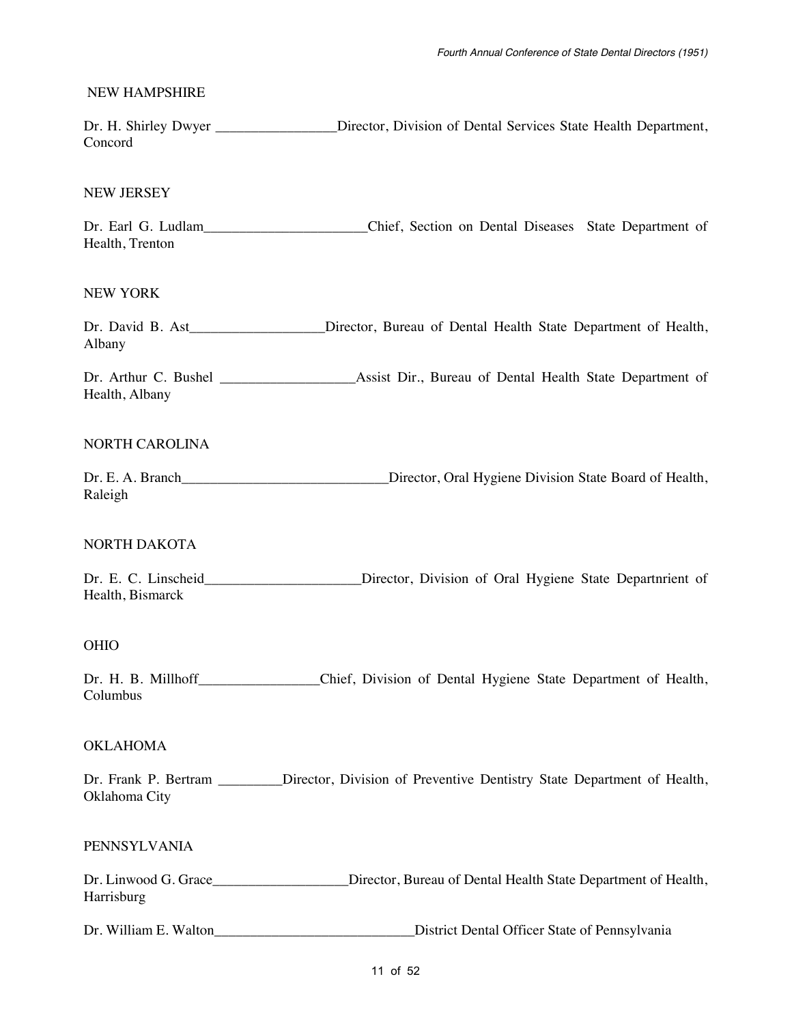#### NEW HAMPSHIRE

Dr. H. Shirley Dwyer \_\_\_\_\_\_\_\_\_\_\_\_\_\_\_\_\_Director, Division of Dental Services State Health Department, Concord

#### NEW JERSEY

Dr. Earl G. Ludlam\_\_\_\_\_\_\_\_\_\_\_\_\_\_\_\_\_\_\_\_\_\_\_Chief, Section on Dental Diseases State Department of Health, Trenton

#### NEW YORK

Dr. David B. Ast\_\_\_\_\_\_\_\_\_\_\_\_\_\_\_\_\_\_Director, Bureau of Dental Health State Department of Health, Albany

Dr. Arthur C. Bushel \_\_\_\_\_\_\_\_\_\_\_\_\_\_\_\_\_\_\_Assist Dir., Bureau of Dental Health State Department of Health, Albany

#### NORTH CAROLINA

Dr. E. A. Branch\_\_\_\_\_\_\_\_\_\_\_\_\_\_\_\_\_\_\_\_\_\_\_\_\_\_\_\_\_\_\_\_Director, Oral Hygiene Division State Board of Health, Raleigh

#### NORTH DAKOTA

Dr. E. C. Linscheid\_\_\_\_\_\_\_\_\_\_\_\_\_\_\_\_\_\_\_\_\_\_\_\_\_Director, Division of Oral Hygiene State Departnrient of Health, Bismarck

#### OHIO

Dr. H. B. Millhoff\_\_\_\_\_\_\_\_\_\_\_\_\_\_\_\_Chief, Division of Dental Hygiene State Department of Health, Columbus

#### OKLAHOMA

Dr. Frank P. Bertram \_\_\_\_\_\_\_\_Director, Division of Preventive Dentistry State Department of Health, Oklahoma City

#### PENNSYLVANIA

Dr. Linwood G. Grace\_\_\_\_\_\_\_\_\_\_\_\_\_\_\_\_\_\_\_\_\_\_\_\_\_\_\_Director, Bureau of Dental Health State Department of Health, Harrisburg

Dr. William E. Walton\_\_\_\_\_\_\_\_\_\_\_\_\_\_\_\_\_\_\_\_\_\_\_\_\_\_\_\_District Dental Officer State of Pennsylvania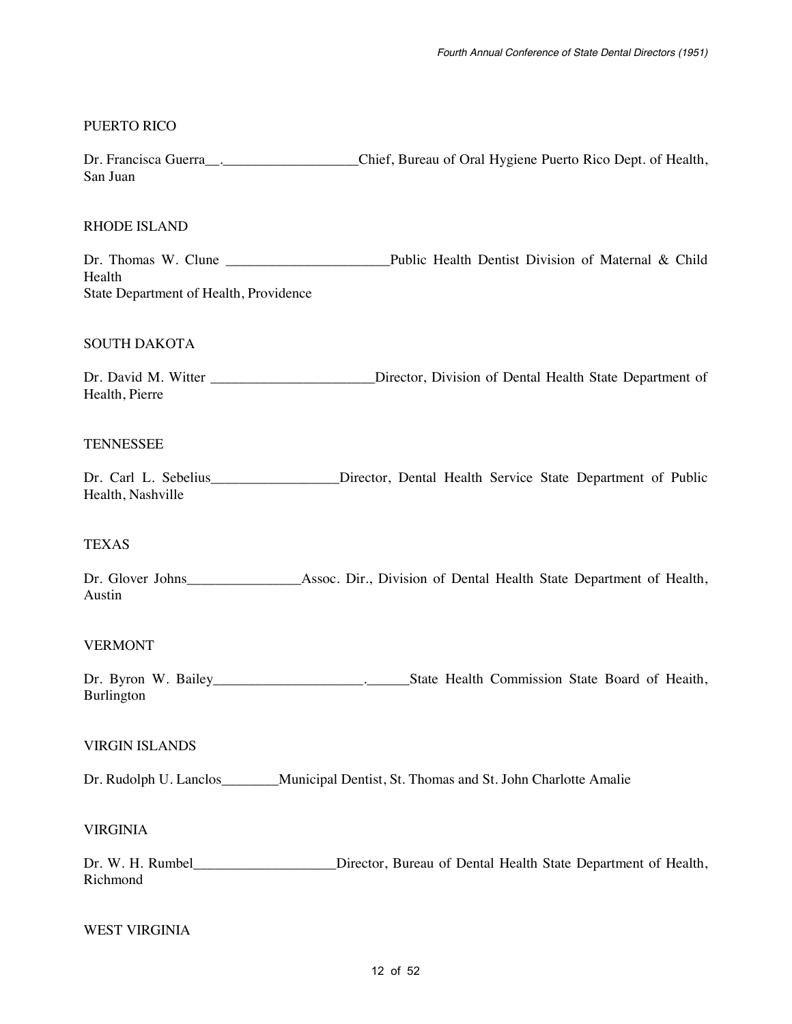#### PUERTO RICO

Dr. Francisca Guerra . <br>Chief, Bureau of Oral Hygiene Puerto Rico Dept. of Health, San Juan

#### RHODE ISLAND

Dr. Thomas W. Clune \_\_\_\_\_\_\_\_\_\_\_\_\_\_\_\_\_\_\_\_\_\_\_Public Health Dentist Division of Maternal & Child Health State Department of Health, Providence

#### SOUTH DAKOTA

Dr. David M. Witter \_\_\_\_\_\_\_\_\_\_\_\_\_\_\_\_\_\_\_\_\_\_\_Director, Division of Dental Health State Department of Health, Pierre

#### **TENNESSEE**

Dr. Carl L. Sebelius\_\_\_\_\_\_\_\_\_\_\_\_\_\_\_\_\_\_\_\_\_\_Director, Dental Health Service State Department of Public Health, Nashville

#### TEXAS

Dr. Glover Johns\_\_\_\_\_\_\_\_\_\_\_\_\_\_\_\_Assoc. Dir., Division of Dental Health State Department of Health, Austin

#### VERMONT

Dr. Byron W. Bailey\_\_\_\_\_\_\_\_\_\_\_\_\_\_\_\_\_\_\_\_\_.\_\_\_\_\_\_State Health Commission State Board of Heaith, Burlington

#### VIRGIN ISLANDS

Dr. Rudolph U. Lanclos\_\_\_\_\_\_\_\_Municipal Dentist, St. Thomas and St. John Charlotte Amalie

#### VIRGINIA

Dr. W. H. Rumbel\_\_\_\_\_\_\_\_\_\_\_\_\_\_\_\_\_\_\_\_\_Director, Bureau of Dental Health State Department of Health, Richmond

#### WEST VIRGINIA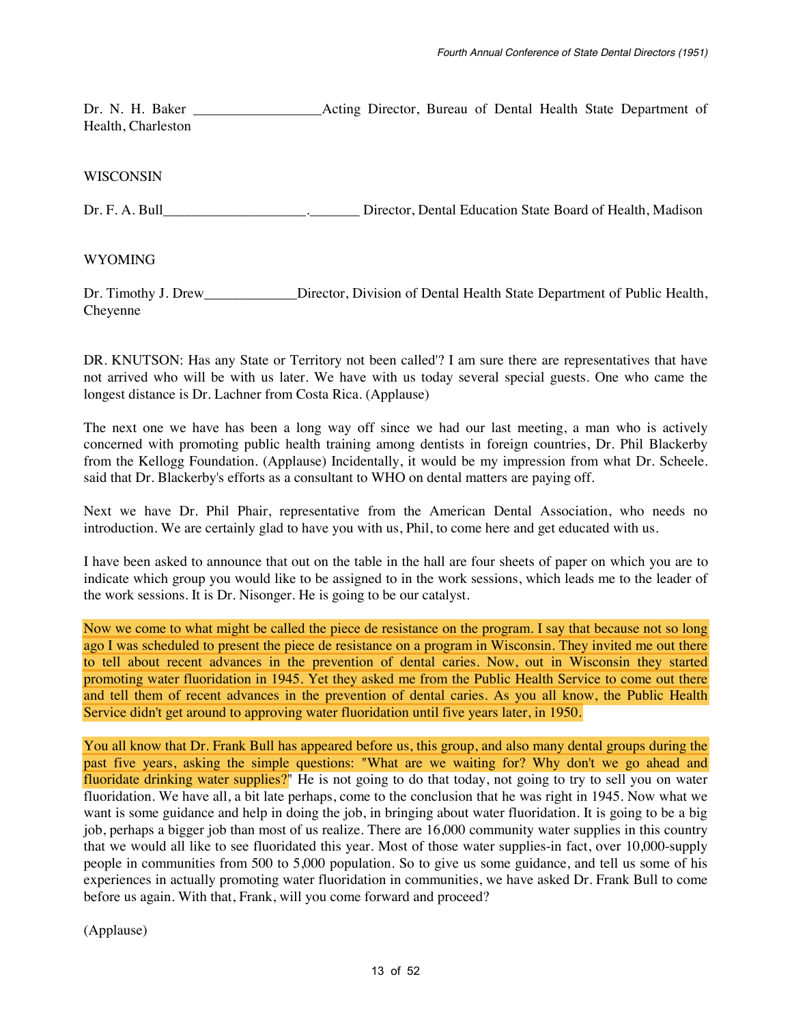Dr. N. H. Baker **Example 2** Acting Director, Bureau of Dental Health State Department of Health, Charleston

#### WISCONSIN

Dr. F. A. Bull\_\_\_\_\_\_\_\_\_\_\_\_\_\_\_\_\_\_\_\_.\_\_\_\_\_\_\_ Director, Dental Education State Board of Health, Madison

WYOMING

Dr. Timothy J. Drew\_\_\_\_\_\_\_\_\_\_\_\_\_\_\_Director, Division of Dental Health State Department of Public Health, Cheyenne

DR. KNUTSON: Has any State or Territory not been called'? I am sure there are representatives that have not arrived who will be with us later. We have with us today several special guests. One who came the longest distance is Dr. Lachner from Costa Rica. (Applause)

The next one we have has been a long way off since we had our last meeting, a man who is actively concerned with promoting public health training among dentists in foreign countries, Dr. Phil Blackerby from the Kellogg Foundation. (Applause) Incidentally, it would be my impression from what Dr. Scheele. said that Dr. Blackerby's efforts as a consultant to WHO on dental matters are paying off.

Next we have Dr. Phil Phair, representative from the American Dental Association, who needs no introduction. We are certainly glad to have you with us, Phil, to come here and get educated with us.

I have been asked to announce that out on the table in the hall are four sheets of paper on which you are to indicate which group you would like to be assigned to in the work sessions, which leads me to the leader of the work sessions. It is Dr. Nisonger. He is going to be our catalyst.

Now we come to what might be called the piece de resistance on the program. I say that because not so long ago I was scheduled to present the piece de resistance on a program in Wisconsin. They invited me out there to tell about recent advances in the prevention of dental caries. Now, out in Wisconsin they started promoting water fluoridation in 1945. Yet they asked me from the Public Health Service to come out there and tell them of recent advances in the prevention of dental caries. As you all know, the Public Health Service didn't get around to approving water fluoridation until five years later, in 1950.

You all know that Dr. Frank Bull has appeared before us, this group, and also many dental groups during the past five years, asking the simple questions: "What are we waiting for? Why don't we go ahead and fluoridate drinking water supplies?" He is not going to do that today, not going to try to sell you on water fluoridation. We have all, a bit late perhaps, come to the conclusion that he was right in 1945. Now what we want is some guidance and help in doing the job, in bringing about water fluoridation. It is going to be a big job, perhaps a bigger job than most of us realize. There are 16,000 community water supplies in this country that we would all like to see fluoridated this year. Most of those water supplies-in fact, over 10,000-supply people in communities from 500 to 5,000 population. So to give us some guidance, and tell us some of his experiences in actually promoting water fluoridation in communities, we have asked Dr. Frank Bull to come before us again. With that, Frank, will you come forward and proceed?

(Applause)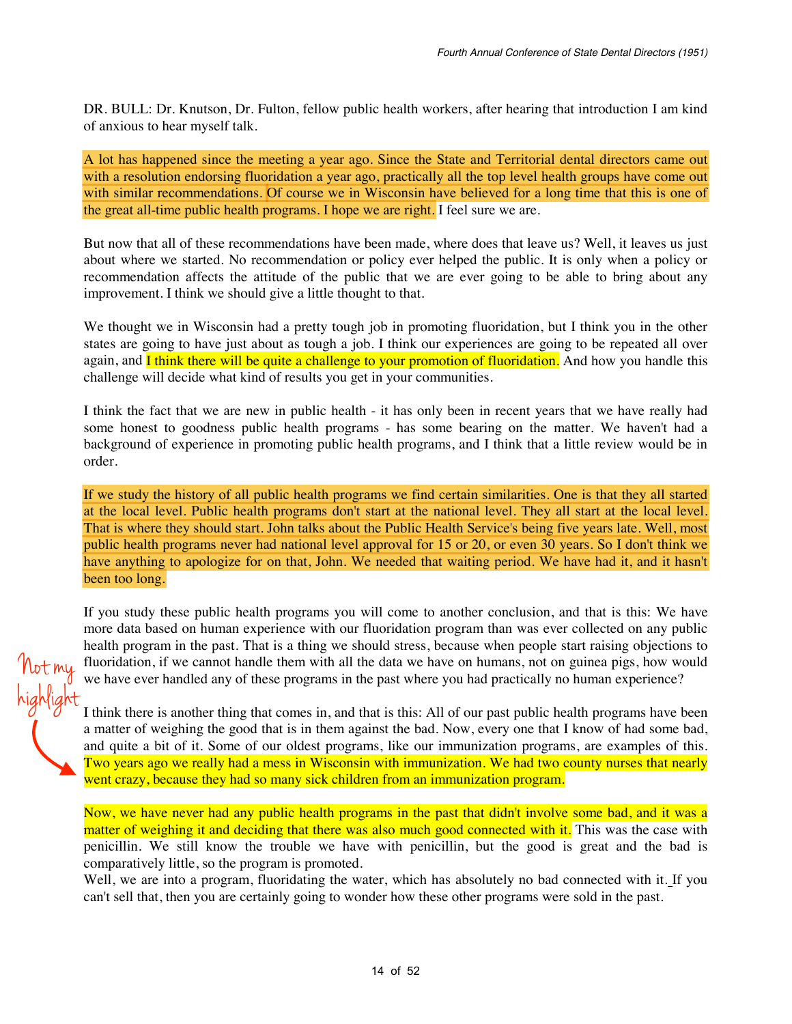DR. BULL: Dr. Knutson, Dr. Fulton, fellow public health workers, after hearing that introduction I am kind of anxious to hear myself talk.

A lot has happened since the meeting a year ago. Since the State and Territorial dental directors came out with a resolution endorsing fluoridation a year ago, practically all the top level health groups have come out with similar recommendations. Of course we in Wisconsin have believed for a long time that this is one of the great all-time public health programs. I hope we are right. I feel sure we are.

But now that all of these recommendations have been made, where does that leave us? Well, it leaves us just about where we started. No recommendation or policy ever helped the public. It is only when a policy or recommendation affects the attitude of the public that we are ever going to be able to bring about any improvement. I think we should give a little thought to that.

We thought we in Wisconsin had a pretty tough job in promoting fluoridation, but I think you in the other states are going to have just about as tough a job. I think our experiences are going to be repeated all over again, and **I think there will be quite a challenge to your promotion of fluoridation.** And how you handle this challenge will decide what kind of results you get in your communities.

I think the fact that we are new in public health - it has only been in recent years that we have really had some honest to goodness public health programs - has some bearing on the matter. We haven't had a background of experience in promoting public health programs, and I think that a little review would be in order.

If we study the history of all public health programs we find certain similarities. One is that they all started at the local level. Public health programs don't start at the national level. They all start at the local level. That is where they should start. John talks about the Public Health Service's being five years late. Well, most public health programs never had national level approval for 15 or 20, or even 30 years. So I don't think we have anything to apologize for on that, John. We needed that waiting period. We have had it, and it hasn't been too long.

If you study these public health programs you will come to another conclusion, and that is this: We have more data based on human experience with our fluoridation program than was ever collected on any public health program in the past. That is a thing we should stress, because when people start raising objections to fluoridation, if we cannot handle them with all the data we have on humans, not on guinea pigs, how would we have ever handled any of these programs in the past where you had practically no human experience?

Not my

highlight

I think there is another thing that comes in, and that is this: All of our past public health programs have been a matter of weighing the good that is in them against the bad. Now, every one that I know of had some bad, and quite a bit of it. Some of our oldest programs, like our immunization programs, are examples of this. Two years ago we really had a mess in Wisconsin with immunization. We had two county nurses that nearly went crazy, because they had so many sick children from an immunization program.

Now, we have never had any public health programs in the past that didn't involve some bad, and it was a matter of weighing it and deciding that there was also much good connected with it. This was the case with penicillin. We still know the trouble we have with penicillin, but the good is great and the bad is comparatively little, so the program is promoted.

Well, we are into a program, fluoridating the water, which has absolutely no bad connected with it. If you can't sell that, then you are certainly going to wonder how these other programs were sold in the past.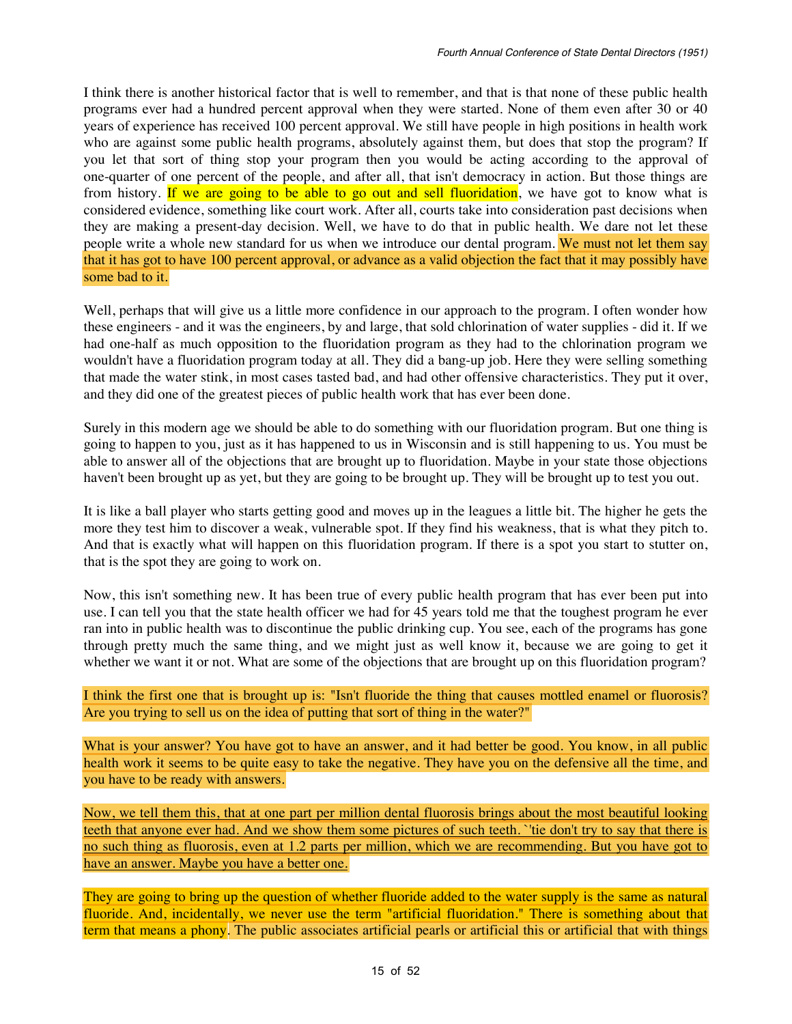I think there is another historical factor that is well to remember, and that is that none of these public health programs ever had a hundred percent approval when they were started. None of them even after 30 or 40 years of experience has received 100 percent approval. We still have people in high positions in health work who are against some public health programs, absolutely against them, but does that stop the program? If you let that sort of thing stop your program then you would be acting according to the approval of one-quarter of one percent of the people, and after all, that isn't democracy in action. But those things are from history. If we are going to be able to go out and sell fluoridation, we have got to know what is considered evidence, something like court work. After all, courts take into consideration past decisions when they are making a present-day decision. Well, we have to do that in public health. We dare not let these people write a whole new standard for us when we introduce our dental program. We must not let them say that it has got to have 100 percent approval, or advance as a valid objection the fact that it may possibly have some bad to it.

Well, perhaps that will give us a little more confidence in our approach to the program. I often wonder how these engineers - and it was the engineers, by and large, that sold chlorination of water supplies - did it. If we had one-half as much opposition to the fluoridation program as they had to the chlorination program we wouldn't have a fluoridation program today at all. They did a bang-up job. Here they were selling something that made the water stink, in most cases tasted bad, and had other offensive characteristics. They put it over, and they did one of the greatest pieces of public health work that has ever been done.

Surely in this modern age we should be able to do something with our fluoridation program. But one thing is going to happen to you, just as it has happened to us in Wisconsin and is still happening to us. You must be able to answer all of the objections that are brought up to fluoridation. Maybe in your state those objections haven't been brought up as yet, but they are going to be brought up. They will be brought up to test you out.

It is like a ball player who starts getting good and moves up in the leagues a little bit. The higher he gets the more they test him to discover a weak, vulnerable spot. If they find his weakness, that is what they pitch to. And that is exactly what will happen on this fluoridation program. If there is a spot you start to stutter on, that is the spot they are going to work on.

Now, this isn't something new. It has been true of every public health program that has ever been put into use. I can tell you that the state health officer we had for 45 years told me that the toughest program he ever ran into in public health was to discontinue the public drinking cup. You see, each of the programs has gone through pretty much the same thing, and we might just as well know it, because we are going to get it whether we want it or not. What are some of the objections that are brought up on this fluoridation program?

I think the first one that is brought up is: "Isn't fluoride the thing that causes mottled enamel or fluorosis? Are you trying to sell us on the idea of putting that sort of thing in the water?"

What is your answer? You have got to have an answer, and it had better be good. You know, in all public health work it seems to be quite easy to take the negative. They have you on the defensive all the time, and you have to be ready with answers.

Now, we tell them this, that at one part per million dental fluorosis brings about the most beautiful looking teeth that anyone ever had. And we show them some pictures of such teeth. `'tie don't try to say that there is no such thing as fluorosis, even at 1.2 parts per million, which we are recommending. But you have got to have an answer. Maybe you have a better one.

They are going to bring up the question of whether fluoride added to the water supply is the same as natural fluoride. And, incidentally, we never use the term "artificial fluoridation." There is something about that term that means a phony. The public associates artificial pearls or artificial this or artificial that with things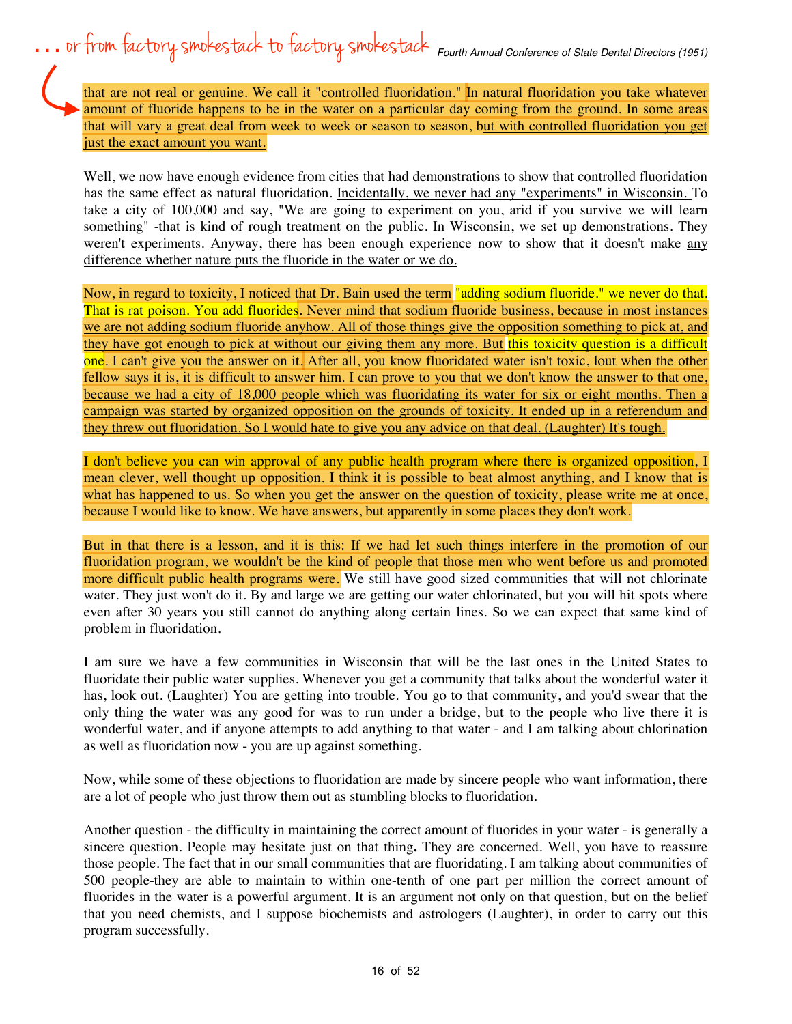that are not real or genuine. We call it "controlled fluoridation." In natural fluoridation you take whatever amount of fluoride happens to be in the water on a particular day coming from the ground. In some areas that will vary a great deal from week to week or season to season, but with controlled fluoridation you get just the exact amount you want.

Well, we now have enough evidence from cities that had demonstrations to show that controlled fluoridation has the same effect as natural fluoridation. Incidentally, we never had any "experiments" in Wisconsin. To take a city of 100,000 and say, "We are going to experiment on you, arid if you survive we will learn something" -that is kind of rough treatment on the public. In Wisconsin, we set up demonstrations. They weren't experiments. Anyway, there has been enough experience now to show that it doesn't make any difference whether nature puts the fluoride in the water or we do.

Now, in regard to toxicity, I noticed that Dr. Bain used the term "adding sodium fluoride." we never do that. That is rat poison. You add fluorides. Never mind that sodium fluoride business, because in most instances we are not adding sodium fluoride anyhow. All of those things give the opposition something to pick at, and they have got enough to pick at without our giving them any more. But this toxicity question is a difficult one. I can't give you the answer on it. After all, you know fluoridated water isn't toxic, lout when the other fellow says it is, it is difficult to answer him. I can prove to you that we don't know the answer to that one, because we had a city of 18,000 people which was fluoridating its water for six or eight months. Then a campaign was started by organized opposition on the grounds of toxicity. It ended up in a referendum and they threw out fluoridation. So I would hate to give you any advice on that deal. (Laughter) It's tough.

I don't believe you can win approval of any public health program where there is organized opposition, I mean clever, well thought up opposition. I think it is possible to beat almost anything, and I know that is what has happened to us. So when you get the answer on the question of toxicity, please write me at once, because I would like to know. We have answers, but apparently in some places they don't work.

But in that there is a lesson, and it is this: If we had let such things interfere in the promotion of our fluoridation program, we wouldn't be the kind of people that those men who went before us and promoted more difficult public health programs were. We still have good sized communities that will not chlorinate water. They just won't do it. By and large we are getting our water chlorinated, but you will hit spots where even after 30 years you still cannot do anything along certain lines. So we can expect that same kind of problem in fluoridation.

I am sure we have a few communities in Wisconsin that will be the last ones in the United States to fluoridate their public water supplies. Whenever you get a community that talks about the wonderful water it has, look out. (Laughter) You are getting into trouble. You go to that community, and you'd swear that the only thing the water was any good for was to run under a bridge, but to the people who live there it is wonderful water, and if anyone attempts to add anything to that water - and I am talking about chlorination as well as fluoridation now - you are up against something.

Now, while some of these objections to fluoridation are made by sincere people who want information, there are a lot of people who just throw them out as stumbling blocks to fluoridation.

Another question - the difficulty in maintaining the correct amount of fluorides in your water - is generally a sincere question. People may hesitate just on that thing**.** They are concerned. Well, you have to reassure those people. The fact that in our small communities that are fluoridating. I am talking about communities of 500 people-they are able to maintain to within one-tenth of one part per million the correct amount of fluorides in the water is a powerful argument. It is an argument not only on that question, but on the belief that you need chemists, and I suppose biochemists and astrologers (Laughter), in order to carry out this program successfully.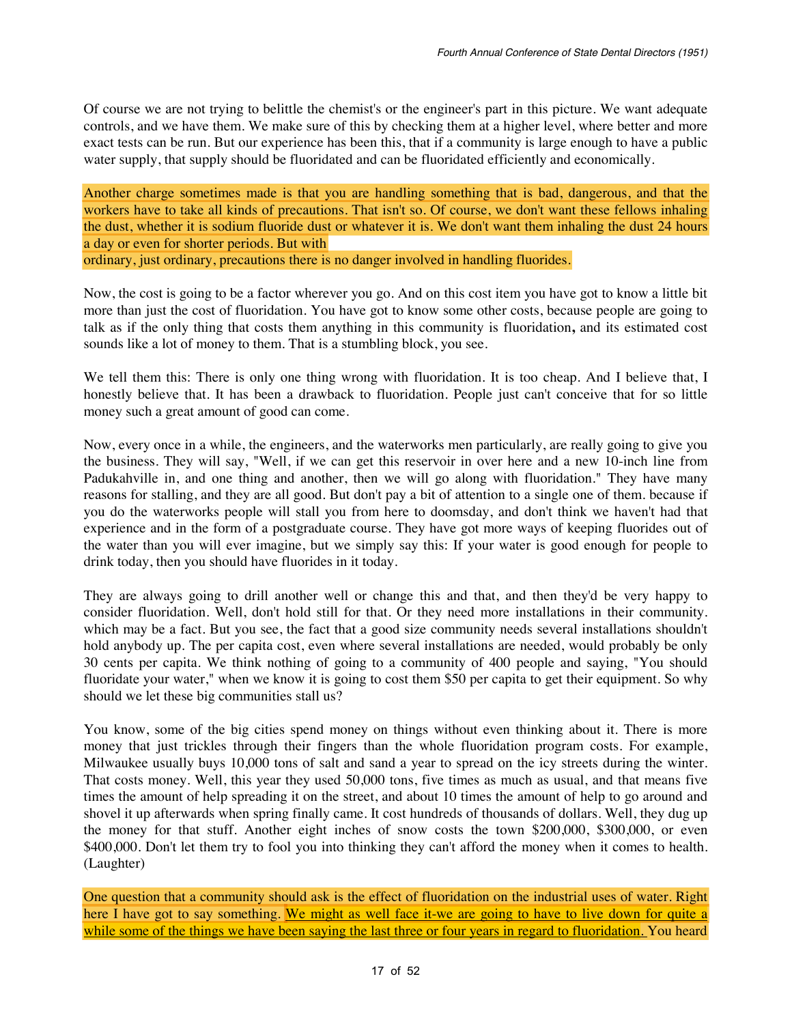Of course we are not trying to belittle the chemist's or the engineer's part in this picture. We want adequate controls, and we have them. We make sure of this by checking them at a higher level, where better and more exact tests can be run. But our experience has been this, that if a community is large enough to have a public water supply, that supply should be fluoridated and can be fluoridated efficiently and economically.

Another charge sometimes made is that you are handling something that is bad, dangerous, and that the workers have to take all kinds of precautions. That isn't so. Of course, we don't want these fellows inhaling the dust, whether it is sodium fluoride dust or whatever it is. We don't want them inhaling the dust 24 hours a day or even for shorter periods. But with ordinary, just ordinary, precautions there is no danger involved in handling fluorides.

Now, the cost is going to be a factor wherever you go. And on this cost item you have got to know a little bit more than just the cost of fluoridation. You have got to know some other costs, because people are going to talk as if the only thing that costs them anything in this community is fluoridation**,** and its estimated cost sounds like a lot of money to them. That is a stumbling block, you see.

We tell them this: There is only one thing wrong with fluoridation. It is too cheap. And I believe that, I honestly believe that. It has been a drawback to fluoridation. People just can't conceive that for so little money such a great amount of good can come.

Now, every once in a while, the engineers, and the waterworks men particularly, are really going to give you the business. They will say, "Well, if we can get this reservoir in over here and a new 10-inch line from Padukahville in, and one thing and another, then we will go along with fluoridation." They have many reasons for stalling, and they are all good. But don't pay a bit of attention to a single one of them. because if you do the waterworks people will stall you from here to doomsday, and don't think we haven't had that experience and in the form of a postgraduate course. They have got more ways of keeping fluorides out of the water than you will ever imagine, but we simply say this: If your water is good enough for people to drink today, then you should have fluorides in it today.

They are always going to drill another well or change this and that, and then they'd be very happy to consider fluoridation. Well, don't hold still for that. Or they need more installations in their community. which may be a fact. But you see, the fact that a good size community needs several installations shouldn't hold anybody up. The per capita cost, even where several installations are needed, would probably be only 30 cents per capita. We think nothing of going to a community of 400 people and saying, "You should fluoridate your water," when we know it is going to cost them \$50 per capita to get their equipment. So why should we let these big communities stall us?

You know, some of the big cities spend money on things without even thinking about it. There is more money that just trickles through their fingers than the whole fluoridation program costs. For example, Milwaukee usually buys 10,000 tons of salt and sand a year to spread on the icy streets during the winter. That costs money. Well, this year they used 50,000 tons, five times as much as usual, and that means five times the amount of help spreading it on the street, and about 10 times the amount of help to go around and shovel it up afterwards when spring finally came. It cost hundreds of thousands of dollars. Well, they dug up the money for that stuff. Another eight inches of snow costs the town \$200,000, \$300,000, or even \$400,000. Don't let them try to fool you into thinking they can't afford the money when it comes to health. (Laughter)

One question that a community should ask is the effect of fluoridation on the industrial uses of water. Right here I have got to say something. We might as well face it-we are going to have to live down for quite a while some of the things we have been saying the last three or four years in regard to fluoridation. You heard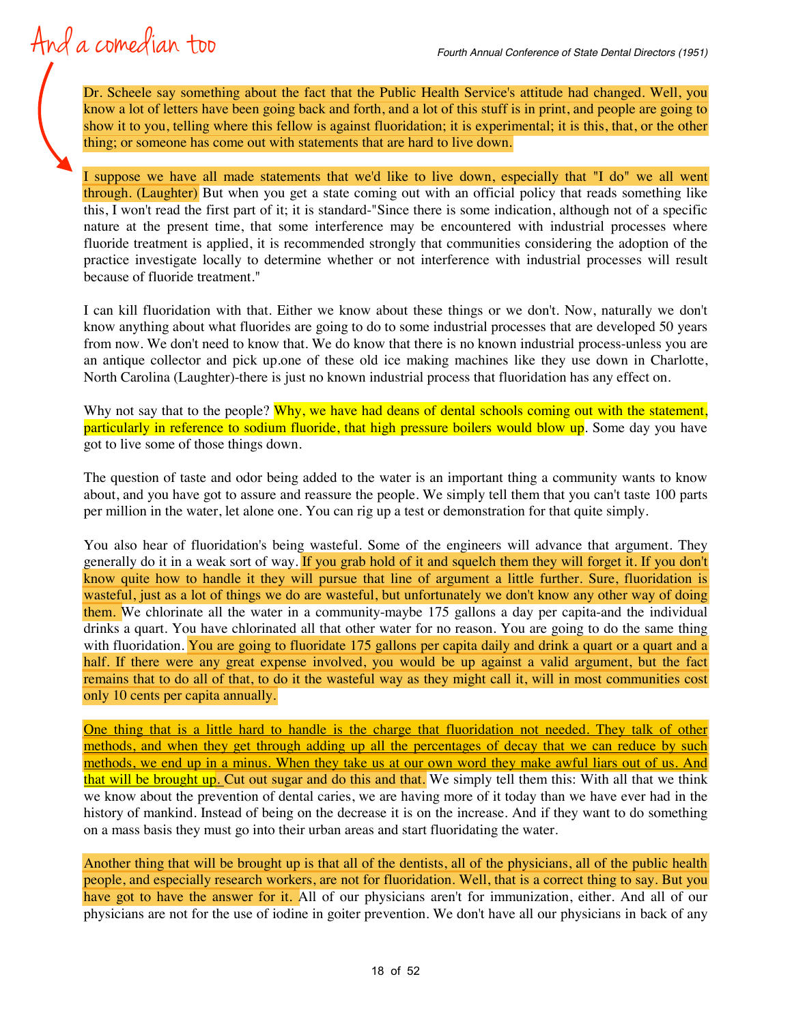## And a comedian too

Dr. Scheele say something about the fact that the Public Health Service's attitude had changed. Well, you know a lot of letters have been going back and forth, and a lot of this stuff is in print, and people are going to show it to you, telling where this fellow is against fluoridation; it is experimental; it is this, that, or the other thing; or someone has come out with statements that are hard to live down.

I suppose we have all made statements that we'd like to live down, especially that "I do" we all went through. (Laughter) But when you get a state coming out with an official policy that reads something like this, I won't read the first part of it; it is standard-"Since there is some indication, although not of a specific nature at the present time, that some interference may be encountered with industrial processes where fluoride treatment is applied, it is recommended strongly that communities considering the adoption of the practice investigate locally to determine whether or not interference with industrial processes will result because of fluoride treatment."

I can kill fluoridation with that. Either we know about these things or we don't. Now, naturally we don't know anything about what fluorides are going to do to some industrial processes that are developed 50 years from now. We don't need to know that. We do know that there is no known industrial process-unless you are an antique collector and pick up.one of these old ice making machines like they use down in Charlotte, North Carolina (Laughter)-there is just no known industrial process that fluoridation has any effect on.

Why not say that to the people? Why, we have had deans of dental schools coming out with the statement, particularly in reference to sodium fluoride, that high pressure boilers would blow up. Some day you have got to live some of those things down.

The question of taste and odor being added to the water is an important thing a community wants to know about, and you have got to assure and reassure the people. We simply tell them that you can't taste 100 parts per million in the water, let alone one. You can rig up a test or demonstration for that quite simply.

You also hear of fluoridation's being wasteful. Some of the engineers will advance that argument. They generally do it in a weak sort of way. If you grab hold of it and squelch them they will forget it. If you don't know quite how to handle it they will pursue that line of argument a little further. Sure, fluoridation is wasteful, just as a lot of things we do are wasteful, but unfortunately we don't know any other way of doing them. We chlorinate all the water in a community-maybe 175 gallons a day per capita-and the individual drinks a quart. You have chlorinated all that other water for no reason. You are going to do the same thing with fluoridation. You are going to fluoridate 175 gallons per capita daily and drink a quart or a quart and a half. If there were any great expense involved, you would be up against a valid argument, but the fact remains that to do all of that, to do it the wasteful way as they might call it, will in most communities cost only 10 cents per capita annually.

One thing that is a little hard to handle is the charge that fluoridation not needed. They talk of other methods, and when they get through adding up all the percentages of decay that we can reduce by such methods, we end up in a minus. When they take us at our own word they make awful liars out of us. And that will be brought up. Cut out sugar and do this and that. We simply tell them this: With all that we think we know about the prevention of dental caries, we are having more of it today than we have ever had in the history of mankind. Instead of being on the decrease it is on the increase. And if they want to do something on a mass basis they must go into their urban areas and start fluoridating the water.

Another thing that will be brought up is that all of the dentists, all of the physicians, all of the public health people, and especially research workers, are not for fluoridation. Well, that is a correct thing to say. But you have got to have the answer for it. All of our physicians aren't for immunization, either. And all of our physicians are not for the use of iodine in goiter prevention. We don't have all our physicians in back of any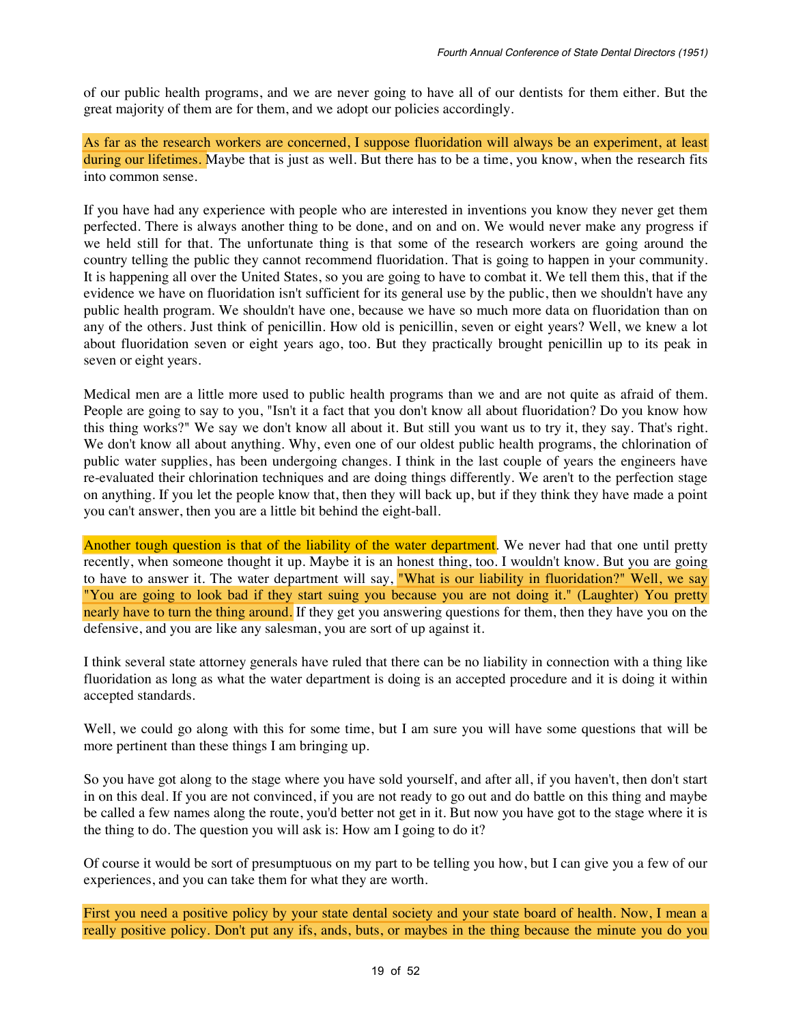of our public health programs, and we are never going to have all of our dentists for them either. But the great majority of them are for them, and we adopt our policies accordingly.

As far as the research workers are concerned, I suppose fluoridation will always be an experiment, at least during our lifetimes. Maybe that is just as well. But there has to be a time, you know, when the research fits into common sense.

If you have had any experience with people who are interested in inventions you know they never get them perfected. There is always another thing to be done, and on and on. We would never make any progress if we held still for that. The unfortunate thing is that some of the research workers are going around the country telling the public they cannot recommend fluoridation. That is going to happen in your community. It is happening all over the United States, so you are going to have to combat it. We tell them this, that if the evidence we have on fluoridation isn't sufficient for its general use by the public, then we shouldn't have any public health program. We shouldn't have one, because we have so much more data on fluoridation than on any of the others. Just think of penicillin. How old is penicillin, seven or eight years? Well, we knew a lot about fluoridation seven or eight years ago, too. But they practically brought penicillin up to its peak in seven or eight years.

Medical men are a little more used to public health programs than we and are not quite as afraid of them. People are going to say to you, "Isn't it a fact that you don't know all about fluoridation? Do you know how this thing works?" We say we don't know all about it. But still you want us to try it, they say. That's right. We don't know all about anything. Why, even one of our oldest public health programs, the chlorination of public water supplies, has been undergoing changes. I think in the last couple of years the engineers have re-evaluated their chlorination techniques and are doing things differently. We aren't to the perfection stage on anything. If you let the people know that, then they will back up, but if they think they have made a point you can't answer, then you are a little bit behind the eight-ball.

Another tough question is that of the liability of the water department. We never had that one until pretty recently, when someone thought it up. Maybe it is an honest thing, too. I wouldn't know. But you are going to have to answer it. The water department will say, "What is our liability in fluoridation?" Well, we say "You are going to look bad if they start suing you because you are not doing it." (Laughter) You pretty nearly have to turn the thing around. If they get you answering questions for them, then they have you on the defensive, and you are like any salesman, you are sort of up against it.

I think several state attorney generals have ruled that there can be no liability in connection with a thing like fluoridation as long as what the water department is doing is an accepted procedure and it is doing it within accepted standards.

Well, we could go along with this for some time, but I am sure you will have some questions that will be more pertinent than these things I am bringing up.

So you have got along to the stage where you have sold yourself, and after all, if you haven't, then don't start in on this deal. If you are not convinced, if you are not ready to go out and do battle on this thing and maybe be called a few names along the route, you'd better not get in it. But now you have got to the stage where it is the thing to do. The question you will ask is: How am I going to do it?

Of course it would be sort of presumptuous on my part to be telling you how, but I can give you a few of our experiences, and you can take them for what they are worth.

First you need a positive policy by your state dental society and your state board of health. Now, I mean a really positive policy. Don't put any ifs, ands, buts, or maybes in the thing because the minute you do you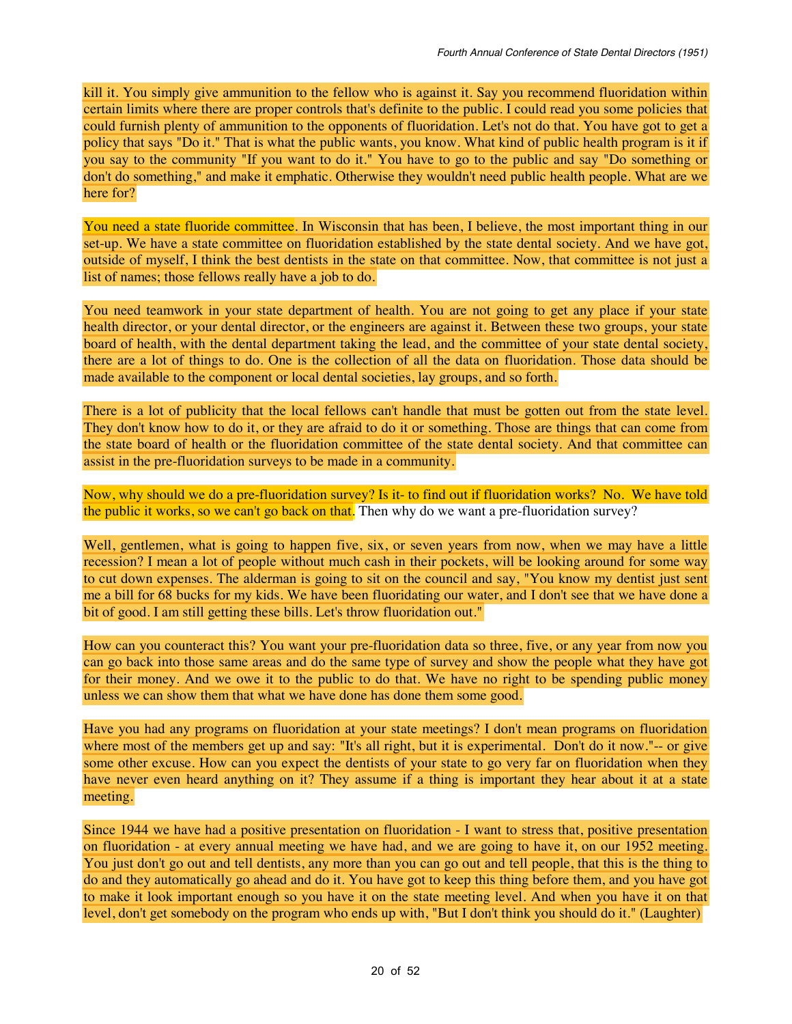kill it. You simply give ammunition to the fellow who is against it. Say you recommend fluoridation within certain limits where there are proper controls that's definite to the public. I could read you some policies that could furnish plenty of ammunition to the opponents of fluoridation. Let's not do that. You have got to get a policy that says "Do it." That is what the public wants, you know. What kind of public health program is it if you say to the community "If you want to do it." You have to go to the public and say "Do something or don't do something," and make it emphatic. Otherwise they wouldn't need public health people. What are we here for?

You need a state fluoride committee. In Wisconsin that has been, I believe, the most important thing in our set-up. We have a state committee on fluoridation established by the state dental society. And we have got, outside of myself, I think the best dentists in the state on that committee. Now, that committee is not just a list of names; those fellows really have a job to do.

You need teamwork in your state department of health. You are not going to get any place if your state health director, or your dental director, or the engineers are against it. Between these two groups, your state board of health, with the dental department taking the lead, and the committee of your state dental society, there are a lot of things to do. One is the collection of all the data on fluoridation. Those data should be made available to the component or local dental societies, lay groups, and so forth.

There is a lot of publicity that the local fellows can't handle that must be gotten out from the state level. They don't know how to do it, or they are afraid to do it or something. Those are things that can come from the state board of health or the fluoridation committee of the state dental society. And that committee can assist in the pre-fluoridation surveys to be made in a community.

Now, why should we do a pre-fluoridation survey? Is it- to find out if fluoridation works? No. We have told the public it works, so we can't go back on that. Then why do we want a pre-fluoridation survey?

Well, gentlemen, what is going to happen five, six, or seven years from now, when we may have a little recession? I mean a lot of people without much cash in their pockets, will be looking around for some way to cut down expenses. The alderman is going to sit on the council and say, "You know my dentist just sent me a bill for 68 bucks for my kids. We have been fluoridating our water, and I don't see that we have done a bit of good. I am still getting these bills. Let's throw fluoridation out."

How can you counteract this? You want your pre-fluoridation data so three, five, or any year from now you can go back into those same areas and do the same type of survey and show the people what they have got for their money. And we owe it to the public to do that. We have no right to be spending public money unless we can show them that what we have done has done them some good.

Have you had any programs on fluoridation at your state meetings? I don't mean programs on fluoridation where most of the members get up and say: "It's all right, but it is experimental. Don't do it now."-- or give some other excuse. How can you expect the dentists of your state to go very far on fluoridation when they have never even heard anything on it? They assume if a thing is important they hear about it at a state meeting.

Since 1944 we have had a positive presentation on fluoridation - I want to stress that, positive presentation on fluoridation - at every annual meeting we have had, and we are going to have it, on our 1952 meeting. You just don't go out and tell dentists, any more than you can go out and tell people, that this is the thing to do and they automatically go ahead and do it. You have got to keep this thing before them, and you have got to make it look important enough so you have it on the state meeting level. And when you have it on that level, don't get somebody on the program who ends up with, "But I don't think you should do it." (Laughter)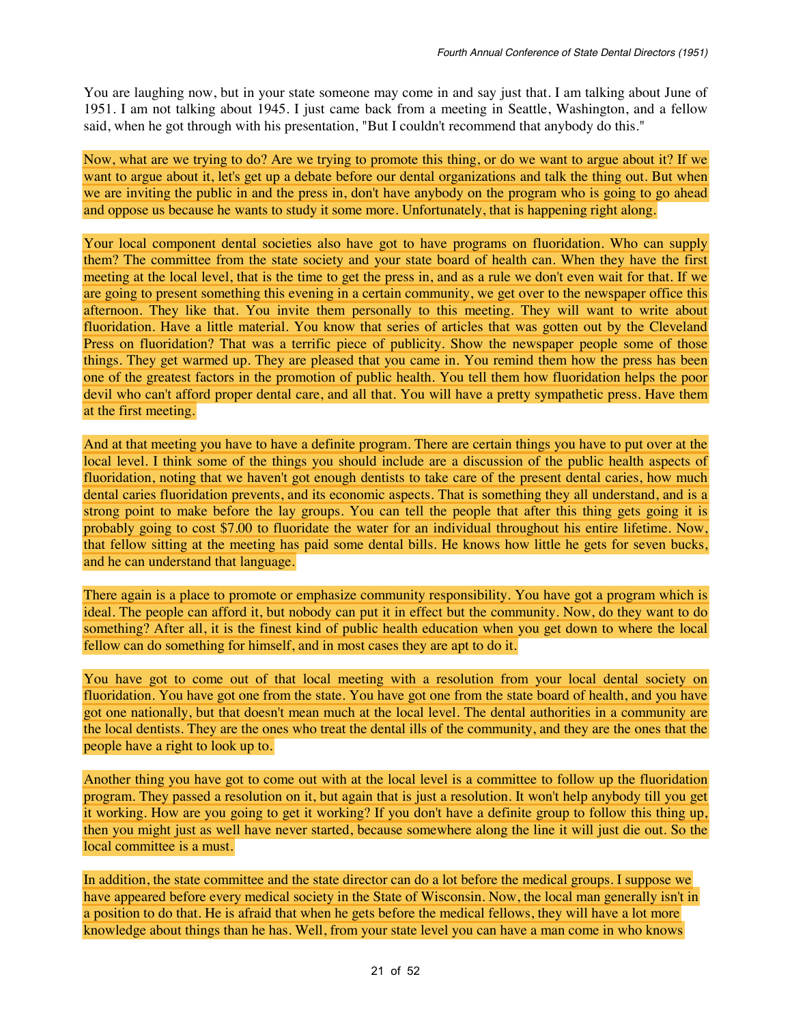You are laughing now, but in your state someone may come in and say just that. I am talking about June of 1951. I am not talking about 1945. I just came back from a meeting in Seattle, Washington, and a fellow said, when he got through with his presentation, "But I couldn't recommend that anybody do this."

Now, what are we trying to do? Are we trying to promote this thing, or do we want to argue about it? If we want to argue about it, let's get up a debate before our dental organizations and talk the thing out. But when we are inviting the public in and the press in, don't have anybody on the program who is going to go ahead and oppose us because he wants to study it some more. Unfortunately, that is happening right along.

Your local component dental societies also have got to have programs on fluoridation. Who can supply them? The committee from the state society and your state board of health can. When they have the first meeting at the local level, that is the time to get the press in, and as a rule we don't even wait for that. If we are going to present something this evening in a certain community, we get over to the newspaper office this afternoon. They like that. You invite them personally to this meeting. They will want to write about fluoridation. Have a little material. You know that series of articles that was gotten out by the Cleveland Press on fluoridation? That was a terrific piece of publicity. Show the newspaper people some of those things. They get warmed up. They are pleased that you came in. You remind them how the press has been one of the greatest factors in the promotion of public health. You tell them how fluoridation helps the poor devil who can't afford proper dental care, and all that. You will have a pretty sympathetic press. Have them at the first meeting.

And at that meeting you have to have a definite program. There are certain things you have to put over at the local level. I think some of the things you should include are a discussion of the public health aspects of fluoridation, noting that we haven't got enough dentists to take care of the present dental caries, how much dental caries fluoridation prevents, and its economic aspects. That is something they all understand, and is a strong point to make before the lay groups. You can tell the people that after this thing gets going it is probably going to cost \$7.00 to fluoridate the water for an individual throughout his entire lifetime. Now, that fellow sitting at the meeting has paid some dental bills. He knows how little he gets for seven bucks, and he can understand that language.

There again is a place to promote or emphasize community responsibility. You have got a program which is ideal. The people can afford it, but nobody can put it in effect but the community. Now, do they want to do something? After all, it is the finest kind of public health education when you get down to where the local fellow can do something for himself, and in most cases they are apt to do it.

You have got to come out of that local meeting with a resolution from your local dental society on fluoridation. You have got one from the state. You have got one from the state board of health, and you have got one nationally, but that doesn't mean much at the local level. The dental authorities in a community are the local dentists. They are the ones who treat the dental ills of the community, and they are the ones that the people have a right to look up to.

Another thing you have got to come out with at the local level is a committee to follow up the fluoridation program. They passed a resolution on it, but again that is just a resolution. It won't help anybody till you get it working. How are you going to get it working? If you don't have a definite group to follow this thing up, then you might just as well have never started, because somewhere along the line it will just die out. So the local committee is a must.

In addition, the state committee and the state director can do a lot before the medical groups. I suppose we have appeared before every medical society in the State of Wisconsin. Now, the local man generally isn't in a position to do that. He is afraid that when he gets before the medical fellows, they will have a lot more knowledge about things than he has. Well, from your state level you can have a man come in who knows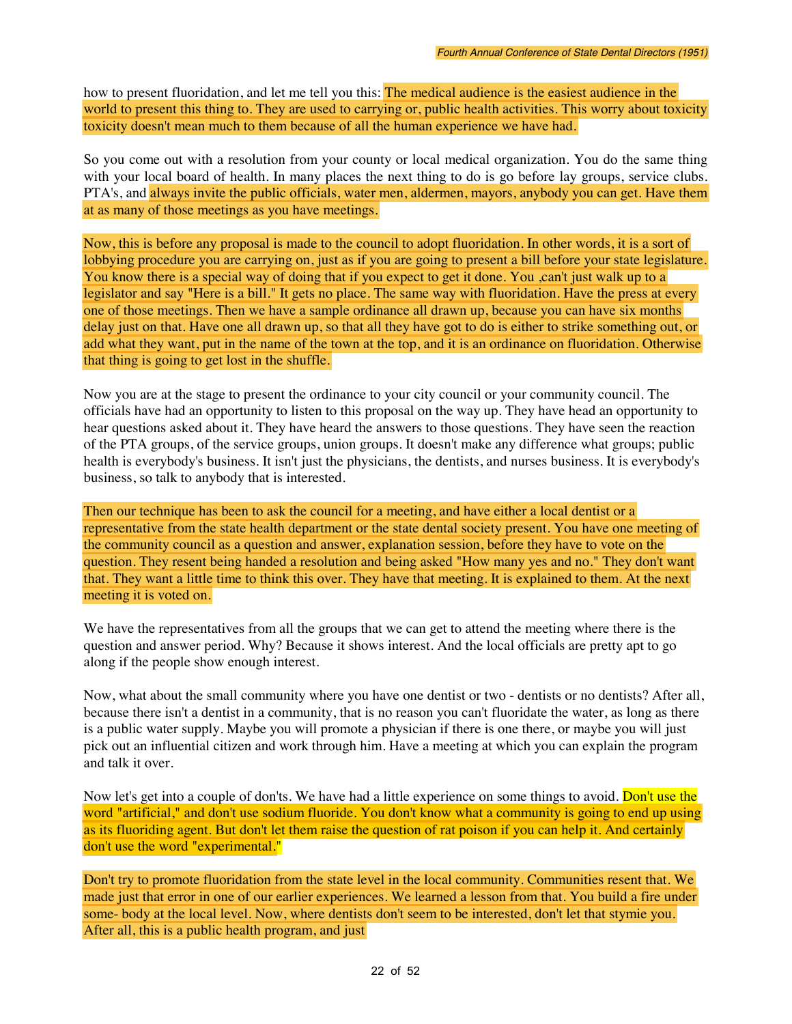how to present fluoridation, and let me tell you this: The medical audience is the easiest audience in the world to present this thing to. They are used to carrying or, public health activities. This worry about toxicity toxicity doesn't mean much to them because of all the human experience we have had.

So you come out with a resolution from your county or local medical organization. You do the same thing with your local board of health. In many places the next thing to do is go before lay groups, service clubs. PTA's, and always invite the public officials, water men, aldermen, mayors, anybody you can get. Have them at as many of those meetings as you have meetings.

Now, this is before any proposal is made to the council to adopt fluoridation. In other words, it is a sort of lobbying procedure you are carrying on, just as if you are going to present a bill before your state legislature. You know there is a special way of doing that if you expect to get it done. You ,can't just walk up to a legislator and say "Here is a bill." It gets no place. The same way with fluoridation. Have the press at every one of those meetings. Then we have a sample ordinance all drawn up, because you can have six months delay just on that. Have one all drawn up, so that all they have got to do is either to strike something out, or add what they want, put in the name of the town at the top, and it is an ordinance on fluoridation. Otherwise that thing is going to get lost in the shuffle.

Now you are at the stage to present the ordinance to your city council or your community council. The officials have had an opportunity to listen to this proposal on the way up. They have head an opportunity to hear questions asked about it. They have heard the answers to those questions. They have seen the reaction of the PTA groups, of the service groups, union groups. It doesn't make any difference what groups; public health is everybody's business. It isn't just the physicians, the dentists, and nurses business. It is everybody's business, so talk to anybody that is interested.

Then our technique has been to ask the council for a meeting, and have either a local dentist or a representative from the state health department or the state dental society present. You have one meeting of the community council as a question and answer, explanation session, before they have to vote on the question. They resent being handed a resolution and being asked "How many yes and no." They don't want that. They want a little time to think this over. They have that meeting. It is explained to them. At the next meeting it is voted on.

We have the representatives from all the groups that we can get to attend the meeting where there is the question and answer period. Why? Because it shows interest. And the local officials are pretty apt to go along if the people show enough interest.

Now, what about the small community where you have one dentist or two - dentists or no dentists? After all, because there isn't a dentist in a community, that is no reason you can't fluoridate the water, as long as there is a public water supply. Maybe you will promote a physician if there is one there, or maybe you will just pick out an influential citizen and work through him. Have a meeting at which you can explain the program and talk it over.

Now let's get into a couple of don'ts. We have had a little experience on some things to avoid. Don't use the word "artificial," and don't use sodium fluoride. You don't know what a community is going to end up using as its fluoriding agent. But don't let them raise the question of rat poison if you can help it. And certainly don't use the word "experimental."

Don't try to promote fluoridation from the state level in the local community. Communities resent that. We made just that error in one of our earlier experiences. We learned a lesson from that. You build a fire under some- body at the local level. Now, where dentists don't seem to be interested, don't let that stymie you. After all, this is a public health program, and just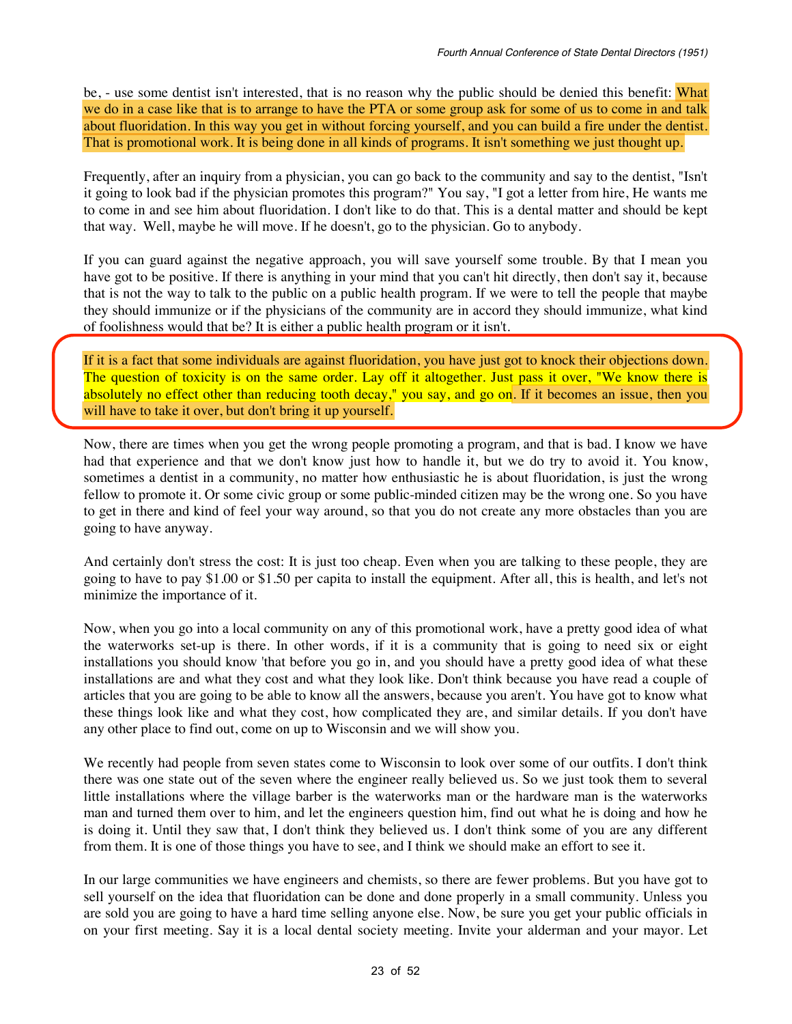be, - use some dentist isn't interested, that is no reason why the public should be denied this benefit: What we do in a case like that is to arrange to have the PTA or some group ask for some of us to come in and talk about fluoridation. In this way you get in without forcing yourself, and you can build a fire under the dentist. That is promotional work. It is being done in all kinds of programs. It isn't something we just thought up.

Frequently, after an inquiry from a physician, you can go back to the community and say to the dentist, "Isn't it going to look bad if the physician promotes this program?" You say, "I got a letter from hire, He wants me to come in and see him about fluoridation. I don't like to do that. This is a dental matter and should be kept that way. Well, maybe he will move. If he doesn't, go to the physician. Go to anybody.

If you can guard against the negative approach, you will save yourself some trouble. By that I mean you have got to be positive. If there is anything in your mind that you can't hit directly, then don't say it, because that is not the way to talk to the public on a public health program. If we were to tell the people that maybe they should immunize or if the physicians of the community are in accord they should immunize, what kind of foolishness would that be? It is either a public health program or it isn't.

If it is a fact that some individuals are against fluoridation, you have just got to knock their objections down. The question of toxicity is on the same order. Lay off it altogether. Just pass it over, "We know there is absolutely no effect other than reducing tooth decay," you say, and go on. If it becomes an issue, then you will have to take it over, but don't bring it up yourself.

Now, there are times when you get the wrong people promoting a program, and that is bad. I know we have had that experience and that we don't know just how to handle it, but we do try to avoid it. You know, sometimes a dentist in a community, no matter how enthusiastic he is about fluoridation, is just the wrong fellow to promote it. Or some civic group or some public-minded citizen may be the wrong one. So you have to get in there and kind of feel your way around, so that you do not create any more obstacles than you are going to have anyway.

And certainly don't stress the cost: It is just too cheap. Even when you are talking to these people, they are going to have to pay \$1.00 or \$1.50 per capita to install the equipment. After all, this is health, and let's not minimize the importance of it.

Now, when you go into a local community on any of this promotional work, have a pretty good idea of what the waterworks set-up is there. In other words, if it is a community that is going to need six or eight installations you should know 'that before you go in, and you should have a pretty good idea of what these installations are and what they cost and what they look like. Don't think because you have read a couple of articles that you are going to be able to know all the answers, because you aren't. You have got to know what these things look like and what they cost, how complicated they are, and similar details. If you don't have any other place to find out, come on up to Wisconsin and we will show you.

We recently had people from seven states come to Wisconsin to look over some of our outfits. I don't think there was one state out of the seven where the engineer really believed us. So we just took them to several little installations where the village barber is the waterworks man or the hardware man is the waterworks man and turned them over to him, and let the engineers question him, find out what he is doing and how he is doing it. Until they saw that, I don't think they believed us. I don't think some of you are any different from them. It is one of those things you have to see, and I think we should make an effort to see it.

In our large communities we have engineers and chemists, so there are fewer problems. But you have got to sell yourself on the idea that fluoridation can be done and done properly in a small community. Unless you are sold you are going to have a hard time selling anyone else. Now, be sure you get your public officials in on your first meeting. Say it is a local dental society meeting. Invite your alderman and your mayor. Let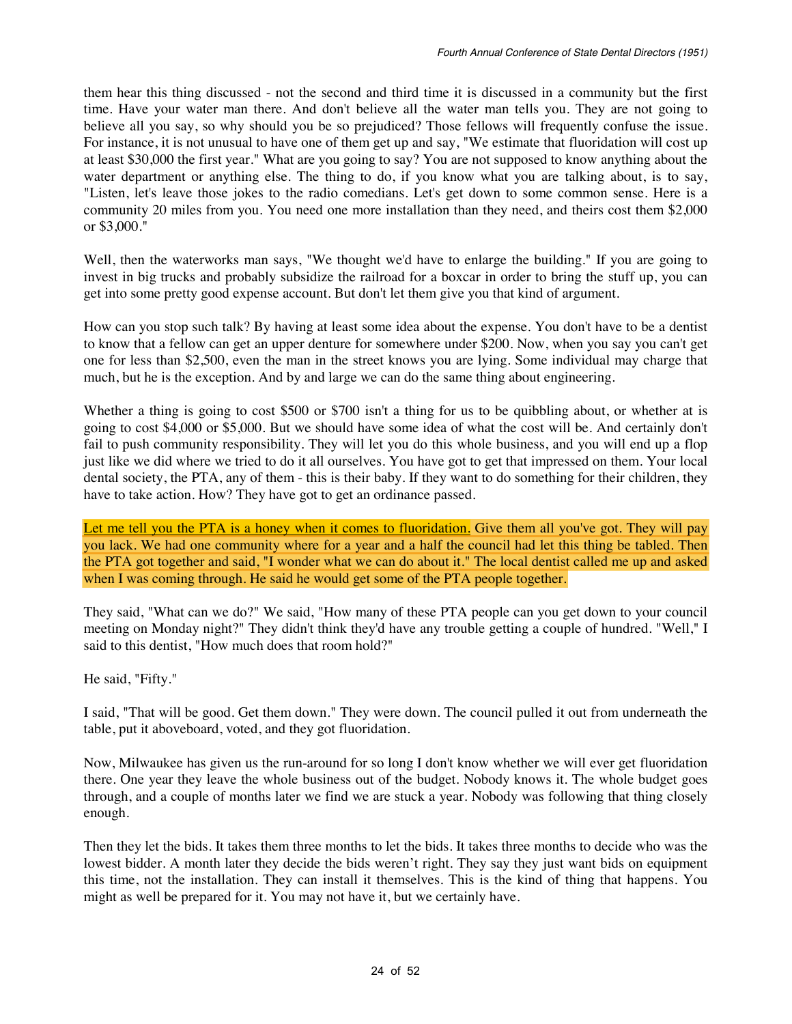them hear this thing discussed - not the second and third time it is discussed in a community but the first time. Have your water man there. And don't believe all the water man tells you. They are not going to believe all you say, so why should you be so prejudiced? Those fellows will frequently confuse the issue. For instance, it is not unusual to have one of them get up and say, "We estimate that fluoridation will cost up at least \$30,000 the first year." What are you going to say? You are not supposed to know anything about the water department or anything else. The thing to do, if you know what you are talking about, is to say, "Listen, let's leave those jokes to the radio comedians. Let's get down to some common sense. Here is a community 20 miles from you. You need one more installation than they need, and theirs cost them \$2,000 or \$3,000."

Well, then the waterworks man says, "We thought we'd have to enlarge the building." If you are going to invest in big trucks and probably subsidize the railroad for a boxcar in order to bring the stuff up, you can get into some pretty good expense account. But don't let them give you that kind of argument.

How can you stop such talk? By having at least some idea about the expense. You don't have to be a dentist to know that a fellow can get an upper denture for somewhere under \$200. Now, when you say you can't get one for less than \$2,500, even the man in the street knows you are lying. Some individual may charge that much, but he is the exception. And by and large we can do the same thing about engineering.

Whether a thing is going to cost \$500 or \$700 isn't a thing for us to be quibbling about, or whether at is going to cost \$4,000 or \$5,000. But we should have some idea of what the cost will be. And certainly don't fail to push community responsibility. They will let you do this whole business, and you will end up a flop just like we did where we tried to do it all ourselves. You have got to get that impressed on them. Your local dental society, the PTA, any of them - this is their baby. If they want to do something for their children, they have to take action. How? They have got to get an ordinance passed.

Let me tell you the PTA is a honey when it comes to fluoridation. Give them all you've got. They will pay you lack. We had one community where for a year and a half the council had let this thing be tabled. Then the PTA got together and said, "I wonder what we can do about it." The local dentist called me up and asked when I was coming through. He said he would get some of the PTA people together.

They said, "What can we do?" We said, "How many of these PTA people can you get down to your council meeting on Monday night?" They didn't think they'd have any trouble getting a couple of hundred. "Well," I said to this dentist, "How much does that room hold?"

He said, "Fifty."

I said, "That will be good. Get them down." They were down. The council pulled it out from underneath the table, put it aboveboard, voted, and they got fluoridation.

Now, Milwaukee has given us the run-around for so long I don't know whether we will ever get fluoridation there. One year they leave the whole business out of the budget. Nobody knows it. The whole budget goes through, and a couple of months later we find we are stuck a year. Nobody was following that thing closely enough.

Then they let the bids. It takes them three months to let the bids. It takes three months to decide who was the lowest bidder. A month later they decide the bids weren't right. They say they just want bids on equipment this time, not the installation. They can install it themselves. This is the kind of thing that happens. You might as well be prepared for it. You may not have it, but we certainly have.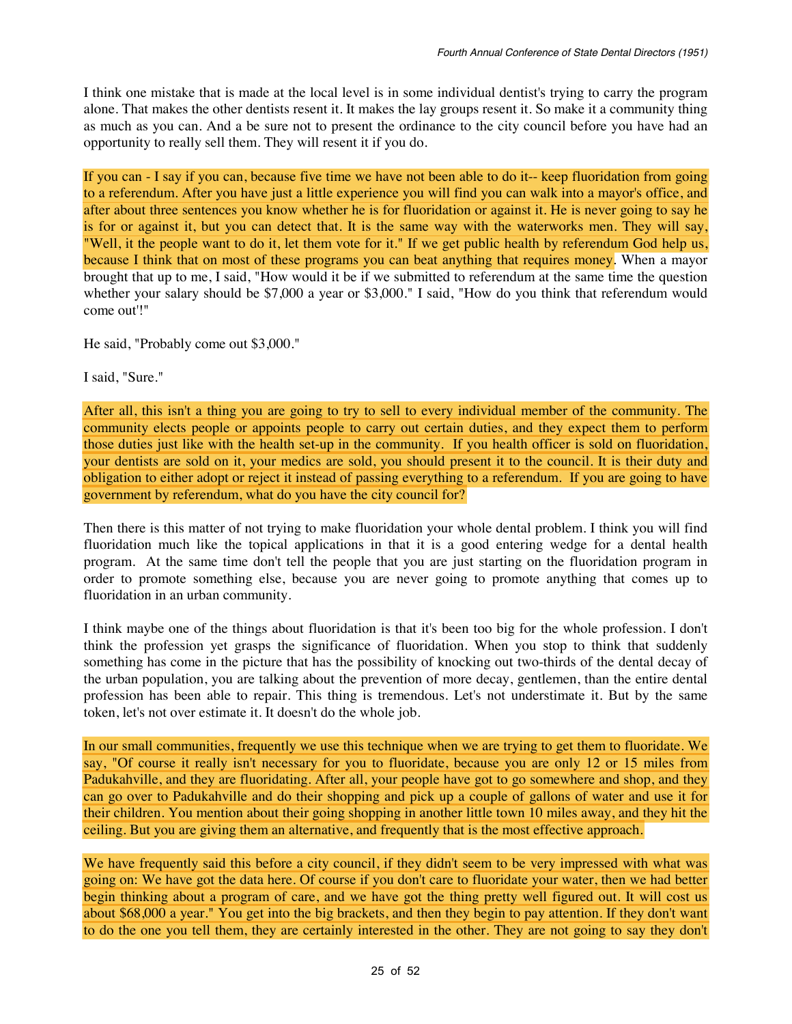I think one mistake that is made at the local level is in some individual dentist's trying to carry the program alone. That makes the other dentists resent it. It makes the lay groups resent it. So make it a community thing as much as you can. And a be sure not to present the ordinance to the city council before you have had an opportunity to really sell them. They will resent it if you do.

If you can - I say if you can, because five time we have not been able to do it-- keep fluoridation from going to a referendum. After you have just a little experience you will find you can walk into a mayor's office, and after about three sentences you know whether he is for fluoridation or against it. He is never going to say he is for or against it, but you can detect that. It is the same way with the waterworks men. They will say, "Well, it the people want to do it, let them vote for it." If we get public health by referendum God help us, because I think that on most of these programs you can beat anything that requires money. When a mayor brought that up to me, I said, "How would it be if we submitted to referendum at the same time the question whether your salary should be \$7,000 a year or \$3,000." I said, "How do you think that referendum would come out'!"

He said, "Probably come out \$3,000."

I said, "Sure."

After all, this isn't a thing you are going to try to sell to every individual member of the community. The community elects people or appoints people to carry out certain duties, and they expect them to perform those duties just like with the health set-up in the community. If you health officer is sold on fluoridation, your dentists are sold on it, your medics are sold, you should present it to the council. It is their duty and obligation to either adopt or reject it instead of passing everything to a referendum. If you are going to have government by referendum, what do you have the city council for?

Then there is this matter of not trying to make fluoridation your whole dental problem. I think you will find fluoridation much like the topical applications in that it is a good entering wedge for a dental health program. At the same time don't tell the people that you are just starting on the fluoridation program in order to promote something else, because you are never going to promote anything that comes up to fluoridation in an urban community.

I think maybe one of the things about fluoridation is that it's been too big for the whole profession. I don't think the profession yet grasps the significance of fluoridation. When you stop to think that suddenly something has come in the picture that has the possibility of knocking out two-thirds of the dental decay of the urban population, you are talking about the prevention of more decay, gentlemen, than the entire dental profession has been able to repair. This thing is tremendous. Let's not understimate it. But by the same token, let's not over estimate it. It doesn't do the whole job.

In our small communities, frequently we use this technique when we are trying to get them to fluoridate. We say, "Of course it really isn't necessary for you to fluoridate, because you are only 12 or 15 miles from Padukahville, and they are fluoridating. After all, your people have got to go somewhere and shop, and they can go over to Padukahville and do their shopping and pick up a couple of gallons of water and use it for their children. You mention about their going shopping in another little town 10 miles away, and they hit the ceiling. But you are giving them an alternative, and frequently that is the most effective approach.

We have frequently said this before a city council, if they didn't seem to be very impressed with what was going on: We have got the data here. Of course if you don't care to fluoridate your water, then we had better begin thinking about a program of care, and we have got the thing pretty well figured out. It will cost us about \$68,000 a year." You get into the big brackets, and then they begin to pay attention. If they don't want to do the one you tell them, they are certainly interested in the other. They are not going to say they don't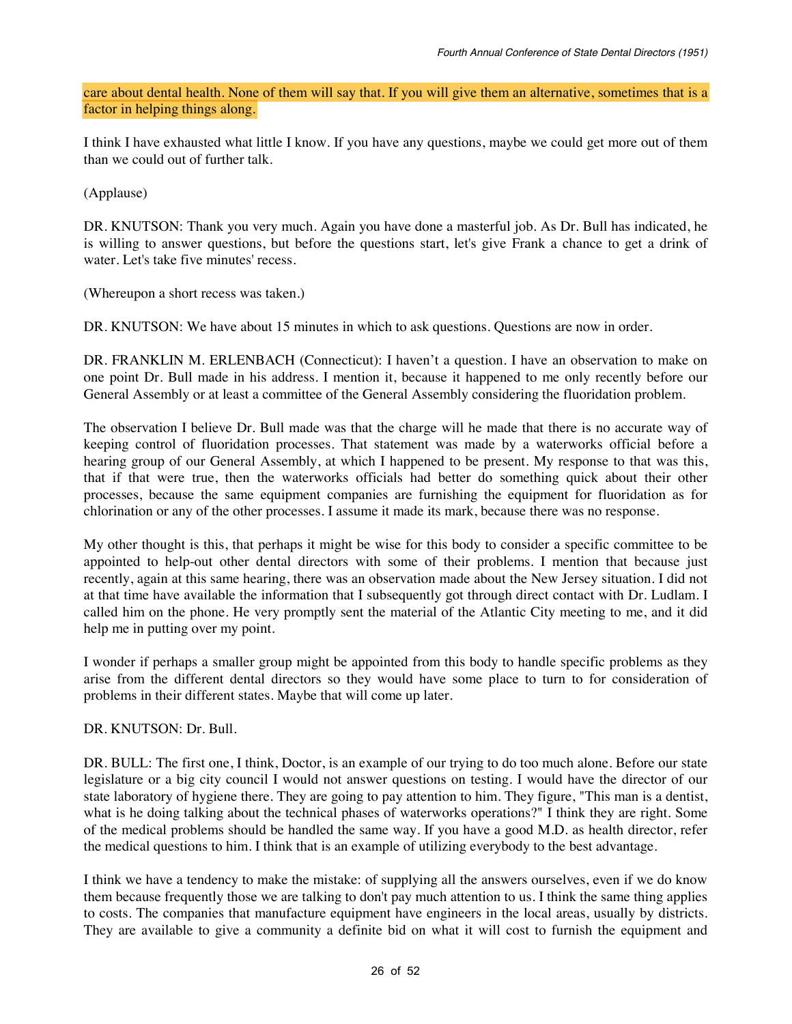care about dental health. None of them will say that. If you will give them an alternative, sometimes that is a factor in helping things along.

I think I have exhausted what little I know. If you have any questions, maybe we could get more out of them than we could out of further talk.

(Applause)

DR. KNUTSON: Thank you very much. Again you have done a masterful job. As Dr. Bull has indicated, he is willing to answer questions, but before the questions start, let's give Frank a chance to get a drink of water. Let's take five minutes' recess.

(Whereupon a short recess was taken.)

DR. KNUTSON: We have about 15 minutes in which to ask questions. Questions are now in order.

DR. FRANKLIN M. ERLENBACH (Connecticut): I haven't a question. I have an observation to make on one point Dr. Bull made in his address. I mention it, because it happened to me only recently before our General Assembly or at least a committee of the General Assembly considering the fluoridation problem.

The observation I believe Dr. Bull made was that the charge will he made that there is no accurate way of keeping control of fluoridation processes. That statement was made by a waterworks official before a hearing group of our General Assembly, at which I happened to be present. My response to that was this, that if that were true, then the waterworks officials had better do something quick about their other processes, because the same equipment companies are furnishing the equipment for fluoridation as for chlorination or any of the other processes. I assume it made its mark, because there was no response.

My other thought is this, that perhaps it might be wise for this body to consider a specific committee to be appointed to help-out other dental directors with some of their problems. I mention that because just recently, again at this same hearing, there was an observation made about the New Jersey situation. I did not at that time have available the information that I subsequently got through direct contact with Dr. Ludlam. I called him on the phone. He very promptly sent the material of the Atlantic City meeting to me, and it did help me in putting over my point.

I wonder if perhaps a smaller group might be appointed from this body to handle specific problems as they arise from the different dental directors so they would have some place to turn to for consideration of problems in their different states. Maybe that will come up later.

DR. KNUTSON: Dr. Bull.

DR. BULL: The first one, I think, Doctor, is an example of our trying to do too much alone. Before our state legislature or a big city council I would not answer questions on testing. I would have the director of our state laboratory of hygiene there. They are going to pay attention to him. They figure, "This man is a dentist, what is he doing talking about the technical phases of waterworks operations?" I think they are right. Some of the medical problems should be handled the same way. If you have a good M.D. as health director, refer the medical questions to him. I think that is an example of utilizing everybody to the best advantage.

I think we have a tendency to make the mistake: of supplying all the answers ourselves, even if we do know them because frequently those we are talking to don't pay much attention to us. I think the same thing applies to costs. The companies that manufacture equipment have engineers in the local areas, usually by districts. They are available to give a community a definite bid on what it will cost to furnish the equipment and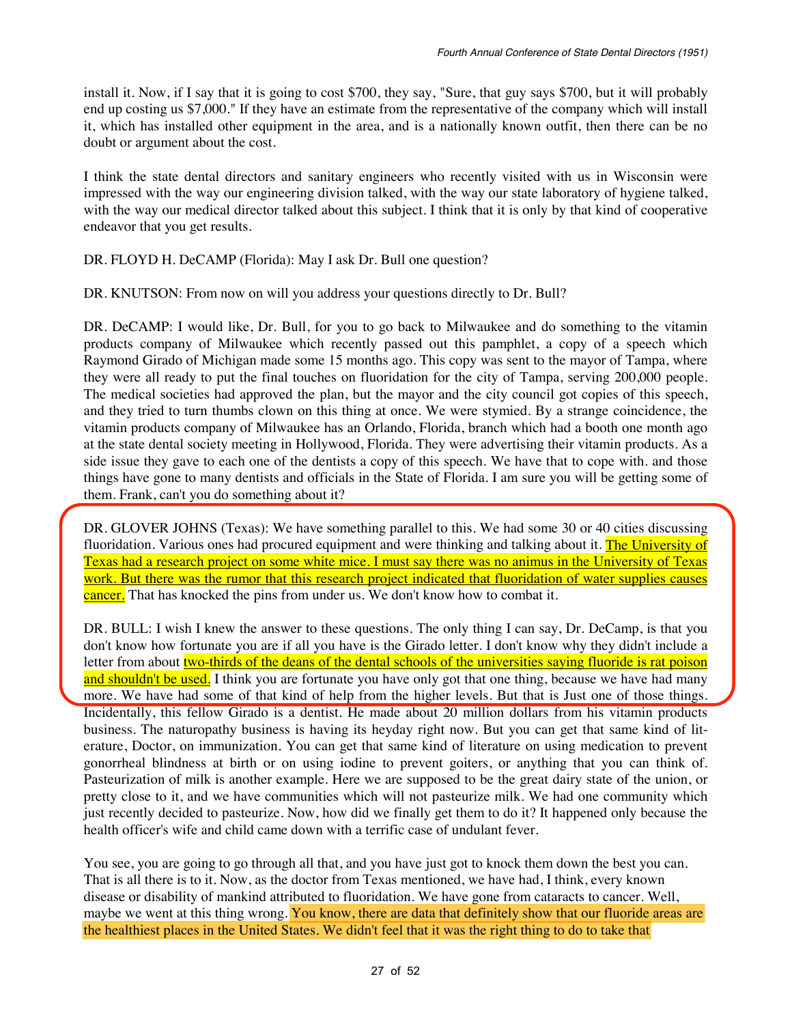install it. Now, if I say that it is going to cost \$700, they say, "Sure, that guy says \$700, but it will probably end up costing us \$7,000." If they have an estimate from the representative of the company which will install it, which has installed other equipment in the area, and is a nationally known outfit, then there can be no doubt or argument about the cost.

I think the state dental directors and sanitary engineers who recently visited with us in Wisconsin were impressed with the way our engineering division talked, with the way our state laboratory of hygiene talked, with the way our medical director talked about this subject. I think that it is only by that kind of cooperative endeavor that you get results.

DR. FLOYD H. DeCAMP (Florida): May I ask Dr. Bull one question?

DR. KNUTSON: From now on will you address your questions directly to Dr. Bull?

DR. DeCAMP: I would like, Dr. Bull, for you to go back to Milwaukee and do something to the vitamin products company of Milwaukee which recently passed out this pamphlet, a copy of a speech which Raymond Girado of Michigan made some 15 months ago. This copy was sent to the mayor of Tampa, where they were all ready to put the final touches on fluoridation for the city of Tampa, serving 200,000 people. The medical societies had approved the plan, but the mayor and the city council got copies of this speech, and they tried to turn thumbs clown on this thing at once. We were stymied. By a strange coincidence, the vitamin products company of Milwaukee has an Orlando, Florida, branch which had a booth one month ago at the state dental society meeting in Hollywood, Florida. They were advertising their vitamin products. As a side issue they gave to each one of the dentists a copy of this speech. We have that to cope with. and those things have gone to many dentists and officials in the State of Florida. I am sure you will be getting some of them. Frank, can't you do something about it?

DR. GLOVER JOHNS (Texas): We have something parallel to this. We had some 30 or 40 cities discussing fluoridation. Various ones had procured equipment and were thinking and talking about it. The University of Texas had a research project on some white mice. I must say there was no animus in the University of Texas work. But there was the rumor that this research project indicated that fluoridation of water supplies causes cancer. That has knocked the pins from under us. We don't know how to combat it.

DR. BULL: I wish I knew the answer to these questions. The only thing I can say, Dr. DeCamp, is that you don't know how fortunate you are if all you have is the Girado letter. I don't know why they didn't include a letter from about two-thirds of the deans of the dental schools of the universities saying fluoride is rat poison and shouldn't be used. I think you are fortunate you have only got that one thing, because we have had many more. We have had some of that kind of help from the higher levels. But that is Just one of those things. Incidentally, this fellow Girado is a dentist. He made about 20 million dollars from his vitamin products business. The naturopathy business is having its heyday right now. But you can get that same kind of literature, Doctor, on immunization. You can get that same kind of literature on using medication to prevent gonorrheal blindness at birth or on using iodine to prevent goiters, or anything that you can think of. Pasteurization of milk is another example. Here we are supposed to be the great dairy state of the union, or pretty close to it, and we have communities which will not pasteurize milk. We had one community which just recently decided to pasteurize. Now, how did we finally get them to do it? It happened only because the health officer's wife and child came down with a terrific case of undulant fever.

You see, you are going to go through all that, and you have just got to knock them down the best you can. That is all there is to it. Now, as the doctor from Texas mentioned, we have had, I think, every known disease or disability of mankind attributed to fluoridation. We have gone from cataracts to cancer. Well, maybe we went at this thing wrong. You know, there are data that definitely show that our fluoride areas are the healthiest places in the United States. We didn't feel that it was the right thing to do to take that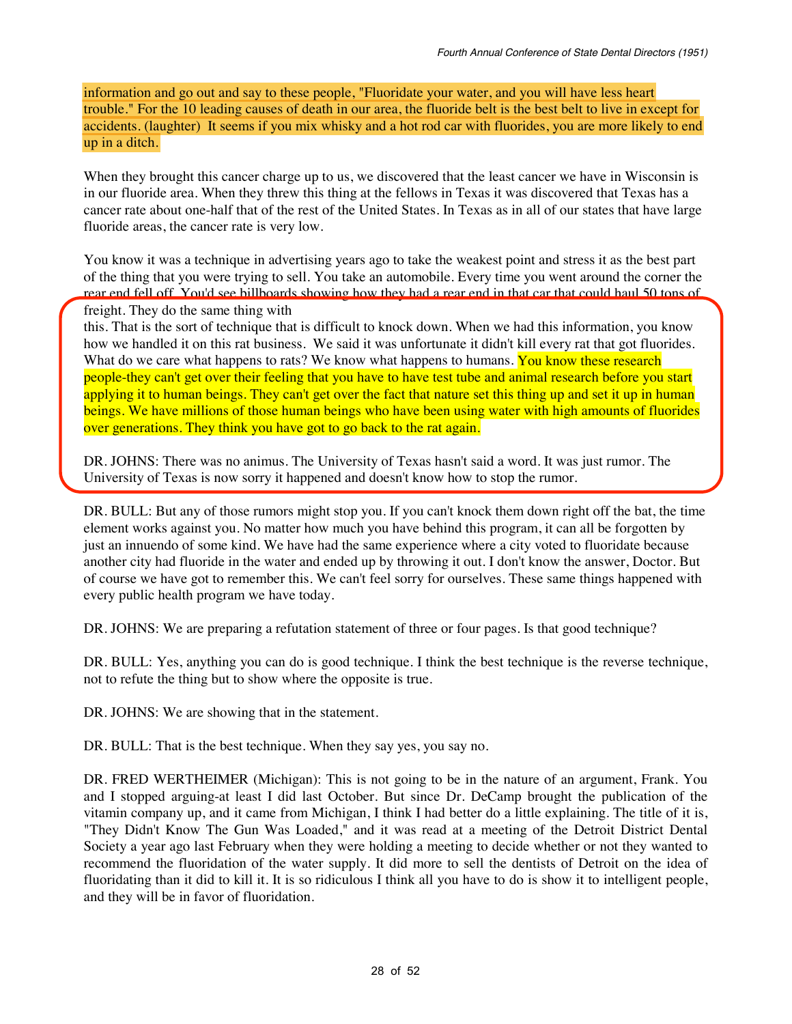information and go out and say to these people, "Fluoridate your water, and you will have less heart trouble." For the 10 leading causes of death in our area, the fluoride belt is the best belt to live in except for accidents. (laughter) It seems if you mix whisky and a hot rod car with fluorides, you are more likely to end up in a ditch.

When they brought this cancer charge up to us, we discovered that the least cancer we have in Wisconsin is in our fluoride area. When they threw this thing at the fellows in Texas it was discovered that Texas has a cancer rate about one-half that of the rest of the United States. In Texas as in all of our states that have large fluoride areas, the cancer rate is very low.

You know it was a technique in advertising years ago to take the weakest point and stress it as the best part of the thing that you were trying to sell. You take an automobile. Every time you went around the corner the rear end fell off. You'd see billboards showing how they had a rear end in that car that could haul 50 tons of freight. They do the same thing with

this. That is the sort of technique that is difficult to knock down. When we had this information, you know how we handled it on this rat business. We said it was unfortunate it didn't kill every rat that got fluorides. What do we care what happens to rats? We know what happens to humans. You know these research people-they can't get over their feeling that you have to have test tube and animal research before you start applying it to human beings. They can't get over the fact that nature set this thing up and set it up in human beings. We have millions of those human beings who have been using water with high amounts of fluorides over generations. They think you have got to go back to the rat again.

DR. JOHNS: There was no animus. The University of Texas hasn't said a word. It was just rumor. The University of Texas is now sorry it happened and doesn't know how to stop the rumor.

DR. BULL: But any of those rumors might stop you. If you can't knock them down right off the bat, the time element works against you. No matter how much you have behind this program, it can all be forgotten by just an innuendo of some kind. We have had the same experience where a city voted to fluoridate because another city had fluoride in the water and ended up by throwing it out. I don't know the answer, Doctor. But of course we have got to remember this. We can't feel sorry for ourselves. These same things happened with every public health program we have today.

DR. JOHNS: We are preparing a refutation statement of three or four pages. Is that good technique?

DR. BULL: Yes, anything you can do is good technique. I think the best technique is the reverse technique, not to refute the thing but to show where the opposite is true.

DR. JOHNS: We are showing that in the statement.

DR. BULL: That is the best technique. When they say yes, you say no.

DR. FRED WERTHEIMER (Michigan): This is not going to be in the nature of an argument, Frank. You and I stopped arguing-at least I did last October. But since Dr. DeCamp brought the publication of the vitamin company up, and it came from Michigan, I think I had better do a little explaining. The title of it is, "They Didn't Know The Gun Was Loaded," and it was read at a meeting of the Detroit District Dental Society a year ago last February when they were holding a meeting to decide whether or not they wanted to recommend the fluoridation of the water supply. It did more to sell the dentists of Detroit on the idea of fluoridating than it did to kill it. It is so ridiculous I think all you have to do is show it to intelligent people, and they will be in favor of fluoridation.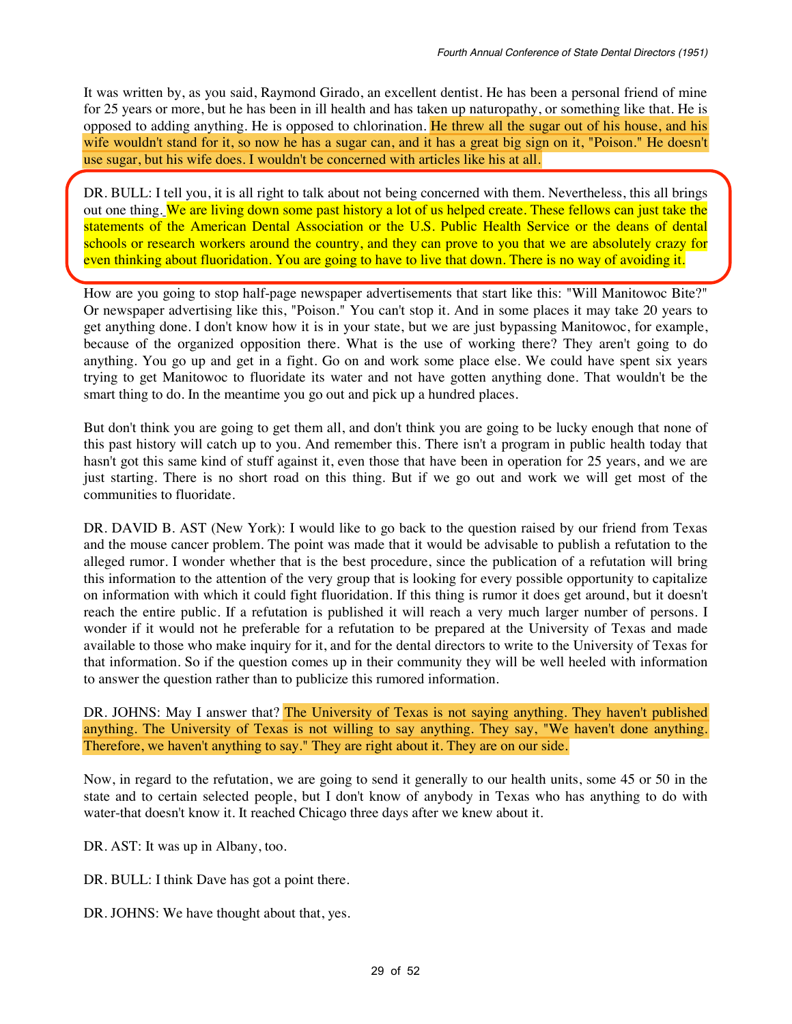It was written by, as you said, Raymond Girado, an excellent dentist. He has been a personal friend of mine for 25 years or more, but he has been in ill health and has taken up naturopathy, or something like that. He is opposed to adding anything. He is opposed to chlorination. He threw all the sugar out of his house, and his wife wouldn't stand for it, so now he has a sugar can, and it has a great big sign on it, "Poison." He doesn't use sugar, but his wife does. I wouldn't be concerned with articles like his at all.

DR. BULL: I tell you, it is all right to talk about not being concerned with them. Nevertheless, this all brings out one thing. We are living down some past history a lot of us helped create. These fellows can just take the statements of the American Dental Association or the U.S. Public Health Service or the deans of dental schools or research workers around the country, and they can prove to you that we are absolutely crazy for even thinking about fluoridation. You are going to have to live that down. There is no way of avoiding it.

How are you going to stop half-page newspaper advertisements that start like this: "Will Manitowoc Bite?" Or newspaper advertising like this, "Poison." You can't stop it. And in some places it may take 20 years to get anything done. I don't know how it is in your state, but we are just bypassing Manitowoc, for example, because of the organized opposition there. What is the use of working there? They aren't going to do anything. You go up and get in a fight. Go on and work some place else. We could have spent six years trying to get Manitowoc to fluoridate its water and not have gotten anything done. That wouldn't be the smart thing to do. In the meantime you go out and pick up a hundred places.

But don't think you are going to get them all, and don't think you are going to be lucky enough that none of this past history will catch up to you. And remember this. There isn't a program in public health today that hasn't got this same kind of stuff against it, even those that have been in operation for 25 years, and we are just starting. There is no short road on this thing. But if we go out and work we will get most of the communities to fluoridate.

DR. DAVID B. AST (New York): I would like to go back to the question raised by our friend from Texas and the mouse cancer problem. The point was made that it would be advisable to publish a refutation to the alleged rumor. I wonder whether that is the best procedure, since the publication of a refutation will bring this information to the attention of the very group that is looking for every possible opportunity to capitalize on information with which it could fight fluoridation. If this thing is rumor it does get around, but it doesn't reach the entire public. If a refutation is published it will reach a very much larger number of persons. I wonder if it would not he preferable for a refutation to be prepared at the University of Texas and made available to those who make inquiry for it, and for the dental directors to write to the University of Texas for that information. So if the question comes up in their community they will be well heeled with information to answer the question rather than to publicize this rumored information.

DR. JOHNS: May I answer that? The University of Texas is not saying anything. They haven't published anything. The University of Texas is not willing to say anything. They say, "We haven't done anything. Therefore, we haven't anything to say." They are right about it. They are on our side.

Now, in regard to the refutation, we are going to send it generally to our health units, some 45 or 50 in the state and to certain selected people, but I don't know of anybody in Texas who has anything to do with water-that doesn't know it. It reached Chicago three days after we knew about it.

DR. AST: It was up in Albany, too.

DR. BULL: I think Dave has got a point there.

DR. JOHNS: We have thought about that, yes.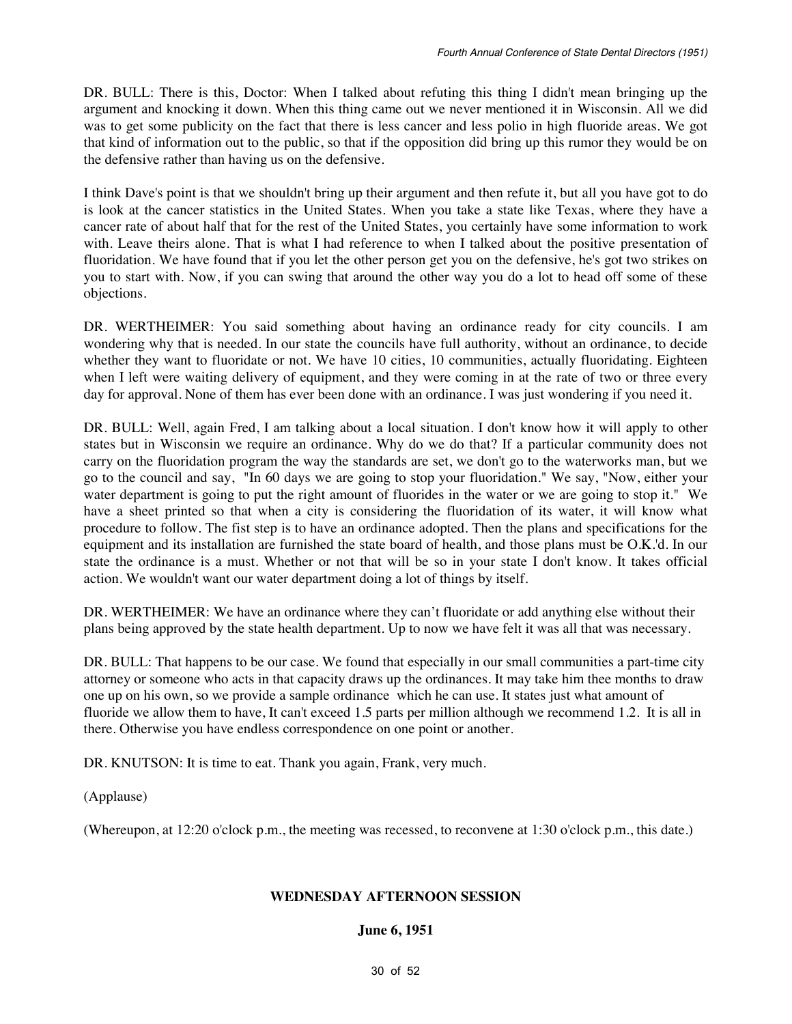DR. BULL: There is this, Doctor: When I talked about refuting this thing I didn't mean bringing up the argument and knocking it down. When this thing came out we never mentioned it in Wisconsin. All we did was to get some publicity on the fact that there is less cancer and less polio in high fluoride areas. We got that kind of information out to the public, so that if the opposition did bring up this rumor they would be on the defensive rather than having us on the defensive.

I think Dave's point is that we shouldn't bring up their argument and then refute it, but all you have got to do is look at the cancer statistics in the United States. When you take a state like Texas, where they have a cancer rate of about half that for the rest of the United States, you certainly have some information to work with. Leave theirs alone. That is what I had reference to when I talked about the positive presentation of fluoridation. We have found that if you let the other person get you on the defensive, he's got two strikes on you to start with. Now, if you can swing that around the other way you do a lot to head off some of these objections.

DR. WERTHEIMER: You said something about having an ordinance ready for city councils. I am wondering why that is needed. In our state the councils have full authority, without an ordinance, to decide whether they want to fluoridate or not. We have 10 cities, 10 communities, actually fluoridating. Eighteen when I left were waiting delivery of equipment, and they were coming in at the rate of two or three every day for approval. None of them has ever been done with an ordinance. I was just wondering if you need it.

DR. BULL: Well, again Fred, I am talking about a local situation. I don't know how it will apply to other states but in Wisconsin we require an ordinance. Why do we do that? If a particular community does not carry on the fluoridation program the way the standards are set, we don't go to the waterworks man, but we go to the council and say, "In 60 days we are going to stop your fluoridation." We say, "Now, either your water department is going to put the right amount of fluorides in the water or we are going to stop it." We have a sheet printed so that when a city is considering the fluoridation of its water, it will know what procedure to follow. The fist step is to have an ordinance adopted. Then the plans and specifications for the equipment and its installation are furnished the state board of health, and those plans must be O.K.'d. In our state the ordinance is a must. Whether or not that will be so in your state I don't know. It takes official action. We wouldn't want our water department doing a lot of things by itself.

DR. WERTHEIMER: We have an ordinance where they can't fluoridate or add anything else without their plans being approved by the state health department. Up to now we have felt it was all that was necessary.

DR. BULL: That happens to be our case. We found that especially in our small communities a part-time city attorney or someone who acts in that capacity draws up the ordinances. It may take him thee months to draw one up on his own, so we provide a sample ordinance which he can use. It states just what amount of fluoride we allow them to have, It can't exceed 1.5 parts per million although we recommend 1.2. It is all in there. Otherwise you have endless correspondence on one point or another.

DR. KNUTSON: It is time to eat. Thank you again, Frank, very much.

(Applause)

(Whereupon, at 12:20 o'clock p.m., the meeting was recessed, to reconvene at 1:30 o'clock p.m., this date.)

#### **WEDNESDAY AFTERNOON SESSION**

#### **June 6, 1951**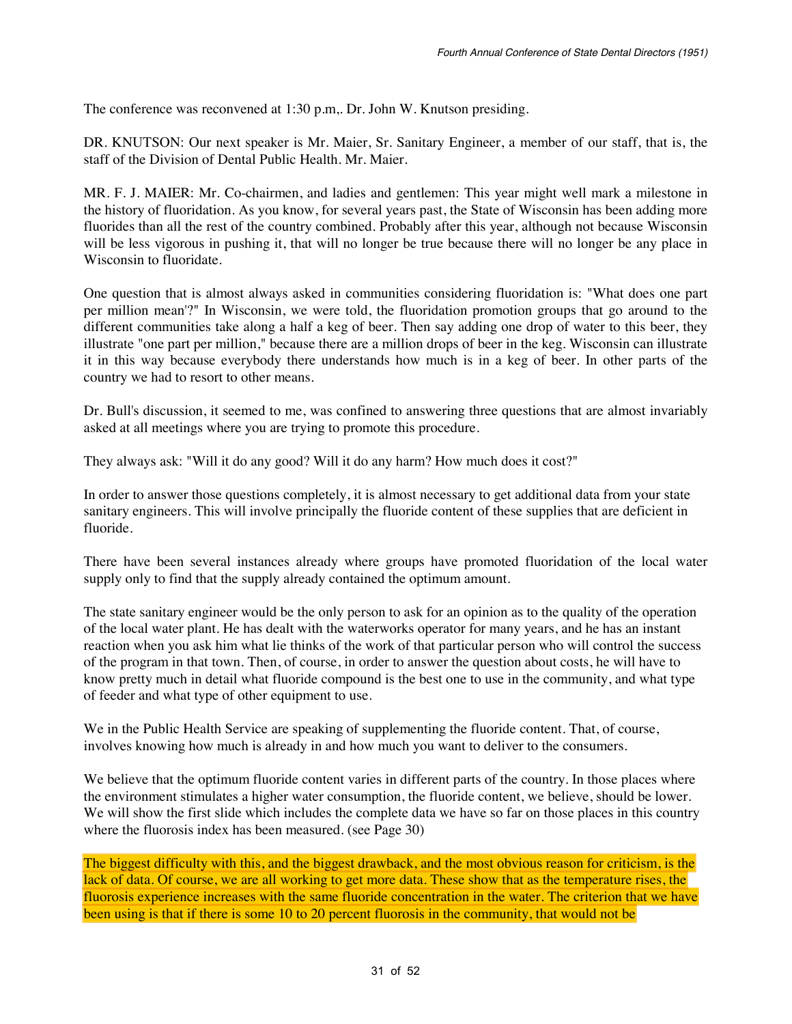The conference was reconvened at 1:30 p.m,. Dr. John W. Knutson presiding.

DR. KNUTSON: Our next speaker is Mr. Maier, Sr. Sanitary Engineer, a member of our staff, that is, the staff of the Division of Dental Public Health. Mr. Maier.

MR. F. J. MAIER: Mr. Co-chairmen, and ladies and gentlemen: This year might well mark a milestone in the history of fluoridation. As you know, for several years past, the State of Wisconsin has been adding more fluorides than all the rest of the country combined. Probably after this year, although not because Wisconsin will be less vigorous in pushing it, that will no longer be true because there will no longer be any place in Wisconsin to fluoridate.

One question that is almost always asked in communities considering fluoridation is: "What does one part per million mean'?" In Wisconsin, we were told, the fluoridation promotion groups that go around to the different communities take along a half a keg of beer. Then say adding one drop of water to this beer, they illustrate "one part per million," because there are a million drops of beer in the keg. Wisconsin can illustrate it in this way because everybody there understands how much is in a keg of beer. In other parts of the country we had to resort to other means.

Dr. Bull's discussion, it seemed to me, was confined to answering three questions that are almost invariably asked at all meetings where you are trying to promote this procedure.

They always ask: "Will it do any good? Will it do any harm? How much does it cost?"

In order to answer those questions completely, it is almost necessary to get additional data from your state sanitary engineers. This will involve principally the fluoride content of these supplies that are deficient in fluoride.

There have been several instances already where groups have promoted fluoridation of the local water supply only to find that the supply already contained the optimum amount.

The state sanitary engineer would be the only person to ask for an opinion as to the quality of the operation of the local water plant. He has dealt with the waterworks operator for many years, and he has an instant reaction when you ask him what lie thinks of the work of that particular person who will control the success of the program in that town. Then, of course, in order to answer the question about costs, he will have to know pretty much in detail what fluoride compound is the best one to use in the community, and what type of feeder and what type of other equipment to use.

We in the Public Health Service are speaking of supplementing the fluoride content. That, of course, involves knowing how much is already in and how much you want to deliver to the consumers.

We believe that the optimum fluoride content varies in different parts of the country. In those places where the environment stimulates a higher water consumption, the fluoride content, we believe, should be lower. We will show the first slide which includes the complete data we have so far on those places in this country where the fluorosis index has been measured. (see Page 30)

The biggest difficulty with this, and the biggest drawback, and the most obvious reason for criticism, is the lack of data. Of course, we are all working to get more data. These show that as the temperature rises, the fluorosis experience increases with the same fluoride concentration in the water. The criterion that we have been using is that if there is some 10 to 20 percent fluorosis in the community, that would not be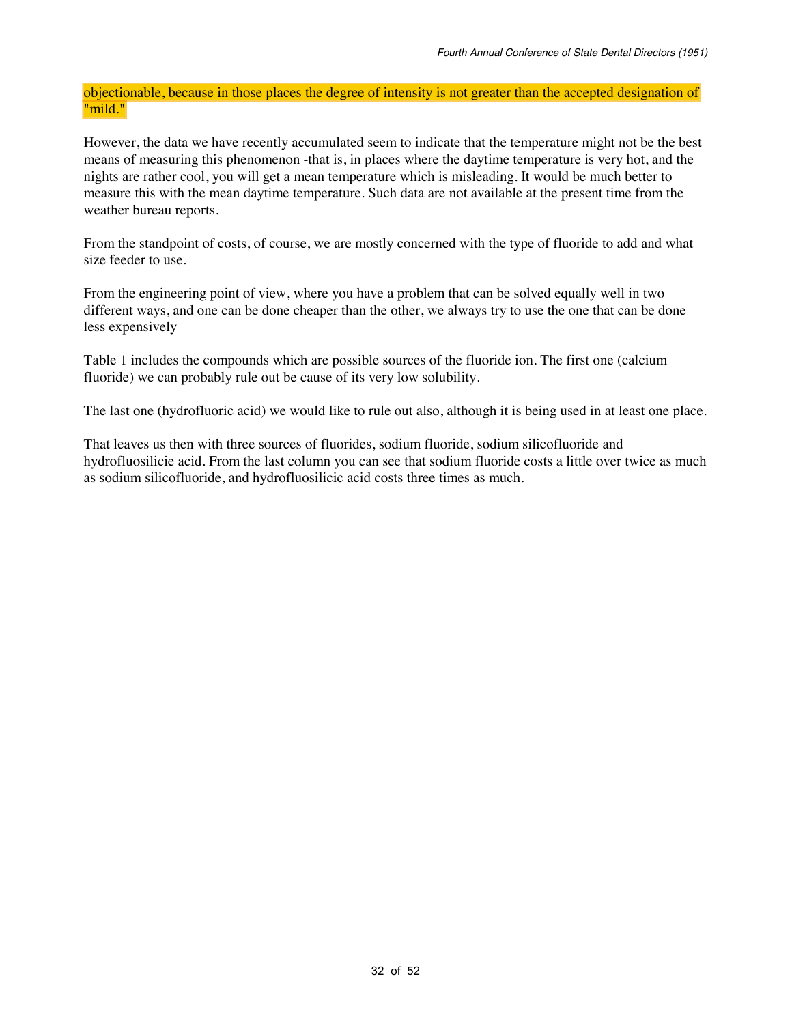objectionable, because in those places the degree of intensity is not greater than the accepted designation of "mild."

However, the data we have recently accumulated seem to indicate that the temperature might not be the best means of measuring this phenomenon -that is, in places where the daytime temperature is very hot, and the nights are rather cool, you will get a mean temperature which is misleading. It would be much better to measure this with the mean daytime temperature. Such data are not available at the present time from the weather bureau reports.

From the standpoint of costs, of course, we are mostly concerned with the type of fluoride to add and what size feeder to use.

From the engineering point of view, where you have a problem that can be solved equally well in two different ways, and one can be done cheaper than the other, we always try to use the one that can be done less expensively

Table 1 includes the compounds which are possible sources of the fluoride ion. The first one (calcium fluoride) we can probably rule out be cause of its very low solubility.

The last one (hydrofluoric acid) we would like to rule out also, although it is being used in at least one place.

That leaves us then with three sources of fluorides, sodium fluoride, sodium silicofluoride and hydrofluosilicie acid. From the last column you can see that sodium fluoride costs a little over twice as much as sodium silicofluoride, and hydrofluosilicic acid costs three times as much.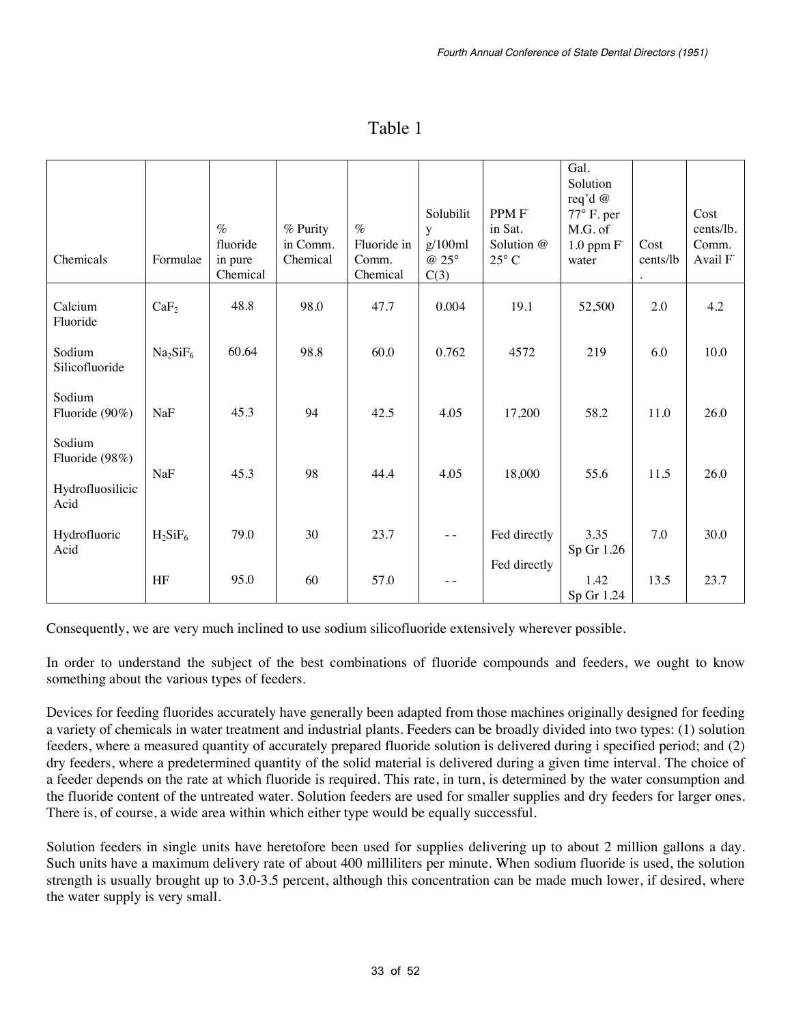| Chemicals                                            | Formulae                         | $\%$<br>fluoride<br>in pure<br>Chemical | % Purity<br>in Comm.<br>Chemical | $\%$<br>Fluoride in<br>Comm.<br>Chemical | Solubilit<br>y<br>g/100ml<br>@ 25°<br>C(3) | PPM F<br>in Sat.<br>Solution @<br>$25^{\circ}$ C | Gal.<br>Solution<br>req'd @<br>$77^\circ$ F. per<br>M.G. of<br>$1.0$ ppm $F$<br>water | Cost<br>cents/lb<br>$\bullet$ | Cost<br>cents/lb.<br>Comm.<br>Avail F |
|------------------------------------------------------|----------------------------------|-----------------------------------------|----------------------------------|------------------------------------------|--------------------------------------------|--------------------------------------------------|---------------------------------------------------------------------------------------|-------------------------------|---------------------------------------|
| Calcium<br>Fluoride                                  | CaF <sub>2</sub>                 | 48.8                                    | 98.0                             | 47.7                                     | 0.004                                      | 19.1                                             | 52,500                                                                                | 2.0                           | 4.2                                   |
| Sodium<br>Silicofluoride                             | Na <sub>2</sub> SiF <sub>6</sub> | 60.64                                   | 98.8                             | 60.0                                     | 0.762                                      | 4572                                             | 219                                                                                   | 6.0                           | 10.0                                  |
| Sodium<br>Fluoride (90%)                             | NaF                              | 45.3                                    | 94                               | 42.5                                     | 4.05                                       | 17,200                                           | 58.2                                                                                  | 11.0                          | 26.0                                  |
| Sodium<br>Fluoride (98%)<br>Hydrofluosilicic<br>Acid | NaF                              | 45.3                                    | 98                               | 44.4                                     | 4.05                                       | 18,000                                           | 55.6                                                                                  | 11.5                          | 26.0                                  |
| Hydrofluoric<br>Acid                                 | $H_2SiF_6$                       | 79.0                                    | 30                               | 23.7                                     | $ -$                                       | Fed directly                                     | 3.35<br>Sp Gr 1.26                                                                    | 7.0                           | 30.0                                  |
|                                                      | HF                               | 95.0                                    | 60                               | 57.0                                     |                                            | Fed directly                                     | 1.42<br>Sp Gr 1.24                                                                    | 13.5                          | 23.7                                  |

### Table 1

Consequently, we are very much inclined to use sodium silicofluoride extensively wherever possible.

In order to understand the subject of the best combinations of fluoride compounds and feeders, we ought to know something about the various types of feeders.

Devices for feeding fluorides accurately have generally been adapted from those machines originally designed for feeding a variety of chemicals in water treatment and industrial plants. Feeders can be broadly divided into two types: (1) solution feeders, where a measured quantity of accurately prepared fluoride solution is delivered during i specified period; and (2) dry feeders, where a predetermined quantity of the solid material is delivered during a given time interval. The choice of a feeder depends on the rate at which fluoride is required. This rate, in turn, is determined by the water consumption and the fluoride content of the untreated water. Solution feeders are used for smaller supplies and dry feeders for larger ones. There is, of course, a wide area within which either type would be equally successful.

Solution feeders in single units have heretofore been used for supplies delivering up to about 2 million gallons a day. Such units have a maximum delivery rate of about 400 milliliters per minute. When sodium fluoride is used, the solution strength is usually brought up to 3.0-3.5 percent, although this concentration can be made much lower, if desired, where the water supply is very small.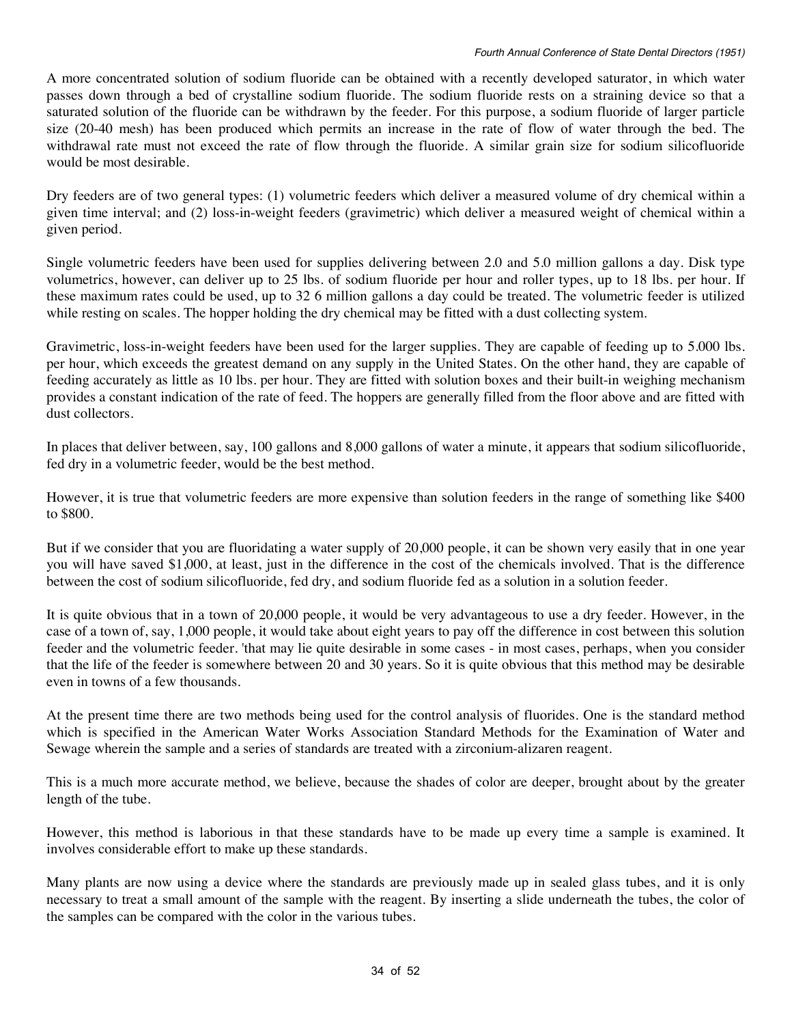A more concentrated solution of sodium fluoride can be obtained with a recently developed saturator, in which water passes down through a bed of crystalline sodium fluoride. The sodium fluoride rests on a straining device so that a saturated solution of the fluoride can be withdrawn by the feeder. For this purpose, a sodium fluoride of larger particle size (20-40 mesh) has been produced which permits an increase in the rate of flow of water through the bed. The withdrawal rate must not exceed the rate of flow through the fluoride. A similar grain size for sodium silicofluoride would be most desirable.

Dry feeders are of two general types: (1) volumetric feeders which deliver a measured volume of dry chemical within a given time interval; and (2) loss-in-weight feeders (gravimetric) which deliver a measured weight of chemical within a given period.

Single volumetric feeders have been used for supplies delivering between 2.0 and 5.0 million gallons a day. Disk type volumetrics, however, can deliver up to 25 lbs. of sodium fluoride per hour and roller types, up to 18 lbs. per hour. If these maximum rates could be used, up to 32 6 million gallons a day could be treated. The volumetric feeder is utilized while resting on scales. The hopper holding the dry chemical may be fitted with a dust collecting system.

Gravimetric, loss-in-weight feeders have been used for the larger supplies. They are capable of feeding up to 5.000 lbs. per hour, which exceeds the greatest demand on any supply in the United States. On the other hand, they are capable of feeding accurately as little as 10 lbs. per hour. They are fitted with solution boxes and their built-in weighing mechanism provides a constant indication of the rate of feed. The hoppers are generally filled from the floor above and are fitted with dust collectors.

In places that deliver between, say, 100 gallons and 8,000 gallons of water a minute, it appears that sodium silicofluoride, fed dry in a volumetric feeder, would be the best method.

However, it is true that volumetric feeders are more expensive than solution feeders in the range of something like \$400 to \$800.

But if we consider that you are fluoridating a water supply of 20,000 people, it can be shown very easily that in one year you will have saved \$1,000, at least, just in the difference in the cost of the chemicals involved. That is the difference between the cost of sodium silicofluoride, fed dry, and sodium fluoride fed as a solution in a solution feeder.

It is quite obvious that in a town of 20,000 people, it would be very advantageous to use a dry feeder. However, in the case of a town of, say, 1,000 people, it would take about eight years to pay off the difference in cost between this solution feeder and the volumetric feeder. 'that may lie quite desirable in some cases - in most cases, perhaps, when you consider that the life of the feeder is somewhere between 20 and 30 years. So it is quite obvious that this method may be desirable even in towns of a few thousands.

At the present time there are two methods being used for the control analysis of fluorides. One is the standard method which is specified in the American Water Works Association Standard Methods for the Examination of Water and Sewage wherein the sample and a series of standards are treated with a zirconium-alizaren reagent.

This is a much more accurate method, we believe, because the shades of color are deeper, brought about by the greater length of the tube.

However, this method is laborious in that these standards have to be made up every time a sample is examined. It involves considerable effort to make up these standards.

Many plants are now using a device where the standards are previously made up in sealed glass tubes, and it is only necessary to treat a small amount of the sample with the reagent. By inserting a slide underneath the tubes, the color of the samples can be compared with the color in the various tubes.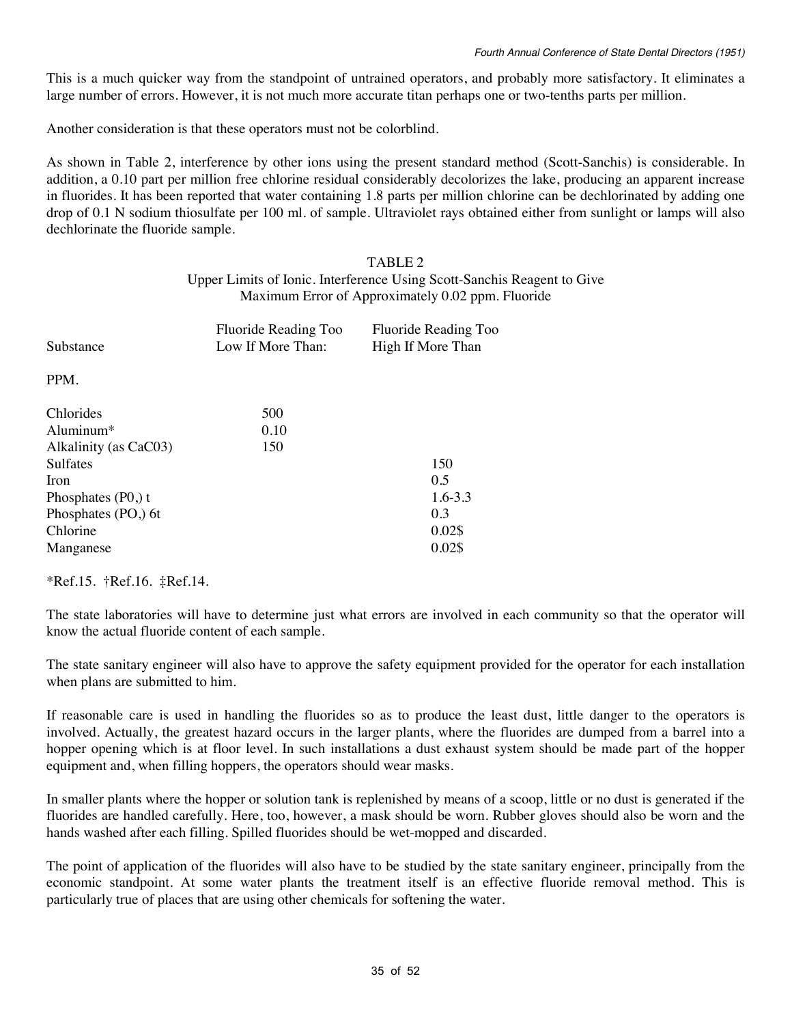This is a much quicker way from the standpoint of untrained operators, and probably more satisfactory. It eliminates a large number of errors. However, it is not much more accurate titan perhaps one or two-tenths parts per million.

Another consideration is that these operators must not be colorblind.

As shown in Table 2, interference by other ions using the present standard method (Scott-Sanchis) is considerable. In addition, a 0.10 part per million free chlorine residual considerably decolorizes the lake, producing an apparent increase in fluorides. It has been reported that water containing 1.8 parts per million chlorine can be dechlorinated by adding one drop of 0.1 N sodium thiosulfate per 100 ml. of sample. Ultraviolet rays obtained either from sunlight or lamps will also dechlorinate the fluoride sample.

#### TABLE 2 Upper Limits of Ionic. Interference Using Scott-Sanchis Reagent to Give Maximum Error of Approximately 0.02 ppm. Fluoride

| Fluoride Reading Too<br>Low If More Than: | Fluoride Reading Too<br>High If More Than |
|-------------------------------------------|-------------------------------------------|
|                                           |                                           |
| 500                                       |                                           |
|                                           |                                           |
|                                           |                                           |
|                                           | 150                                       |
|                                           | 0.5                                       |
|                                           | $1.6 - 3.3$                               |
|                                           | 0.3                                       |
|                                           | 0.02\$                                    |
|                                           | 0.02\$                                    |
|                                           | 0.10<br>150                               |

\*Ref.15. †Ref.16. ‡Ref.14.

The state laboratories will have to determine just what errors are involved in each community so that the operator will know the actual fluoride content of each sample.

The state sanitary engineer will also have to approve the safety equipment provided for the operator for each installation when plans are submitted to him.

If reasonable care is used in handling the fluorides so as to produce the least dust, little danger to the operators is involved. Actually, the greatest hazard occurs in the larger plants, where the fluorides are dumped from a barrel into a hopper opening which is at floor level. In such installations a dust exhaust system should be made part of the hopper equipment and, when filling hoppers, the operators should wear masks.

In smaller plants where the hopper or solution tank is replenished by means of a scoop, little or no dust is generated if the fluorides are handled carefully. Here, too, however, a mask should be worn. Rubber gloves should also be worn and the hands washed after each filling. Spilled fluorides should be wet-mopped and discarded.

The point of application of the fluorides will also have to be studied by the state sanitary engineer, principally from the economic standpoint. At some water plants the treatment itself is an effective fluoride removal method. This is particularly true of places that are using other chemicals for softening the water.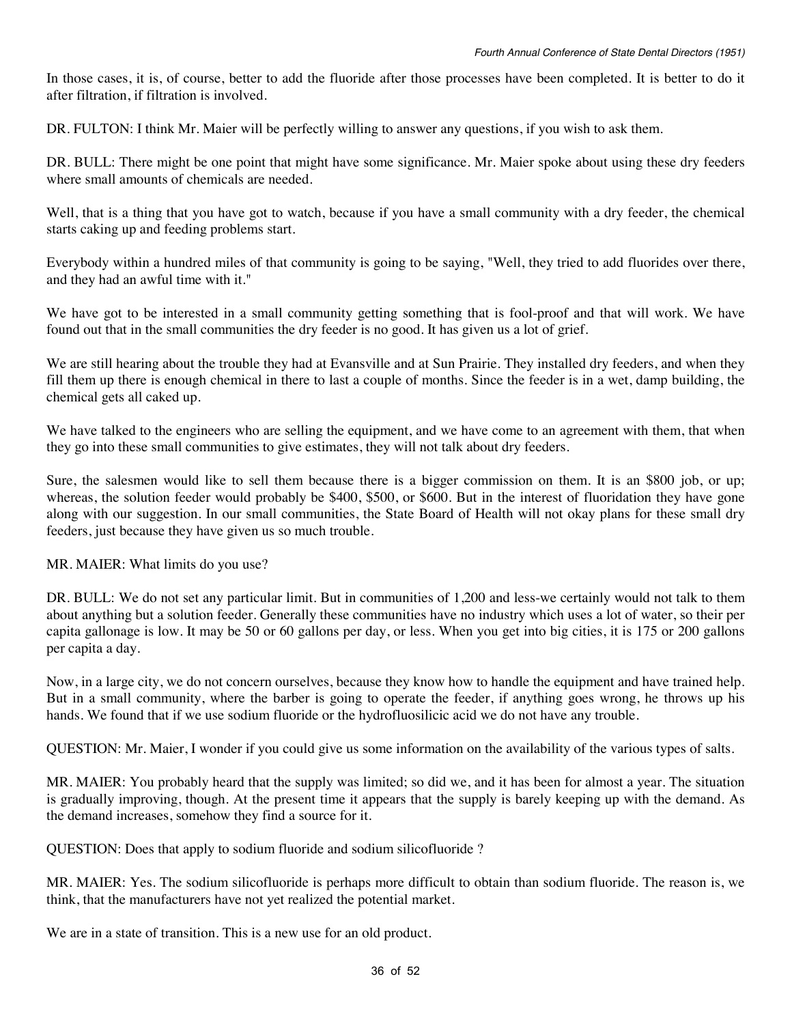In those cases, it is, of course, better to add the fluoride after those processes have been completed. It is better to do it after filtration, if filtration is involved.

DR. FULTON: I think Mr. Maier will be perfectly willing to answer any questions, if you wish to ask them.

DR. BULL: There might be one point that might have some significance. Mr. Maier spoke about using these dry feeders where small amounts of chemicals are needed.

Well, that is a thing that you have got to watch, because if you have a small community with a dry feeder, the chemical starts caking up and feeding problems start.

Everybody within a hundred miles of that community is going to be saying, "Well, they tried to add fluorides over there, and they had an awful time with it."

We have got to be interested in a small community getting something that is fool-proof and that will work. We have found out that in the small communities the dry feeder is no good. It has given us a lot of grief.

We are still hearing about the trouble they had at Evansville and at Sun Prairie. They installed dry feeders, and when they fill them up there is enough chemical in there to last a couple of months. Since the feeder is in a wet, damp building, the chemical gets all caked up.

We have talked to the engineers who are selling the equipment, and we have come to an agreement with them, that when they go into these small communities to give estimates, they will not talk about dry feeders.

Sure, the salesmen would like to sell them because there is a bigger commission on them. It is an \$800 job, or up; whereas, the solution feeder would probably be \$400, \$500, or \$600. But in the interest of fluoridation they have gone along with our suggestion. In our small communities, the State Board of Health will not okay plans for these small dry feeders, just because they have given us so much trouble.

MR. MAIER: What limits do you use?

DR. BULL: We do not set any particular limit. But in communities of 1,200 and less-we certainly would not talk to them about anything but a solution feeder. Generally these communities have no industry which uses a lot of water, so their per capita gallonage is low. It may be 50 or 60 gallons per day, or less. When you get into big cities, it is 175 or 200 gallons per capita a day.

Now, in a large city, we do not concern ourselves, because they know how to handle the equipment and have trained help. But in a small community, where the barber is going to operate the feeder, if anything goes wrong, he throws up his hands. We found that if we use sodium fluoride or the hydrofluosilicic acid we do not have any trouble.

QUESTION: Mr. Maier, I wonder if you could give us some information on the availability of the various types of salts.

MR. MAIER: You probably heard that the supply was limited; so did we, and it has been for almost a year. The situation is gradually improving, though. At the present time it appears that the supply is barely keeping up with the demand. As the demand increases, somehow they find a source for it.

QUESTION: Does that apply to sodium fluoride and sodium silicofluoride ?

MR. MAIER: Yes. The sodium silicofluoride is perhaps more difficult to obtain than sodium fluoride. The reason is, we think, that the manufacturers have not yet realized the potential market.

We are in a state of transition. This is a new use for an old product.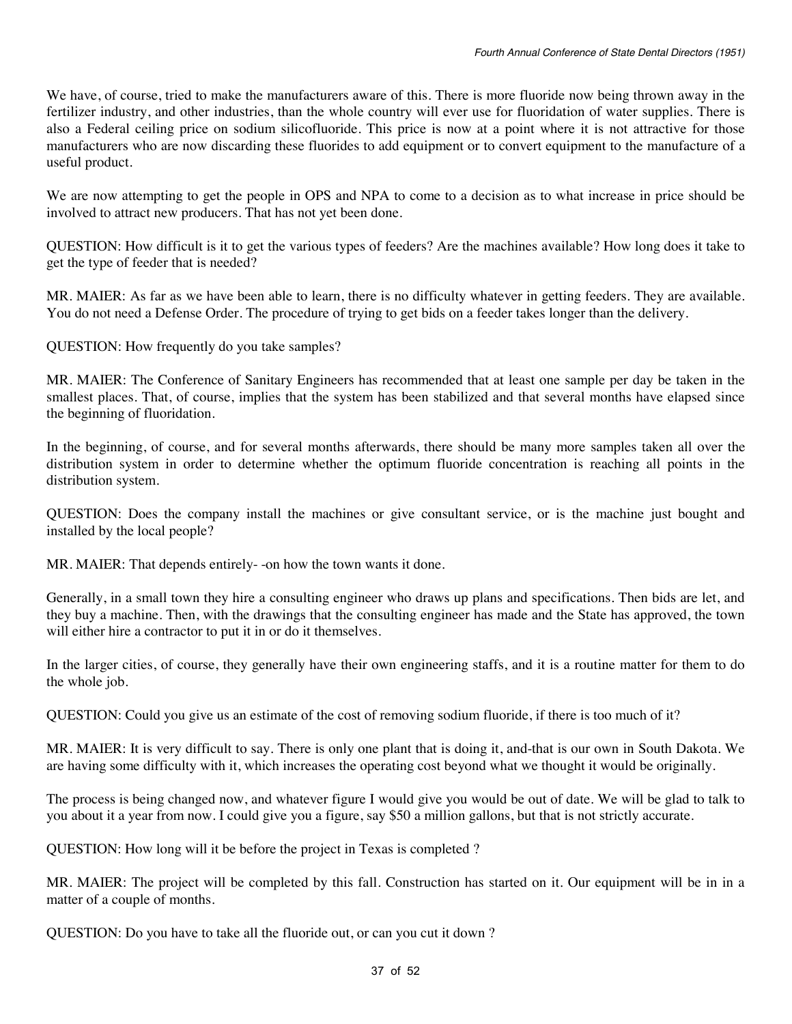We have, of course, tried to make the manufacturers aware of this. There is more fluoride now being thrown away in the fertilizer industry, and other industries, than the whole country will ever use for fluoridation of water supplies. There is also a Federal ceiling price on sodium silicofluoride. This price is now at a point where it is not attractive for those manufacturers who are now discarding these fluorides to add equipment or to convert equipment to the manufacture of a useful product.

We are now attempting to get the people in OPS and NPA to come to a decision as to what increase in price should be involved to attract new producers. That has not yet been done.

QUESTION: How difficult is it to get the various types of feeders? Are the machines available? How long does it take to get the type of feeder that is needed?

MR. MAIER: As far as we have been able to learn, there is no difficulty whatever in getting feeders. They are available. You do not need a Defense Order. The procedure of trying to get bids on a feeder takes longer than the delivery.

QUESTION: How frequently do you take samples?

MR. MAIER: The Conference of Sanitary Engineers has recommended that at least one sample per day be taken in the smallest places. That, of course, implies that the system has been stabilized and that several months have elapsed since the beginning of fluoridation.

In the beginning, of course, and for several months afterwards, there should be many more samples taken all over the distribution system in order to determine whether the optimum fluoride concentration is reaching all points in the distribution system.

QUESTION: Does the company install the machines or give consultant service, or is the machine just bought and installed by the local people?

MR. MAIER: That depends entirely- -on how the town wants it done.

Generally, in a small town they hire a consulting engineer who draws up plans and specifications. Then bids are let, and they buy a machine. Then, with the drawings that the consulting engineer has made and the State has approved, the town will either hire a contractor to put it in or do it themselves.

In the larger cities, of course, they generally have their own engineering staffs, and it is a routine matter for them to do the whole job.

QUESTION: Could you give us an estimate of the cost of removing sodium fluoride, if there is too much of it?

MR. MAIER: It is very difficult to say. There is only one plant that is doing it, and-that is our own in South Dakota. We are having some difficulty with it, which increases the operating cost beyond what we thought it would be originally.

The process is being changed now, and whatever figure I would give you would be out of date. We will be glad to talk to you about it a year from now. I could give you a figure, say \$50 a million gallons, but that is not strictly accurate.

QUESTION: How long will it be before the project in Texas is completed ?

MR. MAIER: The project will be completed by this fall. Construction has started on it. Our equipment will be in in a matter of a couple of months.

QUESTION: Do you have to take all the fluoride out, or can you cut it down ?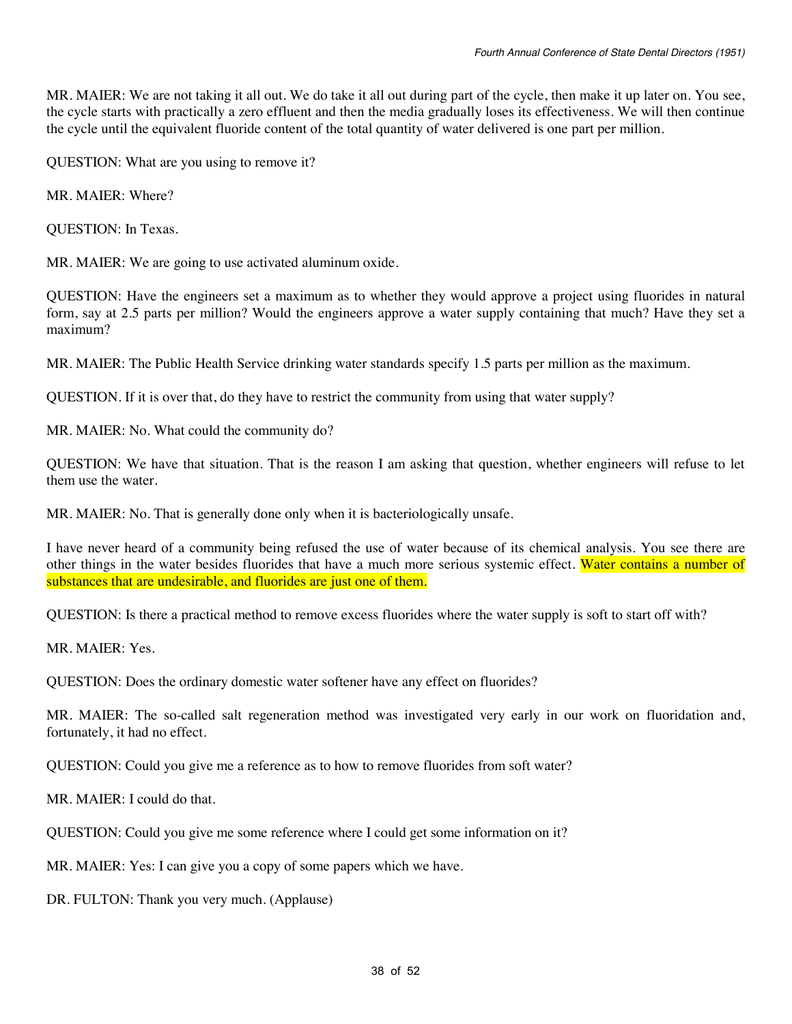MR. MAIER: We are not taking it all out. We do take it all out during part of the cycle, then make it up later on. You see, the cycle starts with practically a zero effluent and then the media gradually loses its effectiveness. We will then continue the cycle until the equivalent fluoride content of the total quantity of water delivered is one part per million.

QUESTION: What are you using to remove it?

MR. MAIER: Where?

QUESTION: In Texas.

MR. MAIER: We are going to use activated aluminum oxide.

QUESTION: Have the engineers set a maximum as to whether they would approve a project using fluorides in natural form, say at 2.5 parts per million? Would the engineers approve a water supply containing that much? Have they set a maximum?

MR. MAIER: The Public Health Service drinking water standards specify 1.5 parts per million as the maximum.

QUESTION. If it is over that, do they have to restrict the community from using that water supply?

MR. MAIER: No. What could the community do?

QUESTION: We have that situation. That is the reason I am asking that question, whether engineers will refuse to let them use the water.

MR. MAIER: No. That is generally done only when it is bacteriologically unsafe.

I have never heard of a community being refused the use of water because of its chemical analysis. You see there are other things in the water besides fluorides that have a much more serious systemic effect. Water contains a number of substances that are undesirable, and fluorides are just one of them.

QUESTION: Is there a practical method to remove excess fluorides where the water supply is soft to start off with?

MR. MAIER: Yes.

QUESTION: Does the ordinary domestic water softener have any effect on fluorides?

MR. MAIER: The so-called salt regeneration method was investigated very early in our work on fluoridation and, fortunately, it had no effect.

QUESTION: Could you give me a reference as to how to remove fluorides from soft water?

MR. MAIER: I could do that.

QUESTION: Could you give me some reference where I could get some information on it?

MR. MAIER: Yes: I can give you a copy of some papers which we have.

DR. FULTON: Thank you very much. (Applause)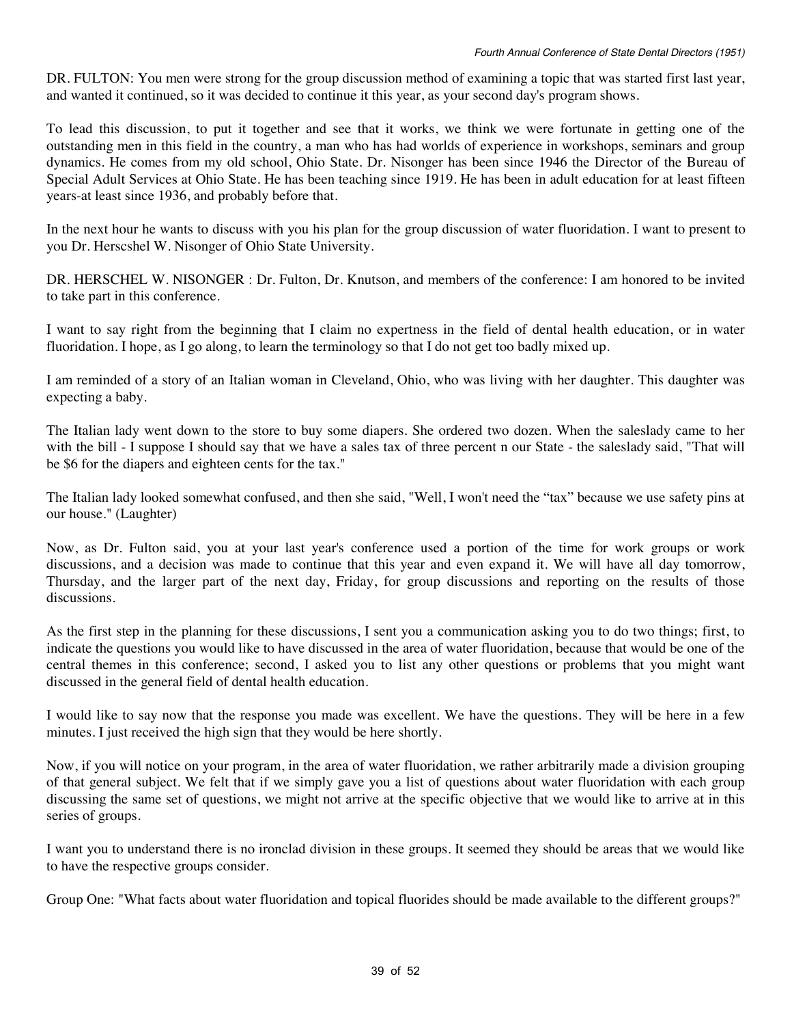DR. FULTON: You men were strong for the group discussion method of examining a topic that was started first last year, and wanted it continued, so it was decided to continue it this year, as your second day's program shows.

To lead this discussion, to put it together and see that it works, we think we were fortunate in getting one of the outstanding men in this field in the country, a man who has had worlds of experience in workshops, seminars and group dynamics. He comes from my old school, Ohio State. Dr. Nisonger has been since 1946 the Director of the Bureau of Special Adult Services at Ohio State. He has been teaching since 1919. He has been in adult education for at least fifteen years-at least since 1936, and probably before that.

In the next hour he wants to discuss with you his plan for the group discussion of water fluoridation. I want to present to you Dr. Herscshel W. Nisonger of Ohio State University.

DR. HERSCHEL W. NISONGER : Dr. Fulton, Dr. Knutson, and members of the conference: I am honored to be invited to take part in this conference.

I want to say right from the beginning that I claim no expertness in the field of dental health education, or in water fluoridation. I hope, as I go along, to learn the terminology so that I do not get too badly mixed up.

I am reminded of a story of an Italian woman in Cleveland, Ohio, who was living with her daughter. This daughter was expecting a baby.

The Italian lady went down to the store to buy some diapers. She ordered two dozen. When the saleslady came to her with the bill - I suppose I should say that we have a sales tax of three percent n our State - the saleslady said, "That will be \$6 for the diapers and eighteen cents for the tax."

The Italian lady looked somewhat confused, and then she said, "Well, I won't need the "tax" because we use safety pins at our house." (Laughter)

Now, as Dr. Fulton said, you at your last year's conference used a portion of the time for work groups or work discussions, and a decision was made to continue that this year and even expand it. We will have all day tomorrow, Thursday, and the larger part of the next day, Friday, for group discussions and reporting on the results of those discussions.

As the first step in the planning for these discussions, I sent you a communication asking you to do two things; first, to indicate the questions you would like to have discussed in the area of water fluoridation, because that would be one of the central themes in this conference; second, I asked you to list any other questions or problems that you might want discussed in the general field of dental health education.

I would like to say now that the response you made was excellent. We have the questions. They will be here in a few minutes. I just received the high sign that they would be here shortly.

Now, if you will notice on your program, in the area of water fluoridation, we rather arbitrarily made a division grouping of that general subject. We felt that if we simply gave you a list of questions about water fluoridation with each group discussing the same set of questions, we might not arrive at the specific objective that we would like to arrive at in this series of groups.

I want you to understand there is no ironclad division in these groups. It seemed they should be areas that we would like to have the respective groups consider.

Group One: "What facts about water fluoridation and topical fluorides should be made available to the different groups?"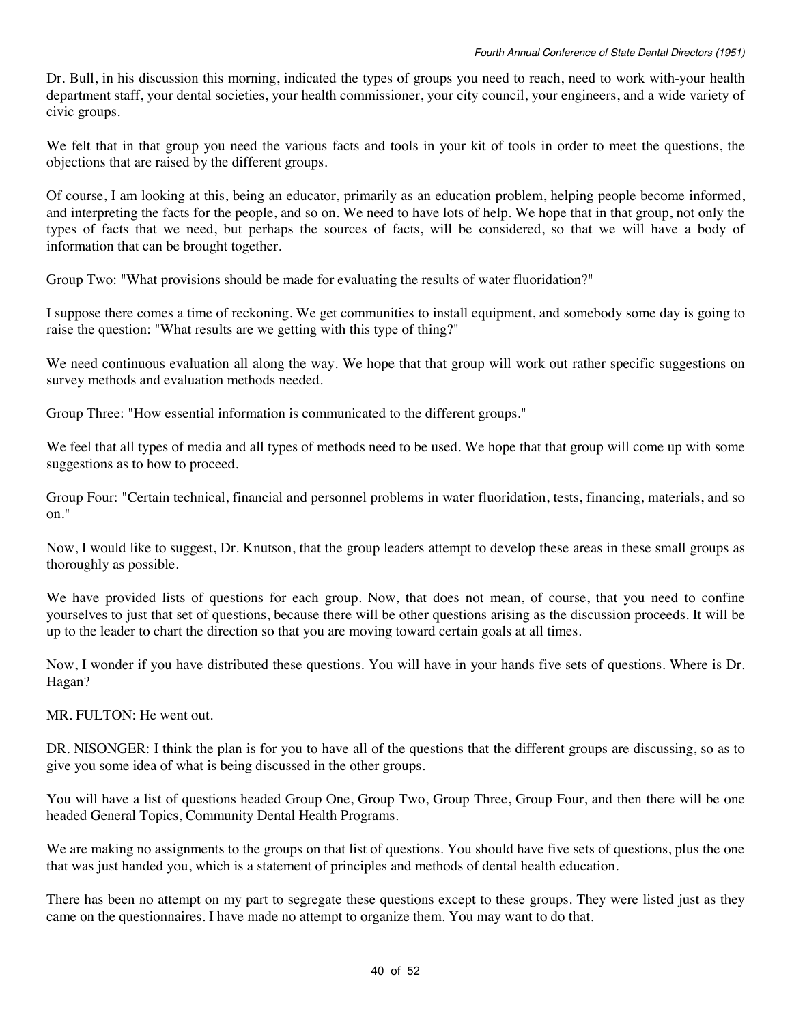Dr. Bull, in his discussion this morning, indicated the types of groups you need to reach, need to work with-your health department staff, your dental societies, your health commissioner, your city council, your engineers, and a wide variety of civic groups.

We felt that in that group you need the various facts and tools in your kit of tools in order to meet the questions, the objections that are raised by the different groups.

Of course, I am looking at this, being an educator, primarily as an education problem, helping people become informed, and interpreting the facts for the people, and so on. We need to have lots of help. We hope that in that group, not only the types of facts that we need, but perhaps the sources of facts, will be considered, so that we will have a body of information that can be brought together.

Group Two: "What provisions should be made for evaluating the results of water fluoridation?"

I suppose there comes a time of reckoning. We get communities to install equipment, and somebody some day is going to raise the question: "What results are we getting with this type of thing?"

We need continuous evaluation all along the way. We hope that that group will work out rather specific suggestions on survey methods and evaluation methods needed.

Group Three: "How essential information is communicated to the different groups."

We feel that all types of media and all types of methods need to be used. We hope that that group will come up with some suggestions as to how to proceed.

Group Four: "Certain technical, financial and personnel problems in water fluoridation, tests, financing, materials, and so on."

Now, I would like to suggest, Dr. Knutson, that the group leaders attempt to develop these areas in these small groups as thoroughly as possible.

We have provided lists of questions for each group. Now, that does not mean, of course, that you need to confine yourselves to just that set of questions, because there will be other questions arising as the discussion proceeds. It will be up to the leader to chart the direction so that you are moving toward certain goals at all times.

Now, I wonder if you have distributed these questions. You will have in your hands five sets of questions. Where is Dr. Hagan?

MR. FULTON: He went out.

DR. NISONGER: I think the plan is for you to have all of the questions that the different groups are discussing, so as to give you some idea of what is being discussed in the other groups.

You will have a list of questions headed Group One, Group Two, Group Three, Group Four, and then there will be one headed General Topics, Community Dental Health Programs.

We are making no assignments to the groups on that list of questions. You should have five sets of questions, plus the one that was just handed you, which is a statement of principles and methods of dental health education.

There has been no attempt on my part to segregate these questions except to these groups. They were listed just as they came on the questionnaires. I have made no attempt to organize them. You may want to do that.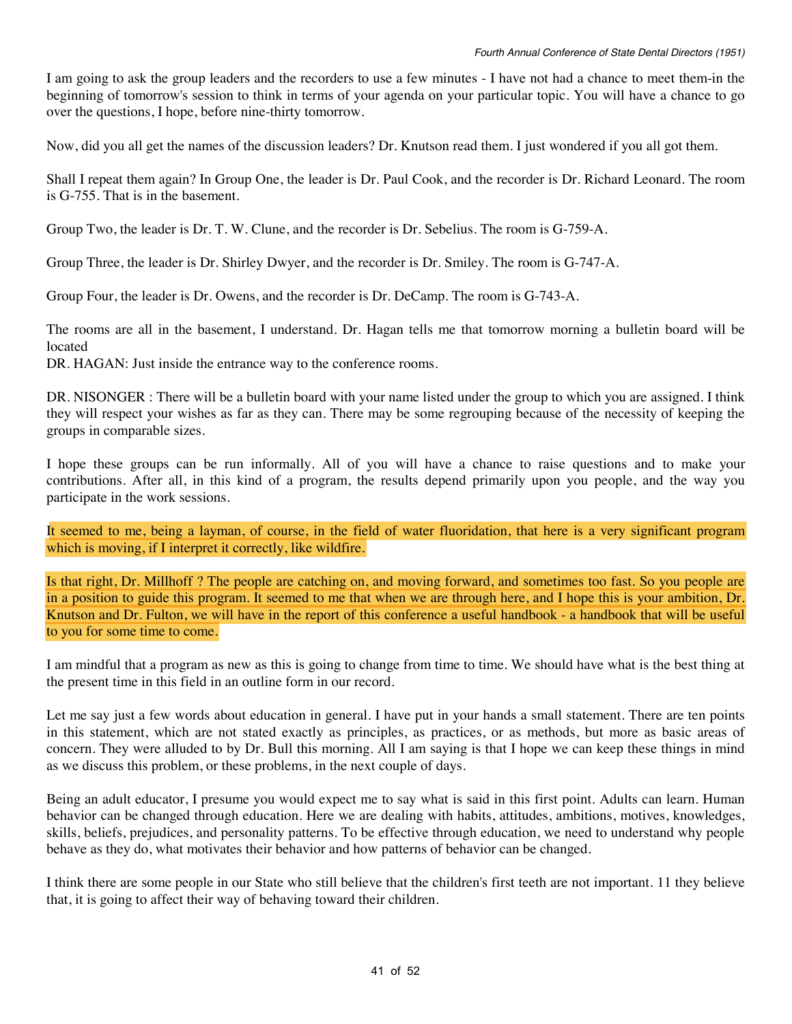I am going to ask the group leaders and the recorders to use a few minutes - I have not had a chance to meet them-in the beginning of tomorrow's session to think in terms of your agenda on your particular topic. You will have a chance to go over the questions, I hope, before nine-thirty tomorrow.

Now, did you all get the names of the discussion leaders? Dr. Knutson read them. I just wondered if you all got them.

Shall I repeat them again? In Group One, the leader is Dr. Paul Cook, and the recorder is Dr. Richard Leonard. The room is G-755. That is in the basement.

Group Two, the leader is Dr. T. W. Clune, and the recorder is Dr. Sebelius. The room is G-759-A.

Group Three, the leader is Dr. Shirley Dwyer, and the recorder is Dr. Smiley. The room is G-747-A.

Group Four, the leader is Dr. Owens, and the recorder is Dr. DeCamp. The room is G-743-A.

The rooms are all in the basement, I understand. Dr. Hagan tells me that tomorrow morning a bulletin board will be located

DR. HAGAN: Just inside the entrance way to the conference rooms.

DR. NISONGER : There will be a bulletin board with your name listed under the group to which you are assigned. I think they will respect your wishes as far as they can. There may be some regrouping because of the necessity of keeping the groups in comparable sizes.

I hope these groups can be run informally. All of you will have a chance to raise questions and to make your contributions. After all, in this kind of a program, the results depend primarily upon you people, and the way you participate in the work sessions.

It seemed to me, being a layman, of course, in the field of water fluoridation, that here is a very significant program which is moving, if I interpret it correctly, like wildfire.

Is that right, Dr. Millhoff ? The people are catching on, and moving forward, and sometimes too fast. So you people are in a position to guide this program. It seemed to me that when we are through here, and I hope this is your ambition, Dr. Knutson and Dr. Fulton, we will have in the report of this conference a useful handbook - a handbook that will be useful to you for some time to come.

I am mindful that a program as new as this is going to change from time to time. We should have what is the best thing at the present time in this field in an outline form in our record.

Let me say just a few words about education in general. I have put in your hands a small statement. There are ten points in this statement, which are not stated exactly as principles, as practices, or as methods, but more as basic areas of concern. They were alluded to by Dr. Bull this morning. All I am saying is that I hope we can keep these things in mind as we discuss this problem, or these problems, in the next couple of days.

Being an adult educator, I presume you would expect me to say what is said in this first point. Adults can learn. Human behavior can be changed through education. Here we are dealing with habits, attitudes, ambitions, motives, knowledges, skills, beliefs, prejudices, and personality patterns. To be effective through education, we need to understand why people behave as they do, what motivates their behavior and how patterns of behavior can be changed.

I think there are some people in our State who still believe that the children's first teeth are not important. 11 they believe that, it is going to affect their way of behaving toward their children.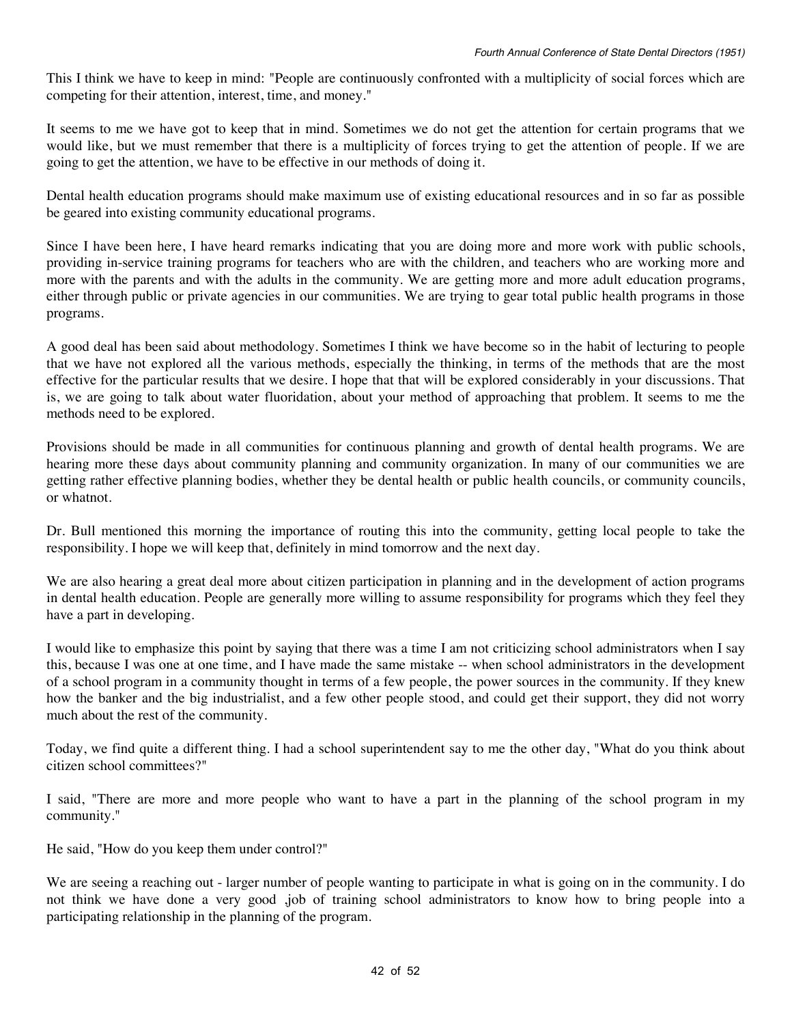This I think we have to keep in mind: "People are continuously confronted with a multiplicity of social forces which are competing for their attention, interest, time, and money."

It seems to me we have got to keep that in mind. Sometimes we do not get the attention for certain programs that we would like, but we must remember that there is a multiplicity of forces trying to get the attention of people. If we are going to get the attention, we have to be effective in our methods of doing it.

Dental health education programs should make maximum use of existing educational resources and in so far as possible be geared into existing community educational programs.

Since I have been here, I have heard remarks indicating that you are doing more and more work with public schools, providing in-service training programs for teachers who are with the children, and teachers who are working more and more with the parents and with the adults in the community. We are getting more and more adult education programs, either through public or private agencies in our communities. We are trying to gear total public health programs in those programs.

A good deal has been said about methodology. Sometimes I think we have become so in the habit of lecturing to people that we have not explored all the various methods, especially the thinking, in terms of the methods that are the most effective for the particular results that we desire. I hope that that will be explored considerably in your discussions. That is, we are going to talk about water fluoridation, about your method of approaching that problem. It seems to me the methods need to be explored.

Provisions should be made in all communities for continuous planning and growth of dental health programs. We are hearing more these days about community planning and community organization. In many of our communities we are getting rather effective planning bodies, whether they be dental health or public health councils, or community councils, or whatnot.

Dr. Bull mentioned this morning the importance of routing this into the community, getting local people to take the responsibility. I hope we will keep that, definitely in mind tomorrow and the next day.

We are also hearing a great deal more about citizen participation in planning and in the development of action programs in dental health education. People are generally more willing to assume responsibility for programs which they feel they have a part in developing.

I would like to emphasize this point by saying that there was a time I am not criticizing school administrators when I say this, because I was one at one time, and I have made the same mistake -- when school administrators in the development of a school program in a community thought in terms of a few people, the power sources in the community. If they knew how the banker and the big industrialist, and a few other people stood, and could get their support, they did not worry much about the rest of the community.

Today, we find quite a different thing. I had a school superintendent say to me the other day, "What do you think about citizen school committees?"

I said, "There are more and more people who want to have a part in the planning of the school program in my community."

He said, "How do you keep them under control?"

We are seeing a reaching out - larger number of people wanting to participate in what is going on in the community. I do not think we have done a very good ,job of training school administrators to know how to bring people into a participating relationship in the planning of the program.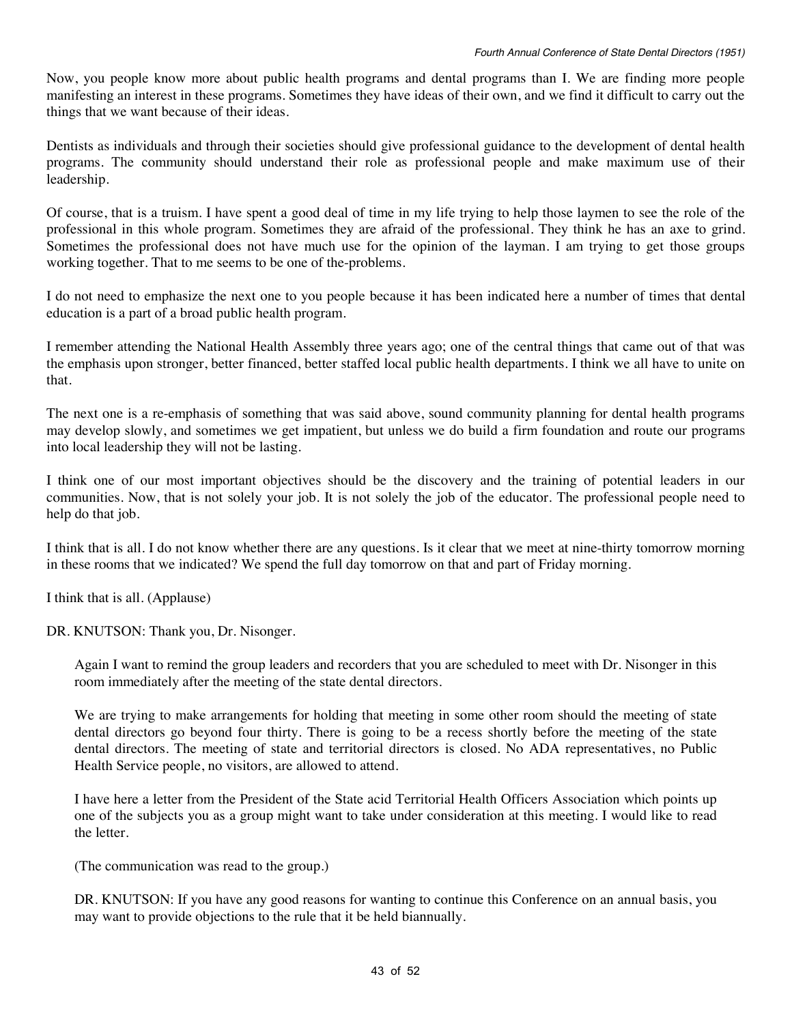Now, you people know more about public health programs and dental programs than I. We are finding more people manifesting an interest in these programs. Sometimes they have ideas of their own, and we find it difficult to carry out the things that we want because of their ideas.

Dentists as individuals and through their societies should give professional guidance to the development of dental health programs. The community should understand their role as professional people and make maximum use of their leadership.

Of course, that is a truism. I have spent a good deal of time in my life trying to help those laymen to see the role of the professional in this whole program. Sometimes they are afraid of the professional. They think he has an axe to grind. Sometimes the professional does not have much use for the opinion of the layman. I am trying to get those groups working together. That to me seems to be one of the-problems.

I do not need to emphasize the next one to you people because it has been indicated here a number of times that dental education is a part of a broad public health program.

I remember attending the National Health Assembly three years ago; one of the central things that came out of that was the emphasis upon stronger, better financed, better staffed local public health departments. I think we all have to unite on that.

The next one is a re-emphasis of something that was said above, sound community planning for dental health programs may develop slowly, and sometimes we get impatient, but unless we do build a firm foundation and route our programs into local leadership they will not be lasting.

I think one of our most important objectives should be the discovery and the training of potential leaders in our communities. Now, that is not solely your job. It is not solely the job of the educator. The professional people need to help do that job.

I think that is all. I do not know whether there are any questions. Is it clear that we meet at nine-thirty tomorrow morning in these rooms that we indicated? We spend the full day tomorrow on that and part of Friday morning.

I think that is all. (Applause)

DR. KNUTSON: Thank you, Dr. Nisonger.

Again I want to remind the group leaders and recorders that you are scheduled to meet with Dr. Nisonger in this room immediately after the meeting of the state dental directors.

We are trying to make arrangements for holding that meeting in some other room should the meeting of state dental directors go beyond four thirty. There is going to be a recess shortly before the meeting of the state dental directors. The meeting of state and territorial directors is closed. No ADA representatives, no Public Health Service people, no visitors, are allowed to attend.

I have here a letter from the President of the State acid Territorial Health Officers Association which points up one of the subjects you as a group might want to take under consideration at this meeting. I would like to read the letter.

(The communication was read to the group.)

DR. KNUTSON: If you have any good reasons for wanting to continue this Conference on an annual basis, you may want to provide objections to the rule that it be held biannually.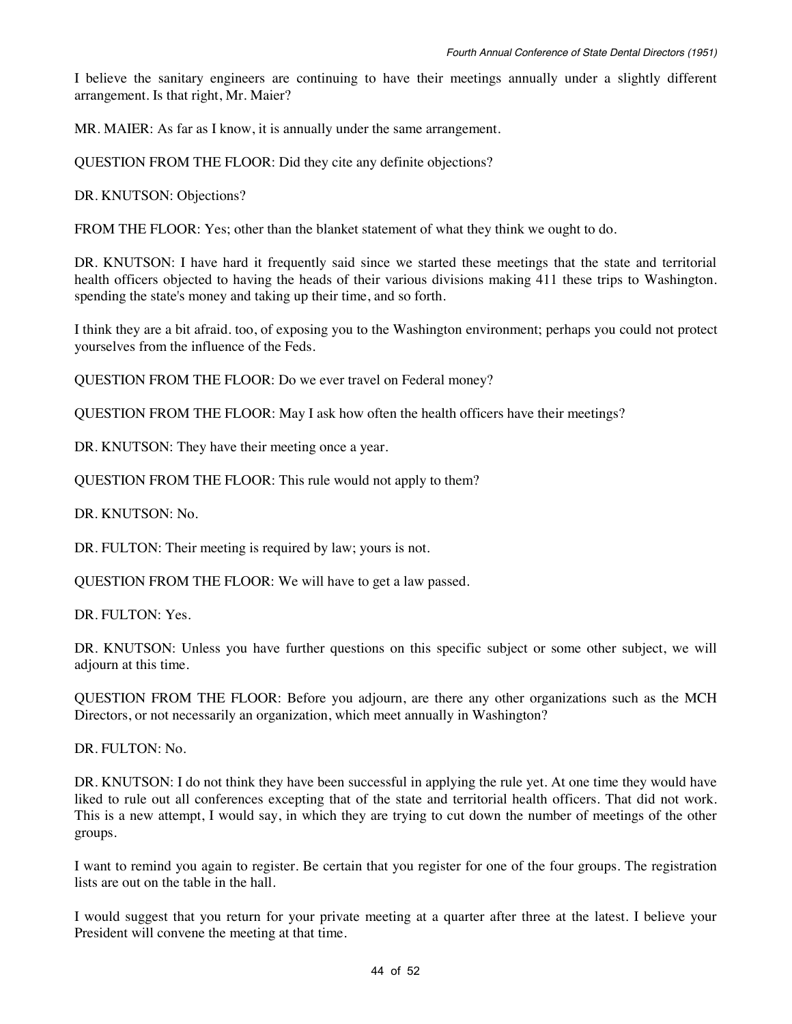I believe the sanitary engineers are continuing to have their meetings annually under a slightly different arrangement. Is that right, Mr. Maier?

MR. MAIER: As far as I know, it is annually under the same arrangement.

QUESTION FROM THE FLOOR: Did they cite any definite objections?

DR. KNUTSON: Objections?

FROM THE FLOOR: Yes; other than the blanket statement of what they think we ought to do.

DR. KNUTSON: I have hard it frequently said since we started these meetings that the state and territorial health officers objected to having the heads of their various divisions making 411 these trips to Washington. spending the state's money and taking up their time, and so forth.

I think they are a bit afraid. too, of exposing you to the Washington environment; perhaps you could not protect yourselves from the influence of the Feds.

QUESTION FROM THE FLOOR: Do we ever travel on Federal money?

QUESTION FROM THE FLOOR: May I ask how often the health officers have their meetings?

DR. KNUTSON: They have their meeting once a year.

QUESTION FROM THE FLOOR: This rule would not apply to them?

DR. KNUTSON: No.

DR. FULTON: Their meeting is required by law; yours is not.

QUESTION FROM THE FLOOR: We will have to get a law passed.

DR. FULTON: Yes.

DR. KNUTSON: Unless you have further questions on this specific subject or some other subject, we will adjourn at this time.

QUESTION FROM THE FLOOR: Before you adjourn, are there any other organizations such as the MCH Directors, or not necessarily an organization, which meet annually in Washington?

DR. FULTON: No.

DR. KNUTSON: I do not think they have been successful in applying the rule yet. At one time they would have liked to rule out all conferences excepting that of the state and territorial health officers. That did not work. This is a new attempt, I would say, in which they are trying to cut down the number of meetings of the other groups.

I want to remind you again to register. Be certain that you register for one of the four groups. The registration lists are out on the table in the hall.

I would suggest that you return for your private meeting at a quarter after three at the latest. I believe your President will convene the meeting at that time.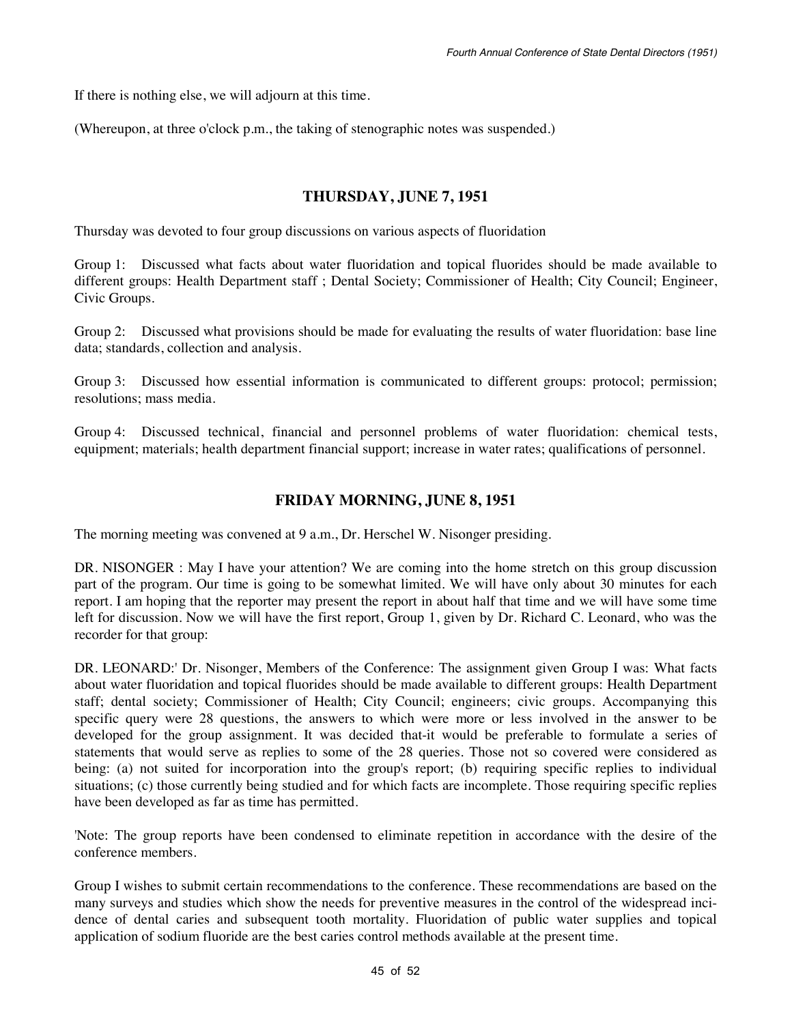If there is nothing else, we will adjourn at this time.

(Whereupon, at three o'clock p.m., the taking of stenographic notes was suspended.)

#### **THURSDAY, JUNE 7, 1951**

Thursday was devoted to four group discussions on various aspects of fluoridation

Group 1: Discussed what facts about water fluoridation and topical fluorides should be made available to different groups: Health Department staff ; Dental Society; Commissioner of Health; City Council; Engineer, Civic Groups.

Group 2: Discussed what provisions should be made for evaluating the results of water fluoridation: base line data; standards, collection and analysis.

Group 3: Discussed how essential information is communicated to different groups: protocol; permission; resolutions; mass media.

Group 4: Discussed technical, financial and personnel problems of water fluoridation: chemical tests, equipment; materials; health department financial support; increase in water rates; qualifications of personnel.

#### **FRIDAY MORNING, JUNE 8, 1951**

The morning meeting was convened at 9 a.m., Dr. Herschel W. Nisonger presiding.

DR. NISONGER : May I have your attention? We are coming into the home stretch on this group discussion part of the program. Our time is going to be somewhat limited. We will have only about 30 minutes for each report. I am hoping that the reporter may present the report in about half that time and we will have some time left for discussion. Now we will have the first report, Group 1, given by Dr. Richard C. Leonard, who was the recorder for that group:

DR. LEONARD:' Dr. Nisonger, Members of the Conference: The assignment given Group I was: What facts about water fluoridation and topical fluorides should be made available to different groups: Health Department staff; dental society; Commissioner of Health; City Council; engineers; civic groups. Accompanying this specific query were 28 questions, the answers to which were more or less involved in the answer to be developed for the group assignment. It was decided that-it would be preferable to formulate a series of statements that would serve as replies to some of the 28 queries. Those not so covered were considered as being: (a) not suited for incorporation into the group's report; (b) requiring specific replies to individual situations; (c) those currently being studied and for which facts are incomplete. Those requiring specific replies have been developed as far as time has permitted.

'Note: The group reports have been condensed to eliminate repetition in accordance with the desire of the conference members.

Group I wishes to submit certain recommendations to the conference. These recommendations are based on the many surveys and studies which show the needs for preventive measures in the control of the widespread incidence of dental caries and subsequent tooth mortality. Fluoridation of public water supplies and topical application of sodium fluoride are the best caries control methods available at the present time.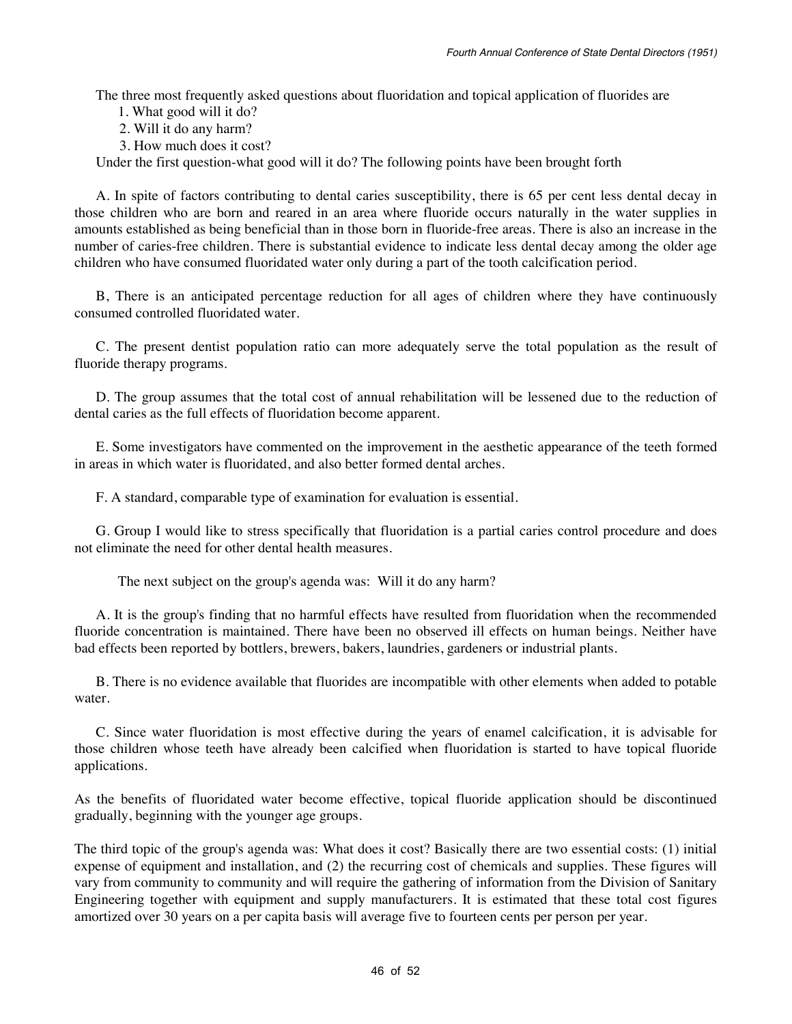The three most frequently asked questions about fluoridation and topical application of fluorides are

1. What good will it do?

2. Will it do any harm?

3. How much does it cost?

Under the first question-what good will it do? The following points have been brought forth

A. In spite of factors contributing to dental caries susceptibility, there is 65 per cent less dental decay in those children who are born and reared in an area where fluoride occurs naturally in the water supplies in amounts established as being beneficial than in those born in fluoride-free areas. There is also an increase in the number of caries-free children. There is substantial evidence to indicate less dental decay among the older age children who have consumed fluoridated water only during a part of the tooth calcification period.

B, There is an anticipated percentage reduction for all ages of children where they have continuously consumed controlled fluoridated water.

C. The present dentist population ratio can more adequately serve the total population as the result of fluoride therapy programs.

D. The group assumes that the total cost of annual rehabilitation will be lessened due to the reduction of dental caries as the full effects of fluoridation become apparent.

E. Some investigators have commented on the improvement in the aesthetic appearance of the teeth formed in areas in which water is fluoridated, and also better formed dental arches.

F. A standard, comparable type of examination for evaluation is essential.

G. Group I would like to stress specifically that fluoridation is a partial caries control procedure and does not eliminate the need for other dental health measures.

The next subject on the group's agenda was: Will it do any harm?

A. It is the group's finding that no harmful effects have resulted from fluoridation when the recommended fluoride concentration is maintained. There have been no observed ill effects on human beings. Neither have bad effects been reported by bottlers, brewers, bakers, laundries, gardeners or industrial plants.

B. There is no evidence available that fluorides are incompatible with other elements when added to potable water.

C. Since water fluoridation is most effective during the years of enamel calcification, it is advisable for those children whose teeth have already been calcified when fluoridation is started to have topical fluoride applications.

As the benefits of fluoridated water become effective, topical fluoride application should be discontinued gradually, beginning with the younger age groups.

The third topic of the group's agenda was: What does it cost? Basically there are two essential costs: (1) initial expense of equipment and installation, and (2) the recurring cost of chemicals and supplies. These figures will vary from community to community and will require the gathering of information from the Division of Sanitary Engineering together with equipment and supply manufacturers. It is estimated that these total cost figures amortized over 30 years on a per capita basis will average five to fourteen cents per person per year.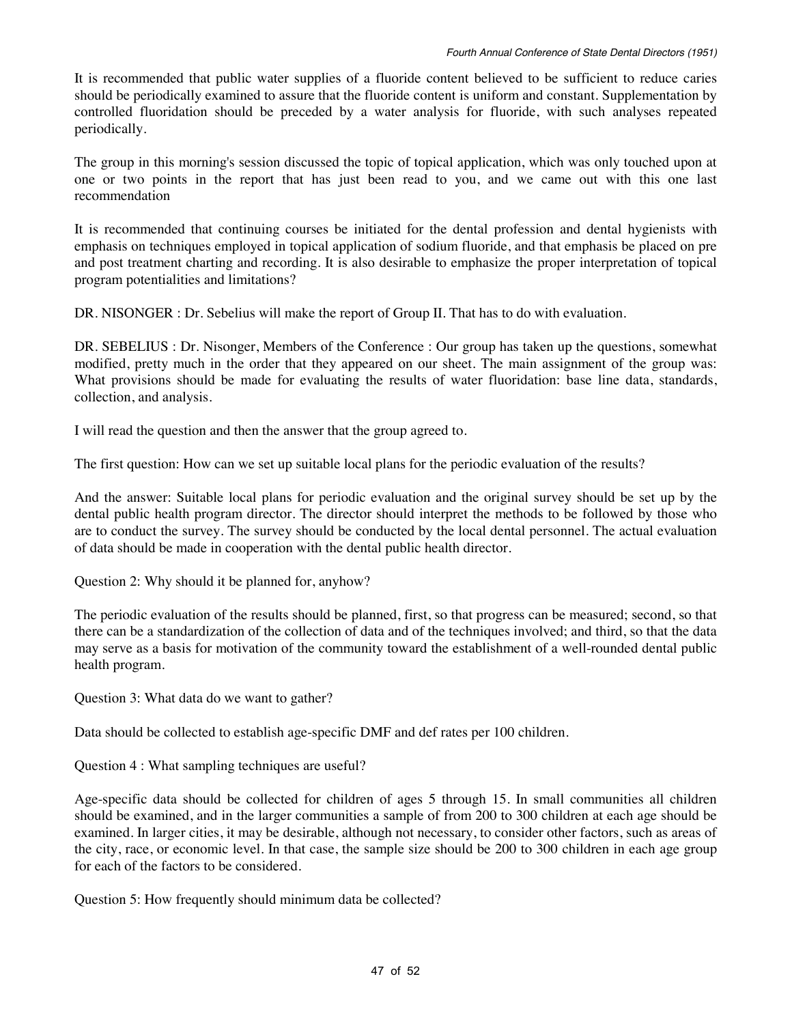It is recommended that public water supplies of a fluoride content believed to be sufficient to reduce caries should be periodically examined to assure that the fluoride content is uniform and constant. Supplementation by controlled fluoridation should be preceded by a water analysis for fluoride, with such analyses repeated periodically.

The group in this morning's session discussed the topic of topical application, which was only touched upon at one or two points in the report that has just been read to you, and we came out with this one last recommendation

It is recommended that continuing courses be initiated for the dental profession and dental hygienists with emphasis on techniques employed in topical application of sodium fluoride, and that emphasis be placed on pre and post treatment charting and recording. It is also desirable to emphasize the proper interpretation of topical program potentialities and limitations?

DR. NISONGER : Dr. Sebelius will make the report of Group II. That has to do with evaluation.

DR. SEBELIUS : Dr. Nisonger, Members of the Conference : Our group has taken up the questions, somewhat modified, pretty much in the order that they appeared on our sheet. The main assignment of the group was: What provisions should be made for evaluating the results of water fluoridation: base line data, standards, collection, and analysis.

I will read the question and then the answer that the group agreed to.

The first question: How can we set up suitable local plans for the periodic evaluation of the results?

And the answer: Suitable local plans for periodic evaluation and the original survey should be set up by the dental public health program director. The director should interpret the methods to be followed by those who are to conduct the survey. The survey should be conducted by the local dental personnel. The actual evaluation of data should be made in cooperation with the dental public health director.

Question 2: Why should it be planned for, anyhow?

The periodic evaluation of the results should be planned, first, so that progress can be measured; second, so that there can be a standardization of the collection of data and of the techniques involved; and third, so that the data may serve as a basis for motivation of the community toward the establishment of a well-rounded dental public health program.

Question 3: What data do we want to gather?

Data should be collected to establish age-specific DMF and def rates per 100 children.

Question 4 : What sampling techniques are useful?

Age-specific data should be collected for children of ages 5 through 15. In small communities all children should be examined, and in the larger communities a sample of from 200 to 300 children at each age should be examined. In larger cities, it may be desirable, although not necessary, to consider other factors, such as areas of the city, race, or economic level. In that case, the sample size should be 200 to 300 children in each age group for each of the factors to be considered.

Question 5: How frequently should minimum data be collected?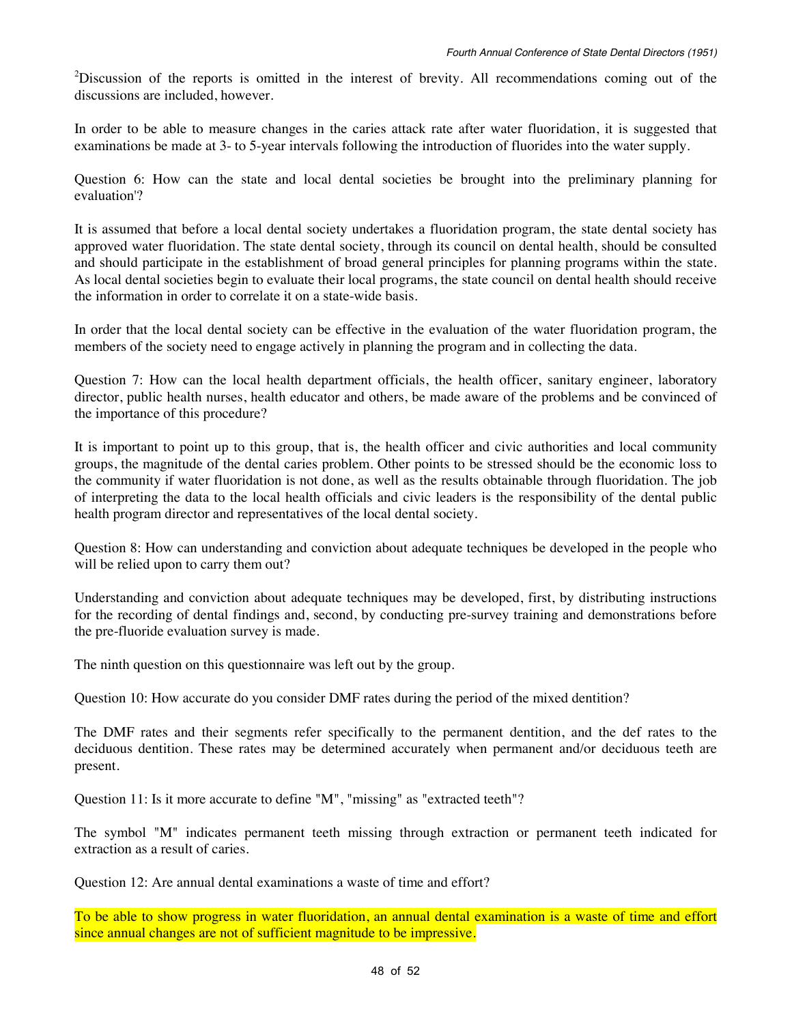$2$ Discussion of the reports is omitted in the interest of brevity. All recommendations coming out of the discussions are included, however.

In order to be able to measure changes in the caries attack rate after water fluoridation, it is suggested that examinations be made at 3- to 5-year intervals following the introduction of fluorides into the water supply.

Question 6: How can the state and local dental societies be brought into the preliminary planning for evaluation'?

It is assumed that before a local dental society undertakes a fluoridation program, the state dental society has approved water fluoridation. The state dental society, through its council on dental health, should be consulted and should participate in the establishment of broad general principles for planning programs within the state. As local dental societies begin to evaluate their local programs, the state council on dental health should receive the information in order to correlate it on a state-wide basis.

In order that the local dental society can be effective in the evaluation of the water fluoridation program, the members of the society need to engage actively in planning the program and in collecting the data.

Question 7: How can the local health department officials, the health officer, sanitary engineer, laboratory director, public health nurses, health educator and others, be made aware of the problems and be convinced of the importance of this procedure?

It is important to point up to this group, that is, the health officer and civic authorities and local community groups, the magnitude of the dental caries problem. Other points to be stressed should be the economic loss to the community if water fluoridation is not done, as well as the results obtainable through fluoridation. The job of interpreting the data to the local health officials and civic leaders is the responsibility of the dental public health program director and representatives of the local dental society.

Question 8: How can understanding and conviction about adequate techniques be developed in the people who will be relied upon to carry them out?

Understanding and conviction about adequate techniques may be developed, first, by distributing instructions for the recording of dental findings and, second, by conducting pre-survey training and demonstrations before the pre-fluoride evaluation survey is made.

The ninth question on this questionnaire was left out by the group.

Question 10: How accurate do you consider DMF rates during the period of the mixed dentition?

The DMF rates and their segments refer specifically to the permanent dentition, and the def rates to the deciduous dentition. These rates may be determined accurately when permanent and/or deciduous teeth are present.

Question 11: Is it more accurate to define "M", "missing" as "extracted teeth"?

The symbol "M" indicates permanent teeth missing through extraction or permanent teeth indicated for extraction as a result of caries.

Question 12: Are annual dental examinations a waste of time and effort?

To be able to show progress in water fluoridation, an annual dental examination is a waste of time and effort since annual changes are not of sufficient magnitude to be impressive.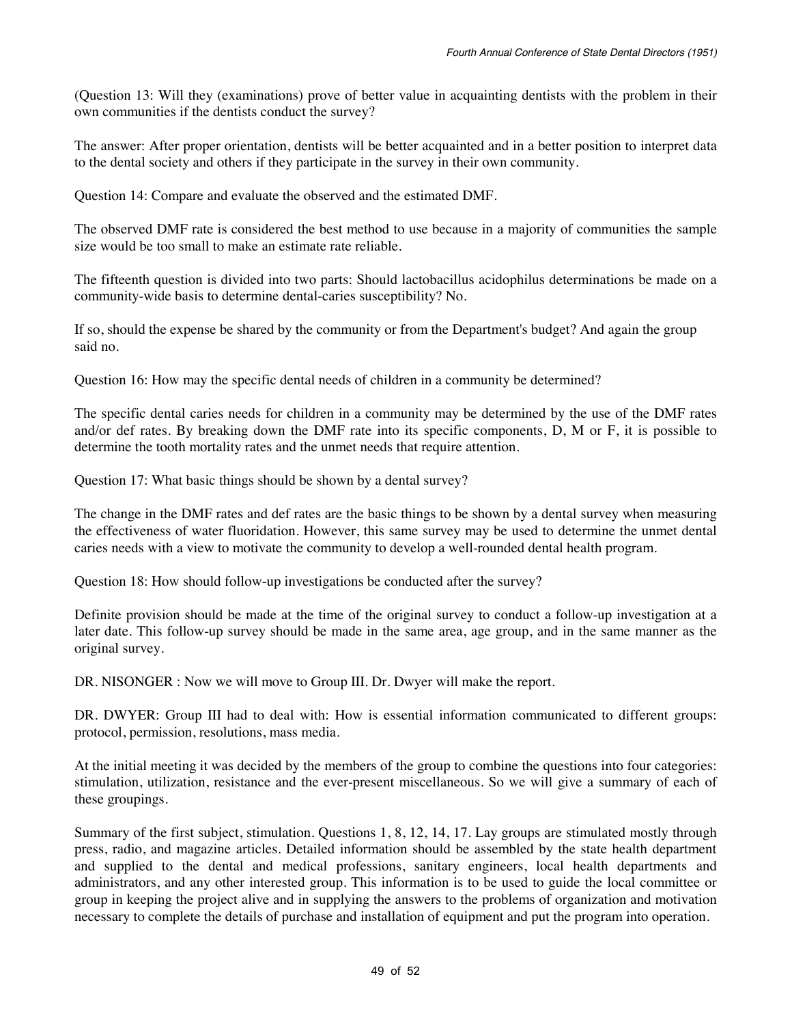(Question 13: Will they (examinations) prove of better value in acquainting dentists with the problem in their own communities if the dentists conduct the survey?

The answer: After proper orientation, dentists will be better acquainted and in a better position to interpret data to the dental society and others if they participate in the survey in their own community.

Question 14: Compare and evaluate the observed and the estimated DMF.

The observed DMF rate is considered the best method to use because in a majority of communities the sample size would be too small to make an estimate rate reliable.

The fifteenth question is divided into two parts: Should lactobacillus acidophilus determinations be made on a community-wide basis to determine dental-caries susceptibility? No.

If so, should the expense be shared by the community or from the Department's budget? And again the group said no.

Question 16: How may the specific dental needs of children in a community be determined?

The specific dental caries needs for children in a community may be determined by the use of the DMF rates and/or def rates. By breaking down the DMF rate into its specific components, D, M or F, it is possible to determine the tooth mortality rates and the unmet needs that require attention.

Question 17: What basic things should be shown by a dental survey?

The change in the DMF rates and def rates are the basic things to be shown by a dental survey when measuring the effectiveness of water fluoridation. However, this same survey may be used to determine the unmet dental caries needs with a view to motivate the community to develop a well-rounded dental health program.

Question 18: How should follow-up investigations be conducted after the survey?

Definite provision should be made at the time of the original survey to conduct a follow-up investigation at a later date. This follow-up survey should be made in the same area, age group, and in the same manner as the original survey.

DR. NISONGER : Now we will move to Group III. Dr. Dwyer will make the report.

DR. DWYER: Group III had to deal with: How is essential information communicated to different groups: protocol, permission, resolutions, mass media.

At the initial meeting it was decided by the members of the group to combine the questions into four categories: stimulation, utilization, resistance and the ever-present miscellaneous. So we will give a summary of each of these groupings.

Summary of the first subject, stimulation. Questions 1, 8, 12, 14, 17. Lay groups are stimulated mostly through press, radio, and magazine articles. Detailed information should be assembled by the state health department and supplied to the dental and medical professions, sanitary engineers, local health departments and administrators, and any other interested group. This information is to be used to guide the local committee or group in keeping the project alive and in supplying the answers to the problems of organization and motivation necessary to complete the details of purchase and installation of equipment and put the program into operation.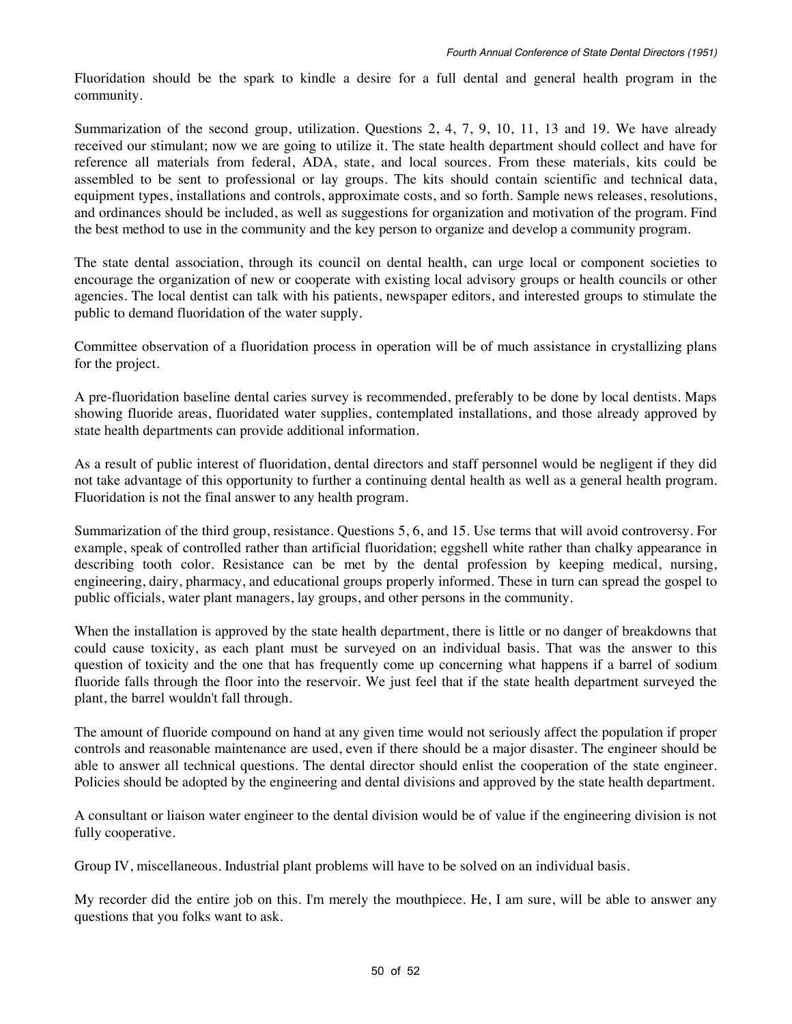Fluoridation should be the spark to kindle a desire for a full dental and general health program in the community.

Summarization of the second group, utilization. Questions 2, 4, 7, 9, 10, 11, 13 and 19. We have already received our stimulant; now we are going to utilize it. The state health department should collect and have for reference all materials from federal, ADA, state, and local sources. From these materials, kits could be assembled to be sent to professional or lay groups. The kits should contain scientific and technical data, equipment types, installations and controls, approximate costs, and so forth. Sample news releases, resolutions, and ordinances should be included, as well as suggestions for organization and motivation of the program. Find the best method to use in the community and the key person to organize and develop a community program.

The state dental association, through its council on dental health, can urge local or component societies to encourage the organization of new or cooperate with existing local advisory groups or health councils or other agencies. The local dentist can talk with his patients, newspaper editors, and interested groups to stimulate the public to demand fluoridation of the water supply.

Committee observation of a fluoridation process in operation will be of much assistance in crystallizing plans for the project.

A pre-fluoridation baseline dental caries survey is recommended, preferably to be done by local dentists. Maps showing fluoride areas, fluoridated water supplies, contemplated installations, and those already approved by state health departments can provide additional information.

As a result of public interest of fluoridation, dental directors and staff personnel would be negligent if they did not take advantage of this opportunity to further a continuing dental health as well as a general health program. Fluoridation is not the final answer to any health program.

Summarization of the third group, resistance. Questions 5, 6, and 15. Use terms that will avoid controversy. For example, speak of controlled rather than artificial fluoridation; eggshell white rather than chalky appearance in describing tooth color. Resistance can be met by the dental profession by keeping medical, nursing, engineering, dairy, pharmacy, and educational groups properly informed. These in turn can spread the gospel to public officials, water plant managers, lay groups, and other persons in the community.

When the installation is approved by the state health department, there is little or no danger of breakdowns that could cause toxicity, as each plant must be surveyed on an individual basis. That was the answer to this question of toxicity and the one that has frequently come up concerning what happens if a barrel of sodium fluoride falls through the floor into the reservoir. We just feel that if the state health department surveyed the plant, the barrel wouldn't fall through.

The amount of fluoride compound on hand at any given time would not seriously affect the population if proper controls and reasonable maintenance are used, even if there should be a major disaster. The engineer should be able to answer all technical questions. The dental director should enlist the cooperation of the state engineer. Policies should be adopted by the engineering and dental divisions and approved by the state health department.

A consultant or liaison water engineer to the dental division would be of value if the engineering division is not fully cooperative.

Group IV, miscellaneous. Industrial plant problems will have to be solved on an individual basis.

My recorder did the entire job on this. I'm merely the mouthpiece. He, I am sure, will be able to answer any questions that you folks want to ask.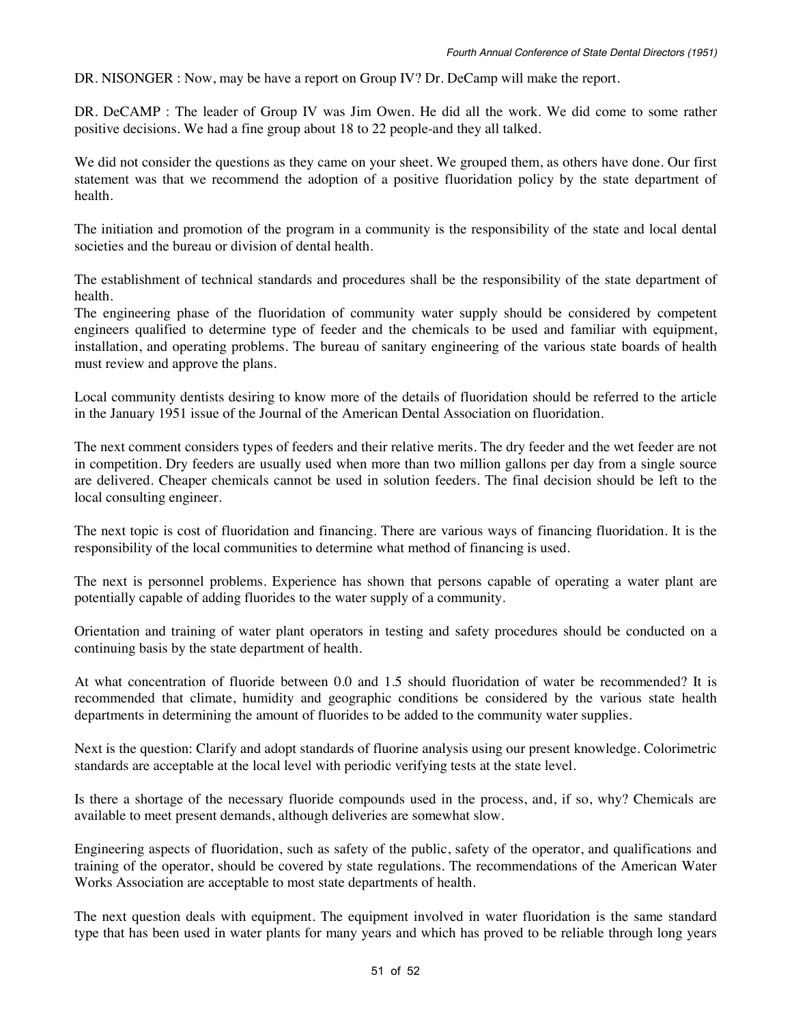DR. NISONGER : Now, may be have a report on Group IV? Dr. DeCamp will make the report.

DR. DeCAMP : The leader of Group IV was Jim Owen. He did all the work. We did come to some rather positive decisions. We had a fine group about 18 to 22 people-and they all talked.

We did not consider the questions as they came on your sheet. We grouped them, as others have done. Our first statement was that we recommend the adoption of a positive fluoridation policy by the state department of health.

The initiation and promotion of the program in a community is the responsibility of the state and local dental societies and the bureau or division of dental health.

The establishment of technical standards and procedures shall be the responsibility of the state department of health.

The engineering phase of the fluoridation of community water supply should be considered by competent engineers qualified to determine type of feeder and the chemicals to be used and familiar with equipment, installation, and operating problems. The bureau of sanitary engineering of the various state boards of health must review and approve the plans.

Local community dentists desiring to know more of the details of fluoridation should be referred to the article in the January 1951 issue of the Journal of the American Dental Association on fluoridation.

The next comment considers types of feeders and their relative merits. The dry feeder and the wet feeder are not in competition. Dry feeders are usually used when more than two million gallons per day from a single source are delivered. Cheaper chemicals cannot be used in solution feeders. The final decision should be left to the local consulting engineer.

The next topic is cost of fluoridation and financing. There are various ways of financing fluoridation. It is the responsibility of the local communities to determine what method of financing is used.

The next is personnel problems. Experience has shown that persons capable of operating a water plant are potentially capable of adding fluorides to the water supply of a community.

Orientation and training of water plant operators in testing and safety procedures should be conducted on a continuing basis by the state department of health.

At what concentration of fluoride between 0.0 and 1.5 should fluoridation of water be recommended? It is recommended that climate, humidity and geographic conditions be considered by the various state health departments in determining the amount of fluorides to be added to the community water supplies.

Next is the question: Clarify and adopt standards of fluorine analysis using our present knowledge. Colorimetric standards are acceptable at the local level with periodic verifying tests at the state level.

Is there a shortage of the necessary fluoride compounds used in the process, and, if so, why? Chemicals are available to meet present demands, although deliveries are somewhat slow.

Engineering aspects of fluoridation, such as safety of the public, safety of the operator, and qualifications and training of the operator, should be covered by state regulations. The recommendations of the American Water Works Association are acceptable to most state departments of health.

The next question deals with equipment. The equipment involved in water fluoridation is the same standard type that has been used in water plants for many years and which has proved to be reliable through long years